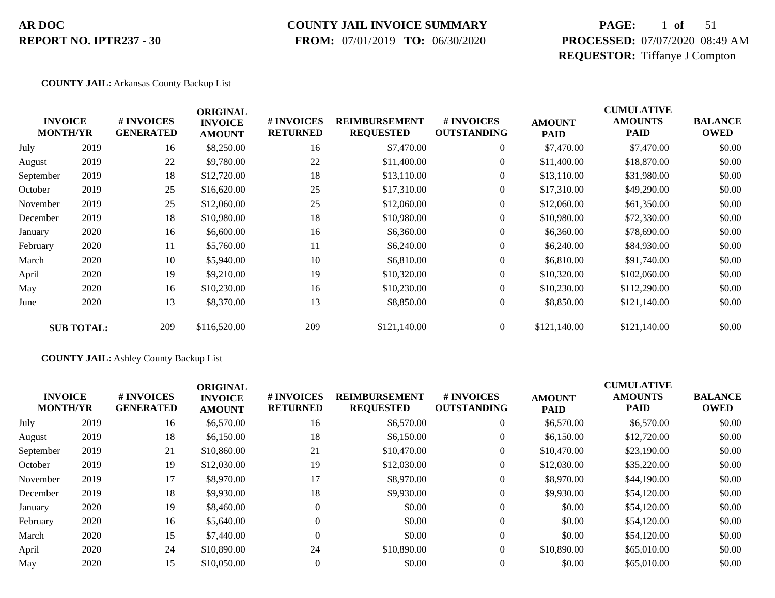### **COUNTY JAIL INVOICE SUMMARY**

 **FROM:** 07/01/2019 **TO:** 06/30/2020

## **PAGE:** 1 **of** 51 **PROCESSED:** 07/07/2020 08:49 AM **REQUESTOR:** Tiffanye J Compton

#### **COUNTY JAIL:** Arkansas County Backup List

|           | <b>INVOICE</b><br><b>MONTH/YR</b> | # INVOICES<br><b>GENERATED</b> | <b>ORIGINAL</b><br><b>INVOICE</b><br><b>AMOUNT</b> | # INVOICES<br><b>RETURNED</b> | <b>REIMBURSEMENT</b><br><b>REQUESTED</b> | <b>#INVOICES</b><br><b>OUTSTANDING</b> | <b>AMOUNT</b><br><b>PAID</b> | <b>CUMULATIVE</b><br><b>AMOUNTS</b><br><b>PAID</b> | <b>BALANCE</b><br><b>OWED</b> |
|-----------|-----------------------------------|--------------------------------|----------------------------------------------------|-------------------------------|------------------------------------------|----------------------------------------|------------------------------|----------------------------------------------------|-------------------------------|
| July      | 2019                              | 16                             | \$8,250.00                                         | 16                            | \$7,470.00                               | 0                                      | \$7,470.00                   | \$7,470.00                                         | \$0.00                        |
| August    | 2019                              | 22                             | \$9,780.00                                         | 22                            | \$11,400.00                              | $\overline{0}$                         | \$11,400.00                  | \$18,870.00                                        | \$0.00                        |
| September | 2019                              | 18                             | \$12,720.00                                        | 18                            | \$13,110.00                              | $\overline{0}$                         | \$13,110.00                  | \$31,980.00                                        | \$0.00                        |
| October   | 2019                              | 25                             | \$16,620.00                                        | 25                            | \$17,310.00                              | $\overline{0}$                         | \$17,310.00                  | \$49,290.00                                        | \$0.00                        |
| November  | 2019                              | 25                             | \$12,060.00                                        | 25                            | \$12,060.00                              | $\boldsymbol{0}$                       | \$12,060.00                  | \$61,350.00                                        | \$0.00                        |
| December  | 2019                              | 18                             | \$10,980.00                                        | 18                            | \$10,980.00                              | $\boldsymbol{0}$                       | \$10,980.00                  | \$72,330.00                                        | \$0.00                        |
| January   | 2020                              | 16                             | \$6,600.00                                         | 16                            | \$6,360.00                               | $\overline{0}$                         | \$6,360.00                   | \$78,690.00                                        | \$0.00                        |
| February  | 2020                              | 11                             | \$5,760.00                                         | 11                            | \$6,240.00                               | $\boldsymbol{0}$                       | \$6,240.00                   | \$84,930.00                                        | \$0.00                        |
| March     | 2020                              | 10                             | \$5,940.00                                         | 10                            | \$6,810.00                               | $\boldsymbol{0}$                       | \$6,810.00                   | \$91,740.00                                        | \$0.00                        |
| April     | 2020                              | 19                             | \$9,210.00                                         | 19                            | \$10,320.00                              | $\overline{0}$                         | \$10,320.00                  | \$102,060.00                                       | \$0.00                        |
| May       | 2020                              | 16                             | \$10,230.00                                        | 16                            | \$10,230.00                              | $\overline{0}$                         | \$10,230.00                  | \$112,290.00                                       | \$0.00                        |
| June      | 2020                              | 13                             | \$8,370.00                                         | 13                            | \$8,850.00                               | $\boldsymbol{0}$                       | \$8,850.00                   | \$121,140.00                                       | \$0.00                        |
|           | <b>SUB TOTAL:</b>                 | 209                            | \$116,520.00                                       | 209                           | \$121,140.00                             | $\overline{0}$                         | \$121,140.00                 | \$121,140.00                                       | \$0.00                        |

#### **COUNTY JAIL:** Ashley County Backup List

|           | <b>INVOICE</b><br><b>MONTH/YR</b> | # INVOICES<br><b>GENERATED</b> | <b>ORIGINAL</b><br><b>INVOICE</b><br><b>AMOUNT</b> | # INVOICES<br><b>RETURNED</b> | <b>REIMBURSEMENT</b><br><b>REQUESTED</b> | # INVOICES<br><b>OUTSTANDING</b> | <b>AMOUNT</b><br><b>PAID</b> | <b>CUMULATIVE</b><br><b>AMOUNTS</b><br><b>PAID</b> | <b>BALANCE</b><br><b>OWED</b> |
|-----------|-----------------------------------|--------------------------------|----------------------------------------------------|-------------------------------|------------------------------------------|----------------------------------|------------------------------|----------------------------------------------------|-------------------------------|
| July      | 2019                              | 16                             | \$6,570.00                                         | 16                            | \$6,570.00                               | $\theta$                         | \$6,570.00                   | \$6,570.00                                         | \$0.00                        |
| August    | 2019                              | 18                             | \$6,150.00                                         | 18                            | \$6,150.00                               | $\theta$                         | \$6,150.00                   | \$12,720.00                                        | \$0.00                        |
| September | 2019                              | 21                             | \$10,860.00                                        | 21                            | \$10,470.00                              | $\boldsymbol{0}$                 | \$10,470.00                  | \$23,190.00                                        | \$0.00                        |
| October   | 2019                              | 19                             | \$12,030.00                                        | 19                            | \$12,030.00                              | $\mathbf{0}$                     | \$12,030.00                  | \$35,220.00                                        | \$0.00                        |
| November  | 2019                              | 17                             | \$8,970.00                                         | 17                            | \$8,970.00                               | $\theta$                         | \$8,970.00                   | \$44,190.00                                        | \$0.00                        |
| December  | 2019                              | 18                             | \$9,930.00                                         | 18                            | \$9,930.00                               | $\theta$                         | \$9,930.00                   | \$54,120.00                                        | \$0.00                        |
| January   | 2020                              | 19                             | \$8,460.00                                         |                               | \$0.00                                   | $\theta$                         | \$0.00                       | \$54,120.00                                        | \$0.00                        |
| February  | 2020                              | 16                             | \$5,640.00                                         |                               | \$0.00                                   | $\mathbf{0}$                     | \$0.00                       | \$54,120.00                                        | \$0.00                        |
| March     | 2020                              | 15                             | \$7,440.00                                         | $\Omega$                      | \$0.00                                   | $\Omega$                         | \$0.00                       | \$54,120.00                                        | \$0.00                        |
| April     | 2020                              | 24                             | \$10,890.00                                        | 24                            | \$10,890.00                              | $\Omega$                         | \$10,890.00                  | \$65,010.00                                        | \$0.00                        |
| May       | 2020                              | 15                             | \$10,050.00                                        |                               | \$0.00                                   | $\Omega$                         | \$0.00                       | \$65,010.00                                        | \$0.00                        |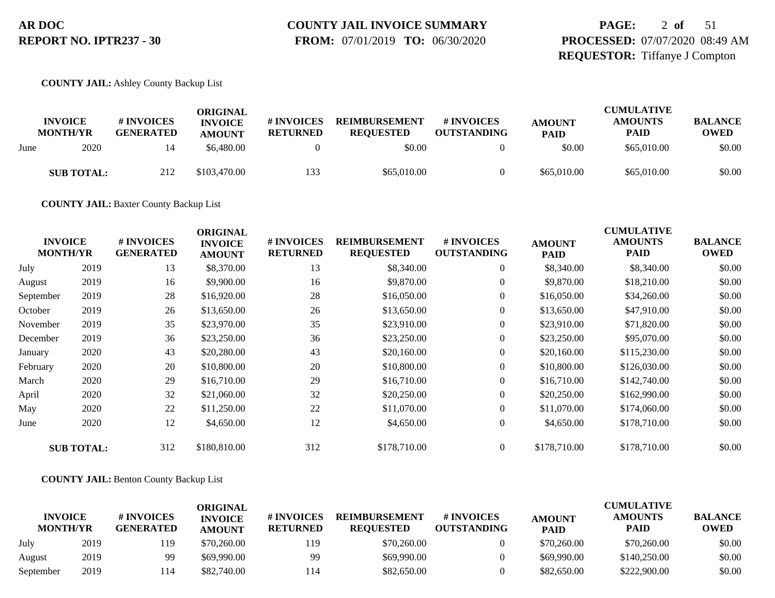# **COUNTY JAIL INVOICE SUMMARY**

 **FROM:** 07/01/2019 **TO:** 06/30/2020

## **PAGE:** 2 **of** 51 **PROCESSED:** 07/07/2020 08:49 AM **REQUESTOR:** Tiffanye J Compton

**COUNTY JAIL:** Ashley County Backup List

|      | <b>INVOICE</b><br><b>MONTH/YR</b> | # INVOICES<br><b>GENERATED</b> | ORIGINAL<br><b>INVOICE</b><br><b>AMOUNT</b> | # INVOICES<br><b>RETURNED</b> | <b>REIMBURSEMENT</b><br><b>REOUESTED</b> | # INVOICES<br><b>OUTSTANDING</b> | <b>AMOUNT</b><br><b>PAID</b> | <b>CUMULATIVE</b><br><b>AMOUNTS</b><br><b>PAID</b> | <b>BALANCE</b><br><b>OWED</b> |
|------|-----------------------------------|--------------------------------|---------------------------------------------|-------------------------------|------------------------------------------|----------------------------------|------------------------------|----------------------------------------------------|-------------------------------|
| June | 2020                              | 14                             | \$6,480.00                                  |                               | \$0.00                                   |                                  | \$0.00                       | \$65,010.00                                        | \$0.00                        |
|      | <b>SUB TOTAL:</b>                 | 212                            | \$103,470.00                                | 133                           | \$65,010.00                              |                                  | \$65,010.00                  | \$65,010.00                                        | \$0.00                        |

**COUNTY JAIL:** Baxter County Backup List

| <b>INVOICE</b><br><b>MONTH/YR</b> |                   | # INVOICES<br><b>GENERATED</b> | <b>ORIGINAL</b><br><b>INVOICE</b><br><b>AMOUNT</b> | # INVOICES<br><b>RETURNED</b> | <b>REIMBURSEMENT</b><br><b>REQUESTED</b> | # INVOICES<br><b>OUTSTANDING</b> | <b>AMOUNT</b><br>PAID | <b>CUMULATIVE</b><br><b>AMOUNTS</b><br><b>PAID</b> | <b>BALANCE</b><br><b>OWED</b> |
|-----------------------------------|-------------------|--------------------------------|----------------------------------------------------|-------------------------------|------------------------------------------|----------------------------------|-----------------------|----------------------------------------------------|-------------------------------|
| July                              | 2019              | 13                             | \$8,370.00                                         | 13                            | \$8,340.00                               | $\boldsymbol{0}$                 | \$8,340.00            | \$8,340.00                                         | \$0.00                        |
| August                            | 2019              | 16                             | \$9,900.00                                         | 16                            | \$9,870.00                               | $\boldsymbol{0}$                 | \$9,870.00            | \$18,210.00                                        | \$0.00                        |
| September                         | 2019              | 28                             | \$16,920.00                                        | 28                            | \$16,050.00                              | $\overline{0}$                   | \$16,050.00           | \$34,260.00                                        | \$0.00                        |
| October                           | 2019              | 26                             | \$13,650.00                                        | 26                            | \$13,650.00                              | 0                                | \$13,650.00           | \$47,910.00                                        | \$0.00                        |
| November                          | 2019              | 35                             | \$23,970.00                                        | 35                            | \$23,910.00                              | $\overline{0}$                   | \$23,910.00           | \$71,820.00                                        | \$0.00                        |
| December                          | 2019              | 36                             | \$23,250.00                                        | 36                            | \$23,250.00                              | $\overline{0}$                   | \$23,250.00           | \$95,070.00                                        | \$0.00                        |
| January                           | 2020              | 43                             | \$20,280.00                                        | 43                            | \$20,160.00                              | 0                                | \$20,160.00           | \$115,230.00                                       | \$0.00                        |
| February                          | 2020              | 20                             | \$10,800.00                                        | 20                            | \$10,800.00                              | $\boldsymbol{0}$                 | \$10,800.00           | \$126,030.00                                       | \$0.00                        |
| March                             | 2020              | 29                             | \$16,710.00                                        | 29                            | \$16,710.00                              | $\overline{0}$                   | \$16,710.00           | \$142,740.00                                       | \$0.00                        |
| April                             | 2020              | 32                             | \$21,060.00                                        | 32                            | \$20,250.00                              | $\boldsymbol{0}$                 | \$20,250.00           | \$162,990.00                                       | \$0.00                        |
| May                               | 2020              | 22                             | \$11,250.00                                        | 22                            | \$11,070.00                              | $\overline{0}$                   | \$11,070.00           | \$174,060.00                                       | \$0.00                        |
| June                              | 2020              | 12                             | \$4,650.00                                         | 12                            | \$4,650.00                               | $\boldsymbol{0}$                 | \$4,650.00            | \$178,710.00                                       | \$0.00                        |
|                                   | <b>SUB TOTAL:</b> | 312                            | \$180,810.00                                       | 312                           | \$178,710.00                             | $\overline{0}$                   | \$178,710.00          | \$178,710.00                                       | \$0.00                        |

**COUNTY JAIL:** Benton County Backup List

|                                   |      |                                | <b>ORIGINAL</b>                 |                               |                                          |                                  |                              | <b>CUMULATIVE</b>             |                               |
|-----------------------------------|------|--------------------------------|---------------------------------|-------------------------------|------------------------------------------|----------------------------------|------------------------------|-------------------------------|-------------------------------|
| <b>INVOICE</b><br><b>MONTH/YR</b> |      | # INVOICES<br><b>GENERATED</b> | <b>INVOICE</b><br><b>AMOUNT</b> | # INVOICES<br><b>RETURNED</b> | <b>REIMBURSEMENT</b><br><b>REOUESTED</b> | # INVOICES<br><b>OUTSTANDING</b> | <b>AMOUNT</b><br><b>PAID</b> | <b>AMOUNTS</b><br><b>PAID</b> | <b>BALANCE</b><br><b>OWED</b> |
| July                              | 2019 | 119                            | \$70,260.00                     | 119                           | \$70,260.00                              |                                  | \$70,260.00                  | \$70,260.00                   | \$0.00                        |
| August                            | 2019 | 99                             | \$69,990.00                     | 99                            | \$69,990.00                              |                                  | \$69,990.00                  | \$140,250.00                  | \$0.00                        |
| September                         | 2019 | 114                            | \$82,740.00                     | l 14                          | \$82,650.00                              |                                  | \$82,650.00                  | \$222,900.00                  | \$0.00                        |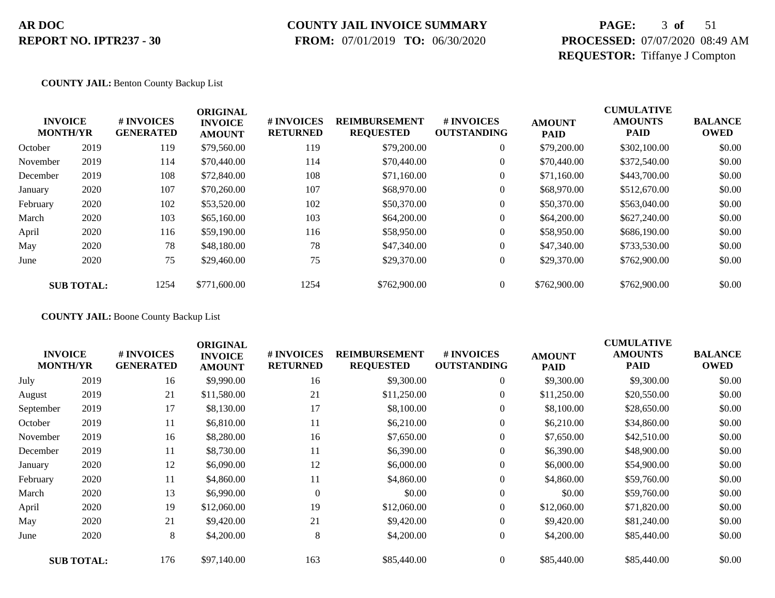## **COUNTY JAIL INVOICE SUMMARY**

 **FROM:** 07/01/2019 **TO:** 06/30/2020

## **PAGE:** 3 **of** 51 **PROCESSED:** 07/07/2020 08:49 AM **REQUESTOR:** Tiffanye J Compton

**COUNTY JAIL:** Benton County Backup List

|          | <b>INVOICE</b><br><b>MONTH/YR</b> | # INVOICES<br><b>GENERATED</b> | <b>ORIGINAL</b><br><b>INVOICE</b><br><b>AMOUNT</b> | # INVOICES<br><b>RETURNED</b> | <b>REIMBURSEMENT</b><br><b>REQUESTED</b> | <b>#INVOICES</b><br><b>OUTSTANDING</b> | <b>AMOUNT</b><br><b>PAID</b> | <b>CUMULATIVE</b><br><b>AMOUNTS</b><br><b>PAID</b> | <b>BALANCE</b><br><b>OWED</b> |
|----------|-----------------------------------|--------------------------------|----------------------------------------------------|-------------------------------|------------------------------------------|----------------------------------------|------------------------------|----------------------------------------------------|-------------------------------|
| October  | 2019                              | 119                            | \$79,560.00                                        | 119                           | \$79,200.00                              | $\overline{0}$                         | \$79,200.00                  | \$302,100.00                                       | \$0.00                        |
| November | 2019                              | 114                            | \$70,440.00                                        | 114                           | \$70,440.00                              | $\overline{0}$                         | \$70,440.00                  | \$372,540.00                                       | \$0.00                        |
| December | 2019                              | 108                            | \$72,840.00                                        | 108                           | \$71,160.00                              | $\overline{0}$                         | \$71,160.00                  | \$443,700.00                                       | \$0.00                        |
| January  | 2020                              | 107                            | \$70,260.00                                        | 107                           | \$68,970.00                              | 0                                      | \$68,970.00                  | \$512,670.00                                       | \$0.00                        |
| February | 2020                              | 102                            | \$53,520.00                                        | 102                           | \$50,370.00                              | 0                                      | \$50,370.00                  | \$563,040.00                                       | \$0.00                        |
| March    | 2020                              | 103                            | \$65,160.00                                        | 103                           | \$64,200.00                              | $\overline{0}$                         | \$64,200.00                  | \$627,240.00                                       | \$0.00                        |
| April    | 2020                              | 116                            | \$59,190.00                                        | 116                           | \$58,950.00                              | $\overline{0}$                         | \$58,950.00                  | \$686,190.00                                       | \$0.00                        |
| May      | 2020                              | 78                             | \$48,180.00                                        | 78                            | \$47,340.00                              | $\overline{0}$                         | \$47,340.00                  | \$733,530.00                                       | \$0.00                        |
| June     | 2020                              | 75                             | \$29,460.00                                        | 75                            | \$29,370.00                              | $\boldsymbol{0}$                       | \$29,370.00                  | \$762,900.00                                       | \$0.00                        |
|          | <b>SUB TOTAL:</b>                 | 1254                           | \$771,600.00                                       | 1254                          | \$762,900.00                             | $\overline{0}$                         | \$762,900.00                 | \$762,900.00                                       | \$0.00                        |

**COUNTY JAIL:** Boone County Backup List

|                                   |                   |                                | <b>ORIGINAL</b>                 |                               |                                          |                                  |                              | <b>CUMULATIVE</b>             |                               |
|-----------------------------------|-------------------|--------------------------------|---------------------------------|-------------------------------|------------------------------------------|----------------------------------|------------------------------|-------------------------------|-------------------------------|
| <b>INVOICE</b><br><b>MONTH/YR</b> |                   | # INVOICES<br><b>GENERATED</b> | <b>INVOICE</b><br><b>AMOUNT</b> | # INVOICES<br><b>RETURNED</b> | <b>REIMBURSEMENT</b><br><b>REQUESTED</b> | # INVOICES<br><b>OUTSTANDING</b> | <b>AMOUNT</b><br><b>PAID</b> | <b>AMOUNTS</b><br><b>PAID</b> | <b>BALANCE</b><br><b>OWED</b> |
| July                              | 2019              | 16                             | \$9,990.00                      | 16                            | \$9,300.00                               | $\overline{0}$                   | \$9,300.00                   | \$9,300.00                    | \$0.00                        |
| August                            | 2019              | 21                             | \$11,580.00                     | 21                            | \$11,250.00                              | 0                                | \$11,250.00                  | \$20,550.00                   | \$0.00                        |
| September                         | 2019              | 17                             | \$8,130.00                      | 17                            | \$8,100.00                               | $\overline{0}$                   | \$8,100.00                   | \$28,650.00                   | \$0.00                        |
| October                           | 2019              | 11                             | \$6,810.00                      | 11                            | \$6,210.00                               | 0                                | \$6,210.00                   | \$34,860.00                   | \$0.00                        |
| November                          | 2019              | 16                             | \$8,280.00                      | 16                            | \$7,650.00                               | $\overline{0}$                   | \$7,650.00                   | \$42,510.00                   | \$0.00                        |
| December                          | 2019              | 11                             | \$8,730.00                      | 11                            | \$6,390.00                               | $\overline{0}$                   | \$6,390.00                   | \$48,900.00                   | \$0.00                        |
| January                           | 2020              | 12                             | \$6,090.00                      | 12                            | \$6,000.00                               | $\overline{0}$                   | \$6,000.00                   | \$54,900.00                   | \$0.00                        |
| February                          | 2020              | 11                             | \$4,860.00                      | 11                            | \$4,860.00                               | $\overline{0}$                   | \$4,860.00                   | \$59,760.00                   | \$0.00                        |
| March                             | 2020              | 13                             | \$6,990.00                      | $\Omega$                      | \$0.00                                   | 0                                | \$0.00                       | \$59,760.00                   | \$0.00                        |
| April                             | 2020              | 19                             | \$12,060.00                     | 19                            | \$12,060.00                              | $\overline{0}$                   | \$12,060.00                  | \$71,820.00                   | \$0.00                        |
| May                               | 2020              | 21                             | \$9,420.00                      | 21                            | \$9,420.00                               | $\boldsymbol{0}$                 | \$9,420.00                   | \$81,240.00                   | \$0.00                        |
| June                              | 2020              | 8                              | \$4,200.00                      | 8                             | \$4,200.00                               | $\overline{0}$                   | \$4,200.00                   | \$85,440.00                   | \$0.00                        |
|                                   | <b>SUB TOTAL:</b> | 176                            | \$97,140.00                     | 163                           | \$85,440.00                              | $\boldsymbol{0}$                 | \$85,440.00                  | \$85,440.00                   | \$0.00                        |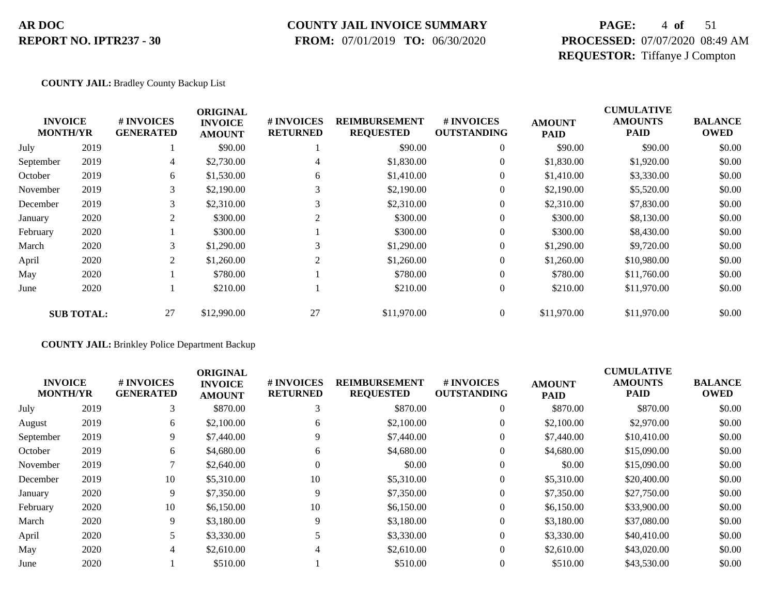### **COUNTY JAIL INVOICE SUMMARY**

 **FROM:** 07/01/2019 **TO:** 06/30/2020

## **PAGE:** 4 **of** 51 **PROCESSED:** 07/07/2020 08:49 AM **REQUESTOR:** Tiffanye J Compton

#### **COUNTY JAIL:** Bradley County Backup List

|                 |                   |                                | <b>ORIGINAL</b>                 |                               |                                          |                                  | <b>CUMULATIVE</b>            |                               |                               |  |
|-----------------|-------------------|--------------------------------|---------------------------------|-------------------------------|------------------------------------------|----------------------------------|------------------------------|-------------------------------|-------------------------------|--|
| <b>MONTH/YR</b> | <b>INVOICE</b>    | # INVOICES<br><b>GENERATED</b> | <b>INVOICE</b><br><b>AMOUNT</b> | # INVOICES<br><b>RETURNED</b> | <b>REIMBURSEMENT</b><br><b>REQUESTED</b> | # INVOICES<br><b>OUTSTANDING</b> | <b>AMOUNT</b><br><b>PAID</b> | <b>AMOUNTS</b><br><b>PAID</b> | <b>BALANCE</b><br><b>OWED</b> |  |
| July            | 2019              |                                | \$90.00                         |                               | \$90.00                                  | $\theta$                         | \$90.00                      | \$90.00                       | \$0.00                        |  |
| September       | 2019              | 4                              | \$2,730.00                      | 4                             | \$1,830.00                               | $\mathbf{0}$                     | \$1,830.00                   | \$1,920.00                    | \$0.00                        |  |
| October         | 2019              | 6                              | \$1,530.00                      | 6                             | \$1,410.00                               | $\mathbf{0}$                     | \$1,410.00                   | \$3,330.00                    | \$0.00                        |  |
| November        | 2019              | 3                              | \$2,190.00                      | 3                             | \$2,190.00                               | $\mathbf{0}$                     | \$2,190.00                   | \$5,520.00                    | \$0.00                        |  |
| December        | 2019              | 3                              | \$2,310.00                      | 3                             | \$2,310.00                               | $\mathbf{0}$                     | \$2,310.00                   | \$7,830.00                    | \$0.00                        |  |
| January         | 2020              | 2                              | \$300.00                        | $\sim$                        | \$300.00                                 | $\boldsymbol{0}$                 | \$300.00                     | \$8,130.00                    | \$0.00                        |  |
| February        | 2020              |                                | \$300.00                        |                               | \$300.00                                 | $\mathbf{0}$                     | \$300.00                     | \$8,430.00                    | \$0.00                        |  |
| March           | 2020              | 3                              | \$1,290.00                      | 3                             | \$1,290.00                               | $\mathbf{0}$                     | \$1,290.00                   | \$9,720.00                    | \$0.00                        |  |
| April           | 2020              | 2                              | \$1,260.00                      | 2                             | \$1,260.00                               | $\mathbf{0}$                     | \$1,260.00                   | \$10,980.00                   | \$0.00                        |  |
| May             | 2020              |                                | \$780.00                        |                               | \$780.00                                 | $\mathbf{0}$                     | \$780.00                     | \$11,760.00                   | \$0.00                        |  |
| June            | 2020              |                                | \$210.00                        |                               | \$210.00                                 | $\mathbf{0}$                     | \$210.00                     | \$11,970.00                   | \$0.00                        |  |
|                 | <b>SUB TOTAL:</b> | 27                             | \$12,990.00                     | 27                            | \$11,970.00                              | $\Omega$                         | \$11,970.00                  | \$11,970.00                   | \$0.00                        |  |

#### **COUNTY JAIL:** Brinkley Police Department Backup

| <b>INVOICE</b><br><b>MONTH/YR</b> | # INVOICES<br><b>GENERATED</b> | <b>ORIGINAL</b><br><b>INVOICE</b><br><b>AMOUNT</b> | # INVOICES<br><b>RETURNED</b> | <b>REIMBURSEMENT</b><br><b>REQUESTED</b> | <b># INVOICES</b><br><b>OUTSTANDING</b> | <b>AMOUNT</b><br><b>PAID</b> | <b>CUMULATIVE</b><br><b>AMOUNTS</b><br><b>PAID</b> | <b>BALANCE</b><br><b>OWED</b> |
|-----------------------------------|--------------------------------|----------------------------------------------------|-------------------------------|------------------------------------------|-----------------------------------------|------------------------------|----------------------------------------------------|-------------------------------|
| 2019                              |                                | \$870.00                                           | $\sim$                        | \$870.00                                 | $\overline{0}$                          | \$870.00                     | \$870.00                                           | \$0.00                        |
| 2019                              | 6                              | \$2,100.00                                         | 6                             | \$2,100.00                               | $\overline{0}$                          | \$2,100.00                   | \$2,970.00                                         | \$0.00                        |
| 2019                              | 9                              | \$7,440.00                                         | 9                             | \$7,440.00                               | $\overline{0}$                          | \$7,440.00                   | \$10,410.00                                        | \$0.00                        |
| 2019                              | 6                              | \$4,680.00                                         | 6                             | \$4,680.00                               | $\Omega$                                | \$4,680.00                   | \$15,090.00                                        | \$0.00                        |
| 2019                              |                                | \$2,640.00                                         | $\Omega$                      | \$0.00                                   | $\overline{0}$                          | \$0.00                       | \$15,090.00                                        | \$0.00                        |
| 2019                              | 10                             | \$5,310.00                                         | 10                            | \$5,310.00                               | $\overline{0}$                          | \$5,310.00                   | \$20,400.00                                        | \$0.00                        |
| 2020                              | 9                              | \$7,350.00                                         | 9                             | \$7,350.00                               | $\overline{0}$                          | \$7,350.00                   | \$27,750.00                                        | \$0.00                        |
| 2020                              | 10                             | \$6,150.00                                         | 10                            | \$6,150.00                               | $\overline{0}$                          | \$6,150.00                   | \$33,900.00                                        | \$0.00                        |
| 2020                              | 9                              | \$3,180.00                                         | 9                             | \$3,180.00                               | $\Omega$                                | \$3,180.00                   | \$37,080.00                                        | \$0.00                        |
| 2020                              |                                | \$3,330.00                                         |                               | \$3,330.00                               | $\overline{0}$                          | \$3,330.00                   | \$40,410.00                                        | \$0.00                        |
| 2020                              | 4                              | \$2,610.00                                         | 4                             | \$2,610.00                               | $\overline{0}$                          | \$2,610.00                   | \$43,020.00                                        | \$0.00                        |
| 2020                              |                                | \$510.00                                           |                               | \$510.00                                 | $\overline{0}$                          | \$510.00                     | \$43,530.00                                        | \$0.00                        |
|                                   |                                |                                                    |                               |                                          |                                         |                              |                                                    |                               |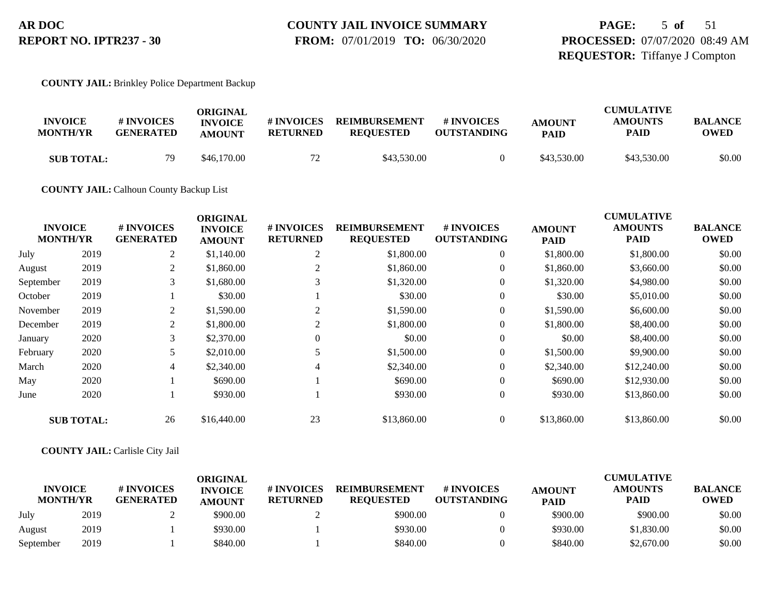#### **COUNTY JAIL INVOICE SUMMARY FROM:** 07/01/2019 **TO:** 06/30/2020

## **PAGE:** 5 **of** 51 **PROCESSED:** 07/07/2020 08:49 AM **REQUESTOR:** Tiffanye J Compton

#### **COUNTY JAIL:** Brinkley Police Department Backup

| <b>INVOICE</b><br><b>MONTH/YR</b> | # INVOICES<br><b>GENERATED</b> | ORIGINAL<br><b>INVOICE</b><br><b>AMOUNT</b> | # INVOICES<br><b>RETURNED</b> | <b>REIMBURSEMENT</b><br><b>REOUESTED</b> | # INVOICES<br><b>OUTSTANDING</b> | <b>AMOUNT</b><br><b>PAID</b> | <b>CUMULATIVE</b><br><b>AMOUNTS</b><br><b>PAID</b> | <b>BALANCE</b><br>OWED |
|-----------------------------------|--------------------------------|---------------------------------------------|-------------------------------|------------------------------------------|----------------------------------|------------------------------|----------------------------------------------------|------------------------|
| <b>SUB TOTAL:</b>                 | 79                             | \$46,170.00                                 | 72                            | \$43,530.00                              |                                  | \$43,530.00                  | \$43,530.00                                        | \$0.00                 |

#### **COUNTY JAIL:** Calhoun County Backup List

|           |                                   |                                | <b>ORIGINAL</b>                 |                                      |                                          |                                  |                              | <b>CUMULATIVE</b>             |                               |
|-----------|-----------------------------------|--------------------------------|---------------------------------|--------------------------------------|------------------------------------------|----------------------------------|------------------------------|-------------------------------|-------------------------------|
|           | <b>INVOICE</b><br><b>MONTH/YR</b> | # INVOICES<br><b>GENERATED</b> | <b>INVOICE</b><br><b>AMOUNT</b> | <b># INVOICES</b><br><b>RETURNED</b> | <b>REIMBURSEMENT</b><br><b>REQUESTED</b> | # INVOICES<br><b>OUTSTANDING</b> | <b>AMOUNT</b><br><b>PAID</b> | <b>AMOUNTS</b><br><b>PAID</b> | <b>BALANCE</b><br><b>OWED</b> |
| July      | 2019                              | 2                              | \$1,140.00                      | 2                                    | \$1,800.00                               | $\theta$                         | \$1,800.00                   | \$1,800.00                    | \$0.00                        |
| August    | 2019                              | 2                              | \$1,860.00                      |                                      | \$1,860.00                               |                                  | \$1,860.00                   | \$3,660.00                    | \$0.00                        |
| September | 2019                              | 3                              | \$1,680.00                      | 3                                    | \$1,320.00                               | $\theta$                         | \$1,320.00                   | \$4,980.00                    | \$0.00                        |
| October   | 2019                              |                                | \$30.00                         |                                      | \$30.00                                  | $\overline{0}$                   | \$30.00                      | \$5,010.00                    | \$0.00                        |
| November  | 2019                              | 2                              | \$1,590.00                      | 2                                    | \$1,590.00                               | $\theta$                         | \$1,590.00                   | \$6,600.00                    | \$0.00                        |
| December  | 2019                              | 2                              | \$1,800.00                      | 2                                    | \$1,800.00                               | $\overline{0}$                   | \$1,800.00                   | \$8,400.00                    | \$0.00                        |
| January   | 2020                              | 3                              | \$2,370.00                      | $\Omega$                             | \$0.00                                   | $\overline{0}$                   | \$0.00                       | \$8,400.00                    | \$0.00                        |
| February  | 2020                              | 5                              | \$2,010.00                      |                                      | \$1,500.00                               | $\overline{0}$                   | \$1,500.00                   | \$9,900.00                    | \$0.00                        |
| March     | 2020                              | 4                              | \$2,340.00                      |                                      | \$2,340.00                               | $\overline{0}$                   | \$2,340.00                   | \$12,240.00                   | \$0.00                        |
| May       | 2020                              |                                | \$690.00                        |                                      | \$690.00                                 | $\overline{0}$                   | \$690.00                     | \$12,930.00                   | \$0.00                        |
| June      | 2020                              |                                | \$930.00                        |                                      | \$930.00                                 | $\boldsymbol{0}$                 | \$930.00                     | \$13,860.00                   | \$0.00                        |
|           | <b>SUB TOTAL:</b>                 | 26                             | \$16,440.00                     | 23                                   | \$13,860.00                              | $\overline{0}$                   | \$13,860.00                  | \$13,860.00                   | \$0.00                        |

#### **COUNTY JAIL:** Carlisle City Jail

|                                   |      |                                | ORIGINAL                        |                               |                                          |                                  |                              | <b>CUMULATIVE</b>             |                               |
|-----------------------------------|------|--------------------------------|---------------------------------|-------------------------------|------------------------------------------|----------------------------------|------------------------------|-------------------------------|-------------------------------|
| <b>INVOICE</b><br><b>MONTH/YR</b> |      | # INVOICES<br><b>GENERATED</b> | <b>INVOICE</b><br><b>AMOUNT</b> | # INVOICES<br><b>RETURNED</b> | <b>REIMBURSEMENT</b><br><b>REOUESTED</b> | # INVOICES<br><b>OUTSTANDING</b> | <b>AMOUNT</b><br><b>PAID</b> | <b>AMOUNTS</b><br><b>PAID</b> | <b>BALANCE</b><br><b>OWED</b> |
| July                              | 2019 |                                | \$900.00                        |                               | \$900.00                                 |                                  | \$900.00                     | \$900.00                      | \$0.00                        |
| August                            | 2019 |                                | \$930.00                        |                               | \$930.00                                 |                                  | \$930.00                     | \$1,830.00                    | \$0.00                        |
| September                         | 2019 |                                | \$840.00                        |                               | \$840.00                                 |                                  | \$840.00                     | \$2,670.00                    | \$0.00                        |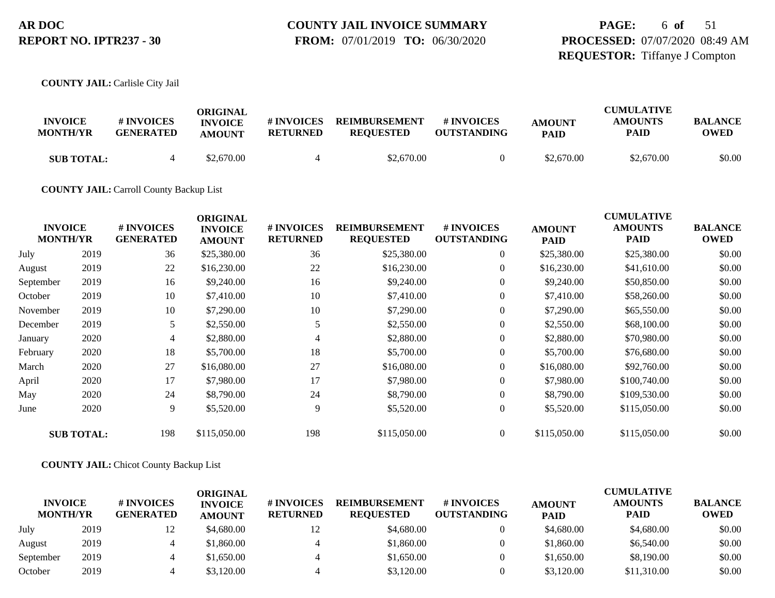#### **COUNTY JAIL INVOICE SUMMARY FROM:** 07/01/2019 **TO:** 06/30/2020

## **PAGE:** 6 **of** 51 **PROCESSED:** 07/07/2020 08:49 AM **REQUESTOR:** Tiffanye J Compton

**COUNTY JAIL:** Carlisle City Jail

| <b>INVOICE</b><br><b>MONTH/YR</b> | # INVOICES<br><b>GENERATED</b> | ORIGINAL<br><b>INVOICE</b><br><b>AMOUNT</b> | # INVOICES<br>RETURNED | <b>REIMBURSEMENT</b><br><b>REOUESTED</b> | <b>#INVOICES</b><br><b>OUTSTANDING</b> | <b>AMOUNT</b><br><b>PAID</b> | <b>CUMULATIVE</b><br><b>AMOUNTS</b><br>PAID | <b>BALANCE</b><br><b>OWED</b> |
|-----------------------------------|--------------------------------|---------------------------------------------|------------------------|------------------------------------------|----------------------------------------|------------------------------|---------------------------------------------|-------------------------------|
| <b>SUB TOTAL:</b>                 |                                | \$2,670.00                                  |                        | \$2,670.00                               |                                        | \$2,670.00                   | \$2,670.00                                  | \$0.00                        |

**COUNTY JAIL:** Carroll County Backup List

| <b>INVOICE</b><br><b>MONTH/YR</b> |                   | # INVOICES<br><b>GENERATED</b> | <b>ORIGINAL</b><br><b>INVOICE</b><br><b>AMOUNT</b> | # INVOICES<br><b>RETURNED</b> | <b>REIMBURSEMENT</b><br><b>REQUESTED</b> | # INVOICES<br><b>OUTSTANDING</b> | <b>AMOUNT</b><br><b>PAID</b> | <b>CUMULATIVE</b><br><b>AMOUNTS</b><br><b>PAID</b> | <b>BALANCE</b><br><b>OWED</b> |
|-----------------------------------|-------------------|--------------------------------|----------------------------------------------------|-------------------------------|------------------------------------------|----------------------------------|------------------------------|----------------------------------------------------|-------------------------------|
| July                              | 2019              | 36                             | \$25,380.00                                        | 36                            | \$25,380.00                              | $\overline{0}$                   | \$25,380.00                  | \$25,380.00                                        | \$0.00                        |
| August                            | 2019              | 22                             | \$16,230.00                                        | 22                            | \$16,230.00                              | $\boldsymbol{0}$                 | \$16,230.00                  | \$41,610.00                                        | \$0.00                        |
| September                         | 2019              | 16                             | \$9,240.00                                         | 16                            | \$9,240.00                               | $\boldsymbol{0}$                 | \$9,240.00                   | \$50,850.00                                        | \$0.00                        |
| October                           | 2019              | 10                             | \$7,410.00                                         | 10                            | \$7,410.00                               | $\overline{0}$                   | \$7,410.00                   | \$58,260.00                                        | \$0.00                        |
| November                          | 2019              | 10                             | \$7,290.00                                         | 10                            | \$7,290.00                               | $\boldsymbol{0}$                 | \$7,290.00                   | \$65,550.00                                        | \$0.00                        |
| December                          | 2019              | 5                              | \$2,550.00                                         | 5                             | \$2,550.00                               | $\boldsymbol{0}$                 | \$2,550.00                   | \$68,100.00                                        | \$0.00                        |
| January                           | 2020              | 4                              | \$2,880.00                                         | 4                             | \$2,880.00                               | $\overline{0}$                   | \$2,880.00                   | \$70,980.00                                        | \$0.00                        |
| February                          | 2020              | 18                             | \$5,700.00                                         | 18                            | \$5,700.00                               | $\overline{0}$                   | \$5,700.00                   | \$76,680.00                                        | \$0.00                        |
| March                             | 2020              | 27                             | \$16,080.00                                        | 27                            | \$16,080.00                              | $\boldsymbol{0}$                 | \$16,080.00                  | \$92,760.00                                        | \$0.00                        |
| April                             | 2020              | 17                             | \$7,980.00                                         | 17                            | \$7,980.00                               | $\overline{0}$                   | \$7,980.00                   | \$100,740.00                                       | \$0.00                        |
| May                               | 2020              | 24                             | \$8,790.00                                         | 24                            | \$8,790.00                               | $\overline{0}$                   | \$8,790.00                   | \$109,530.00                                       | \$0.00                        |
| June                              | 2020              | 9                              | \$5,520.00                                         | 9                             | \$5,520.00                               | $\boldsymbol{0}$                 | \$5,520.00                   | \$115,050.00                                       | \$0.00                        |
|                                   | <b>SUB TOTAL:</b> | 198                            | \$115,050.00                                       | 198                           | \$115,050.00                             | $\overline{0}$                   | \$115,050.00                 | \$115,050.00                                       | \$0.00                        |

**COUNTY JAIL:** Chicot County Backup List

| <b>INVOICE</b><br><b>MONTH/YR</b> |      | # INVOICES<br><b>GENERATED</b> | ORIGINAL<br><b>INVOICE</b><br><b>AMOUNT</b> | # INVOICES<br><b>RETURNED</b> | <b>REIMBURSEMENT</b><br><b>REQUESTED</b> | # INVOICES<br><b>OUTSTANDING</b> | <b>AMOUNT</b><br><b>PAID</b> | <b>CUMULATIVE</b><br><b>AMOUNTS</b><br><b>PAID</b> | <b>BALANCE</b><br><b>OWED</b> |
|-----------------------------------|------|--------------------------------|---------------------------------------------|-------------------------------|------------------------------------------|----------------------------------|------------------------------|----------------------------------------------------|-------------------------------|
| July                              | 2019 | 12                             | \$4,680.00                                  |                               | \$4,680.00                               |                                  | \$4,680.00                   | \$4,680.00                                         | \$0.00                        |
| August                            | 2019 |                                | \$1,860.00                                  |                               | \$1,860.00                               |                                  | \$1,860.00                   | \$6,540.00                                         | \$0.00                        |
| September                         | 2019 |                                | \$1,650.00                                  |                               | \$1,650.00                               |                                  | \$1,650.00                   | \$8,190.00                                         | \$0.00                        |
| October                           | 2019 |                                | \$3,120.00                                  |                               | \$3,120.00                               |                                  | \$3,120.00                   | \$11,310.00                                        | \$0.00                        |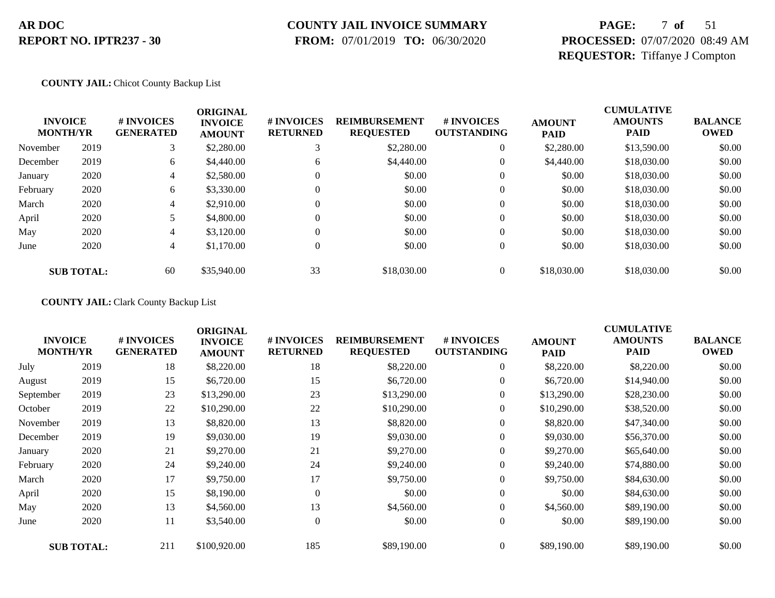### **COUNTY JAIL INVOICE SUMMARY**

 **FROM:** 07/01/2019 **TO:** 06/30/2020

## **PAGE:** 7 **of** 51 **PROCESSED:** 07/07/2020 08:49 AM **REQUESTOR:** Tiffanye J Compton

#### **COUNTY JAIL:** Chicot County Backup List

| <b>INVOICE</b><br><b>MONTH/YR</b> |                   | # INVOICES<br><b>GENERATED</b> | <b>ORIGINAL</b><br><b>INVOICE</b><br><b>AMOUNT</b> | # INVOICES<br><b>RETURNED</b> | <b>REIMBURSEMENT</b><br><b>REQUESTED</b> | # INVOICES<br><b>OUTSTANDING</b> | <b>AMOUNT</b><br><b>PAID</b> | <b>CUMULATIVE</b><br><b>AMOUNTS</b><br><b>PAID</b> | <b>BALANCE</b><br><b>OWED</b> |
|-----------------------------------|-------------------|--------------------------------|----------------------------------------------------|-------------------------------|------------------------------------------|----------------------------------|------------------------------|----------------------------------------------------|-------------------------------|
| November                          | 2019              | 3                              | \$2,280.00                                         |                               | \$2,280.00                               | $\theta$                         | \$2,280.00                   | \$13,590.00                                        | \$0.00                        |
| December                          | 2019              | 6                              | \$4,440.00                                         | 6                             | \$4,440.00                               | 0                                | \$4,440.00                   | \$18,030.00                                        | \$0.00                        |
| January                           | 2020              | 4                              | \$2,580.00                                         |                               | \$0.00                                   | $\theta$                         | \$0.00                       | \$18,030.00                                        | \$0.00                        |
| February                          | 2020              | 6                              | \$3,330.00                                         |                               | \$0.00                                   | 0                                | \$0.00                       | \$18,030.00                                        | \$0.00                        |
| March                             | 2020              | 4                              | \$2,910.00                                         |                               | \$0.00                                   | 0                                | \$0.00                       | \$18,030.00                                        | \$0.00                        |
| April                             | 2020              |                                | \$4,800.00                                         |                               | \$0.00                                   | 0                                | \$0.00                       | \$18,030.00                                        | \$0.00                        |
| May                               | 2020              | 4                              | \$3,120.00                                         | 0                             | \$0.00                                   | 0                                | \$0.00                       | \$18,030.00                                        | \$0.00                        |
| June                              | 2020              | 4                              | \$1,170.00                                         |                               | \$0.00                                   | $\mathbf{0}$                     | \$0.00                       | \$18,030.00                                        | \$0.00                        |
|                                   | <b>SUB TOTAL:</b> | 60                             | \$35,940.00                                        | 33                            | \$18,030.00                              |                                  | \$18,030.00                  | \$18,030.00                                        | \$0.00                        |

#### **COUNTY JAIL:** Clark County Backup List

| <b>INVOICE</b><br><b>MONTH/YR</b> |                   | # INVOICES<br><b>GENERATED</b> | <b>ORIGINAL</b><br><b>INVOICE</b><br><b>AMOUNT</b> | # INVOICES<br><b>RETURNED</b> | <b>REIMBURSEMENT</b><br><b>REQUESTED</b> | # INVOICES<br><b>OUTSTANDING</b> | <b>AMOUNT</b><br>PAID | <b>CUMULATIVE</b><br><b>AMOUNTS</b><br><b>PAID</b> | <b>BALANCE</b><br><b>OWED</b> |
|-----------------------------------|-------------------|--------------------------------|----------------------------------------------------|-------------------------------|------------------------------------------|----------------------------------|-----------------------|----------------------------------------------------|-------------------------------|
| July                              | 2019              | 18                             | \$8,220.00                                         | 18                            | \$8,220.00                               | $\boldsymbol{0}$                 | \$8,220.00            | \$8,220.00                                         | \$0.00                        |
| August                            | 2019              | 15                             | \$6,720.00                                         | 15                            | \$6,720.00                               | $\overline{0}$                   | \$6,720.00            | \$14,940.00                                        | \$0.00                        |
| September                         | 2019              | 23                             | \$13,290.00                                        | 23                            | \$13,290.00                              | $\overline{0}$                   | \$13,290.00           | \$28,230.00                                        | \$0.00                        |
| October                           | 2019              | 22                             | \$10,290.00                                        | 22                            | \$10,290.00                              | 0                                | \$10,290.00           | \$38,520.00                                        | \$0.00                        |
| November                          | 2019              | 13                             | \$8,820.00                                         | 13                            | \$8,820.00                               | $\overline{0}$                   | \$8,820.00            | \$47,340.00                                        | \$0.00                        |
| December                          | 2019              | 19                             | \$9,030.00                                         | 19                            | \$9,030.00                               | $\overline{0}$                   | \$9,030.00            | \$56,370.00                                        | \$0.00                        |
| January                           | 2020              | 21                             | \$9,270.00                                         | 21                            | \$9,270.00                               | 0                                | \$9,270.00            | \$65,640.00                                        | \$0.00                        |
| February                          | 2020              | 24                             | \$9,240.00                                         | 24                            | \$9,240.00                               | $\boldsymbol{0}$                 | \$9,240.00            | \$74,880.00                                        | \$0.00                        |
| March                             | 2020              | 17                             | \$9,750.00                                         | 17                            | \$9,750.00                               | $\overline{0}$                   | \$9,750.00            | \$84,630.00                                        | \$0.00                        |
| April                             | 2020              | 15                             | \$8,190.00                                         | $\Omega$                      | \$0.00                                   | $\overline{0}$                   | \$0.00                | \$84,630.00                                        | \$0.00                        |
| May                               | 2020              | 13                             | \$4,560.00                                         | 13                            | \$4,560.00                               | $\overline{0}$                   | \$4,560.00            | \$89,190.00                                        | \$0.00                        |
| June                              | 2020              | 11                             | \$3,540.00                                         | $\mathbf{0}$                  | \$0.00                                   | $\overline{0}$                   | \$0.00                | \$89,190.00                                        | \$0.00                        |
|                                   | <b>SUB TOTAL:</b> | 211                            | \$100,920.00                                       | 185                           | \$89,190.00                              | $\overline{0}$                   | \$89,190.00           | \$89,190.00                                        | \$0.00                        |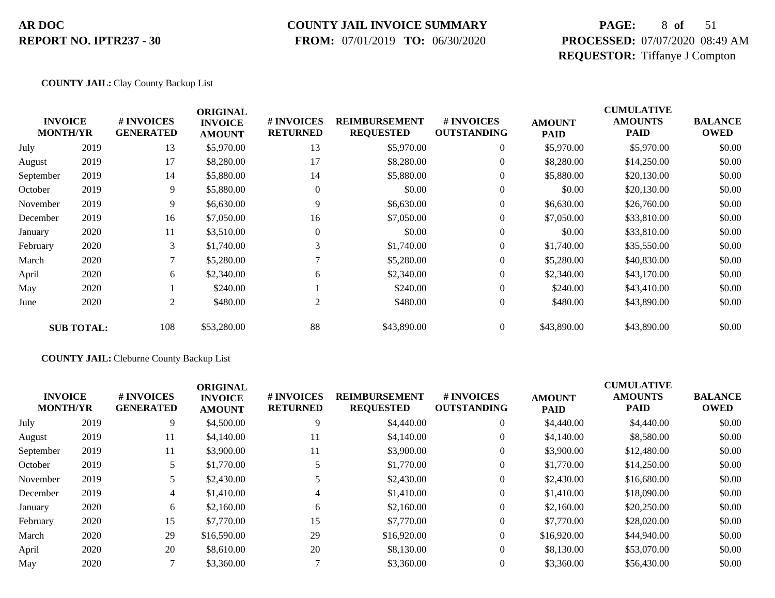#### **COUNTY JAIL INVOICE SUMMARY**

 **FROM:** 07/01/2019 **TO:** 06/30/2020

## **PAGE:** 8 **of** 51 **PROCESSED:** 07/07/2020 08:49 AM **REQUESTOR:** Tiffanye J Compton

#### **COUNTY JAIL:** Clay County Backup List

|           | <b>INVOICE</b><br><b>MONTH/YR</b> | # INVOICES<br><b>GENERATED</b> | <b>ORIGINAL</b><br><b>INVOICE</b><br><b>AMOUNT</b> | # INVOICES<br><b>RETURNED</b> | <b>REIMBURSEMENT</b><br><b>REQUESTED</b> | # INVOICES<br><b>OUTSTANDING</b> | <b>AMOUNT</b><br><b>PAID</b> | <b>CUMULATIVE</b><br><b>AMOUNTS</b><br><b>PAID</b> | <b>BALANCE</b><br><b>OWED</b> |
|-----------|-----------------------------------|--------------------------------|----------------------------------------------------|-------------------------------|------------------------------------------|----------------------------------|------------------------------|----------------------------------------------------|-------------------------------|
| July      | 2019                              | 13                             | \$5,970.00                                         | 13                            | \$5,970.00                               | $\overline{0}$                   | \$5,970.00                   | \$5,970.00                                         | \$0.00                        |
| August    | 2019                              | 17                             | \$8,280.00                                         | 17                            | \$8,280.00                               | $\overline{0}$                   | \$8,280.00                   | \$14,250.00                                        | \$0.00                        |
| September | 2019                              | 14                             | \$5,880.00                                         | 14                            | \$5,880.00                               | $\overline{0}$                   | \$5,880.00                   | \$20,130.00                                        | \$0.00                        |
| October   | 2019                              | 9                              | \$5,880.00                                         | $\mathbf{0}$                  | \$0.00                                   | 0                                | \$0.00                       | \$20,130.00                                        | \$0.00                        |
| November  | 2019                              | 9                              | \$6,630.00                                         | 9                             | \$6,630.00                               | $\boldsymbol{0}$                 | \$6,630.00                   | \$26,760.00                                        | \$0.00                        |
| December  | 2019                              | 16                             | \$7,050.00                                         | 16                            | \$7,050.00                               | 0                                | \$7,050.00                   | \$33,810.00                                        | \$0.00                        |
| January   | 2020                              | 11                             | \$3,510.00                                         | $\Omega$                      | \$0.00                                   | $\overline{0}$                   | \$0.00                       | \$33,810.00                                        | \$0.00                        |
| February  | 2020                              | 3                              | \$1,740.00                                         | 3                             | \$1,740.00                               | 0                                | \$1,740.00                   | \$35,550.00                                        | \$0.00                        |
| March     | 2020                              | 7                              | \$5,280.00                                         |                               | \$5,280.00                               | $\overline{0}$                   | \$5,280.00                   | \$40,830.00                                        | \$0.00                        |
| April     | 2020                              | 6                              | \$2,340.00                                         | 6                             | \$2,340.00                               | $\overline{0}$                   | \$2,340.00                   | \$43,170.00                                        | \$0.00                        |
| May       | 2020                              |                                | \$240.00                                           |                               | \$240.00                                 | $\overline{0}$                   | \$240.00                     | \$43,410.00                                        | \$0.00                        |
| June      | 2020                              | 2                              | \$480.00                                           | 2                             | \$480.00                                 | $\boldsymbol{0}$                 | \$480.00                     | \$43,890.00                                        | \$0.00                        |
|           | <b>SUB TOTAL:</b>                 | 108                            | \$53,280.00                                        | 88                            | \$43,890.00                              | $\overline{0}$                   | \$43,890.00                  | \$43,890.00                                        | \$0.00                        |

#### **COUNTY JAIL:** Cleburne County Backup List

| <b>INVOICE</b><br><b>MONTH/YR</b> |      | # INVOICES<br><b>GENERATED</b> | <b>ORIGINAL</b><br><b>INVOICE</b><br><b>AMOUNT</b> | <b># INVOICES</b><br><b>RETURNED</b> | <b>REIMBURSEMENT</b><br><b>REQUESTED</b> | <b>#INVOICES</b><br><b>OUTSTANDING</b> | <b>AMOUNT</b><br><b>PAID</b> | <b>CUMULATIVE</b><br><b>AMOUNTS</b><br><b>PAID</b> | <b>BALANCE</b><br><b>OWED</b> |
|-----------------------------------|------|--------------------------------|----------------------------------------------------|--------------------------------------|------------------------------------------|----------------------------------------|------------------------------|----------------------------------------------------|-------------------------------|
| July                              | 2019 | 9                              | \$4,500.00                                         | 9                                    | \$4,440.00                               | $\overline{0}$                         | \$4,440.00                   | \$4,440.00                                         | \$0.00                        |
| August                            | 2019 | 11                             | \$4,140.00                                         | 11                                   | \$4,140.00                               |                                        | \$4,140.00                   | \$8,580.00                                         | \$0.00                        |
| September                         | 2019 | 11                             | \$3,900.00                                         | 11                                   | \$3,900.00                               |                                        | \$3,900.00                   | \$12,480.00                                        | \$0.00                        |
| October                           | 2019 |                                | \$1,770.00                                         |                                      | \$1,770.00                               |                                        | \$1,770.00                   | \$14,250.00                                        | \$0.00                        |
| November                          | 2019 | 5.                             | \$2,430.00                                         |                                      | \$2,430.00                               | $\theta$                               | \$2,430.00                   | \$16,680.00                                        | \$0.00                        |
| December                          | 2019 | 4                              | \$1,410.00                                         |                                      | \$1,410.00                               | $\theta$                               | \$1,410.00                   | \$18,090.00                                        | \$0.00                        |
| January                           | 2020 | 6                              | \$2,160.00                                         | 6                                    | \$2,160.00                               | $\theta$                               | \$2,160.00                   | \$20,250.00                                        | \$0.00                        |
| February                          | 2020 | 15                             | \$7,770.00                                         | 15                                   | \$7,770.00                               |                                        | \$7,770.00                   | \$28,020.00                                        | \$0.00                        |
| March                             | 2020 | 29                             | \$16,590.00                                        | 29                                   | \$16,920.00                              | $\theta$                               | \$16,920.00                  | \$44,940.00                                        | \$0.00                        |
| April                             | 2020 | 20                             | \$8,610.00                                         | 20                                   | \$8,130.00                               | $\theta$                               | \$8,130.00                   | \$53,070.00                                        | \$0.00                        |
| May                               | 2020 |                                | \$3,360.00                                         |                                      | \$3,360.00                               |                                        | \$3,360.00                   | \$56,430.00                                        | \$0.00                        |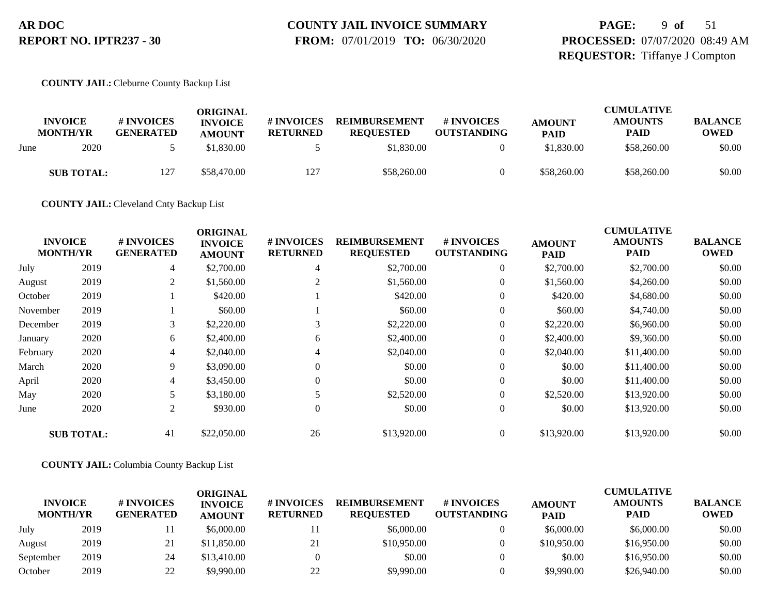# **COUNTY JAIL INVOICE SUMMARY**

 **FROM:** 07/01/2019 **TO:** 06/30/2020

## **PAGE:** 9 **of** 51 **PROCESSED:** 07/07/2020 08:49 AM **REQUESTOR:** Tiffanye J Compton

#### **COUNTY JAIL:** Cleburne County Backup List

|      | <b>INVOICE</b><br><b>MONTH/YR</b> | # INVOICES<br><b>GENERATED</b> | ORIGINAL<br><b>INVOICE</b><br><b>AMOUNT</b> | # INVOICES<br><b>RETURNED</b> | <b>REIMBURSEMENT</b><br><b>REQUESTED</b> | # INVOICES<br><b>OUTSTANDING</b> | <b>AMOUNT</b><br><b>PAID</b> | <b>CUMULATIVE</b><br><b>AMOUNTS</b><br><b>PAID</b> | <b>BALANCE</b><br><b>OWED</b> |
|------|-----------------------------------|--------------------------------|---------------------------------------------|-------------------------------|------------------------------------------|----------------------------------|------------------------------|----------------------------------------------------|-------------------------------|
| June | 2020                              |                                | \$1.830.00                                  |                               | \$1,830.00                               |                                  | \$1,830.00                   | \$58,260.00                                        | \$0.00                        |
|      | <b>SUB TOTAL:</b>                 | 127                            | \$58,470.00                                 | 127                           | \$58,260.00                              |                                  | \$58,260.00                  | \$58,260.00                                        | \$0.00                        |

**COUNTY JAIL:** Cleveland Cnty Backup List

|                |                   |                                | <b>ORIGINAL</b>                 |                               |                                          |                                  |                              | <b>CUMULATIVE</b>             |                               |
|----------------|-------------------|--------------------------------|---------------------------------|-------------------------------|------------------------------------------|----------------------------------|------------------------------|-------------------------------|-------------------------------|
| <b>INVOICE</b> | <b>MONTH/YR</b>   | # INVOICES<br><b>GENERATED</b> | <b>INVOICE</b><br><b>AMOUNT</b> | # INVOICES<br><b>RETURNED</b> | <b>REIMBURSEMENT</b><br><b>REQUESTED</b> | # INVOICES<br><b>OUTSTANDING</b> | <b>AMOUNT</b><br><b>PAID</b> | <b>AMOUNTS</b><br><b>PAID</b> | <b>BALANCE</b><br><b>OWED</b> |
| July           | 2019              | 4                              | \$2,700.00                      | 4                             | \$2,700.00                               | $\overline{0}$                   | \$2,700.00                   | \$2,700.00                    | \$0.00                        |
| August         | 2019              | $\overline{2}$                 | \$1,560.00                      |                               | \$1,560.00                               | $\overline{0}$                   | \$1,560.00                   | \$4,260.00                    | \$0.00                        |
| October        | 2019              |                                | \$420.00                        |                               | \$420.00                                 | $\overline{0}$                   | \$420.00                     | \$4,680.00                    | \$0.00                        |
| November       | 2019              |                                | \$60.00                         |                               | \$60.00                                  | $\overline{0}$                   | \$60.00                      | \$4,740.00                    | \$0.00                        |
| December       | 2019              | 3                              | \$2,220.00                      |                               | \$2,220.00                               | $\overline{0}$                   | \$2,220.00                   | \$6,960.00                    | \$0.00                        |
| January        | 2020              | 6                              | \$2,400.00                      | 6                             | \$2,400.00                               | $\overline{0}$                   | \$2,400.00                   | \$9,360.00                    | \$0.00                        |
| February       | 2020              | 4                              | \$2,040.00                      | 4                             | \$2,040.00                               | $\overline{0}$                   | \$2,040.00                   | \$11,400.00                   | \$0.00                        |
| March          | 2020              | 9                              | \$3,090.00                      | 0                             | \$0.00                                   | $\overline{0}$                   | \$0.00                       | \$11,400.00                   | \$0.00                        |
| April          | 2020              | 4                              | \$3,450.00                      | 0                             | \$0.00                                   | $\overline{0}$                   | \$0.00                       | \$11,400.00                   | \$0.00                        |
| May            | 2020              |                                | \$3,180.00                      |                               | \$2,520.00                               | $\overline{0}$                   | \$2,520.00                   | \$13,920.00                   | \$0.00                        |
| June           | 2020              | $\overline{2}$                 | \$930.00                        | $\overline{0}$                | \$0.00                                   | $\overline{0}$                   | \$0.00                       | \$13,920.00                   | \$0.00                        |
|                | <b>SUB TOTAL:</b> | 41                             | \$22,050.00                     | 26                            | \$13,920.00                              | $\overline{0}$                   | \$13,920.00                  | \$13,920.00                   | \$0.00                        |

#### **COUNTY JAIL:** Columbia County Backup List

| <b>INVOICE</b><br><b>MONTH/YR</b> |      | # INVOICES<br><b>GENERATED</b> | <b>ORIGINAL</b><br><b>INVOICE</b><br><b>AMOUNT</b> | # INVOICES<br><b>RETURNED</b> | <b>REIMBURSEMENT</b><br><b>REOUESTED</b> | <b>#INVOICES</b><br><b>OUTSTANDING</b> | <b>AMOUNT</b><br><b>PAID</b> | <b>CUMULATIVE</b><br><b>AMOUNTS</b><br><b>PAID</b> | <b>BALANCE</b><br><b>OWED</b> |
|-----------------------------------|------|--------------------------------|----------------------------------------------------|-------------------------------|------------------------------------------|----------------------------------------|------------------------------|----------------------------------------------------|-------------------------------|
| July                              | 2019 |                                | \$6,000.00                                         |                               | \$6,000.00                               |                                        | \$6,000.00                   | \$6,000.00                                         | \$0.00                        |
| August                            | 2019 | 21                             | \$11,850.00                                        | 21                            | \$10,950.00                              |                                        | \$10,950.00                  | \$16,950.00                                        | \$0.00                        |
| September                         | 2019 | 24                             | \$13,410.00                                        |                               | \$0.00                                   |                                        | \$0.00                       | \$16,950.00                                        | \$0.00                        |
| October                           | 2019 | 22                             | \$9,990.00                                         | 22                            | \$9,990.00                               |                                        | \$9,990.00                   | \$26,940.00                                        | \$0.00                        |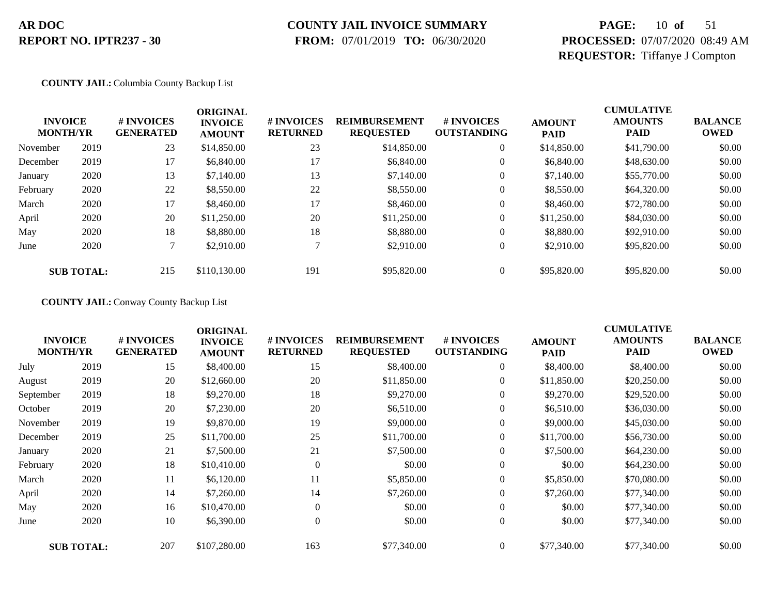## **COUNTY JAIL INVOICE SUMMARY**

 **FROM:** 07/01/2019 **TO:** 06/30/2020

## **PAGE:** 10 **of** 51 **PROCESSED:** 07/07/2020 08:49 AM **REQUESTOR:** Tiffanye J Compton

#### **COUNTY JAIL:** Columbia County Backup List

|          | <b>INVOICE</b><br><b>MONTH/YR</b> | <b>#INVOICES</b><br><b>GENERATED</b> | <b>ORIGINAL</b><br><b>INVOICE</b><br><b>AMOUNT</b> | # INVOICES<br><b>RETURNED</b> | <b>REIMBURSEMENT</b><br><b>REQUESTED</b> | # INVOICES<br><b>OUTSTANDING</b> | <b>AMOUNT</b><br><b>PAID</b> | <b>CUMULATIVE</b><br><b>AMOUNTS</b><br><b>PAID</b> | <b>BALANCE</b><br><b>OWED</b> |
|----------|-----------------------------------|--------------------------------------|----------------------------------------------------|-------------------------------|------------------------------------------|----------------------------------|------------------------------|----------------------------------------------------|-------------------------------|
| November | 2019                              | 23                                   | \$14,850.00                                        | 23                            | \$14,850.00                              | $\theta$                         | \$14,850.00                  | \$41,790.00                                        | \$0.00                        |
| December | 2019                              | 17                                   | \$6,840.00                                         | 17                            | \$6,840.00                               | $\theta$                         | \$6,840.00                   | \$48,630.00                                        | \$0.00                        |
| January  | 2020                              | 13                                   | \$7,140.00                                         | 13                            | \$7,140.00                               | 0                                | \$7,140.00                   | \$55,770.00                                        | \$0.00                        |
| February | 2020                              | 22                                   | \$8,550.00                                         | 22                            | \$8,550.00                               | 0                                | \$8,550.00                   | \$64,320.00                                        | \$0.00                        |
| March    | 2020                              | 17                                   | \$8,460.00                                         | 17                            | \$8,460.00                               | $\theta$                         | \$8,460.00                   | \$72,780.00                                        | \$0.00                        |
| April    | 2020                              | 20                                   | \$11,250.00                                        | 20                            | \$11,250.00                              | 0                                | \$11,250.00                  | \$84,030.00                                        | \$0.00                        |
| May      | 2020                              | 18                                   | \$8,880.00                                         | 18                            | \$8,880.00                               | $\overline{0}$                   | \$8,880.00                   | \$92,910.00                                        | \$0.00                        |
| June     | 2020                              | 7                                    | \$2,910.00                                         |                               | \$2,910.00                               | $\theta$                         | \$2,910.00                   | \$95,820.00                                        | \$0.00                        |
|          | <b>SUB TOTAL:</b>                 | 215                                  | \$110,130.00                                       | 191                           | \$95,820.00                              |                                  | \$95,820.00                  | \$95,820.00                                        | \$0.00                        |

**COUNTY JAIL:** Conway County Backup List

| <b>INVOICE</b><br><b>MONTH/YR</b> |                   | # INVOICES<br><b>GENERATED</b> | <b>ORIGINAL</b><br><b>INVOICE</b><br><b>AMOUNT</b> | # INVOICES<br><b>RETURNED</b> | <b>REIMBURSEMENT</b><br><b>REQUESTED</b> | # INVOICES<br><b>OUTSTANDING</b> | <b>AMOUNT</b><br><b>PAID</b> | <b>CUMULATIVE</b><br><b>AMOUNTS</b><br><b>PAID</b> | <b>BALANCE</b><br><b>OWED</b> |
|-----------------------------------|-------------------|--------------------------------|----------------------------------------------------|-------------------------------|------------------------------------------|----------------------------------|------------------------------|----------------------------------------------------|-------------------------------|
| July                              | 2019              | 15                             | \$8,400.00                                         | 15                            | \$8,400.00                               | 0                                | \$8,400.00                   | \$8,400.00                                         | \$0.00                        |
| August                            | 2019              | 20                             | \$12,660.00                                        | 20                            | \$11,850.00                              | $\overline{0}$                   | \$11,850.00                  | \$20,250.00                                        | \$0.00                        |
| September                         | 2019              | 18                             | \$9,270.00                                         | 18                            | \$9,270.00                               | $\overline{0}$                   | \$9,270.00                   | \$29,520.00                                        | \$0.00                        |
| October                           | 2019              | 20                             | \$7,230.00                                         | 20                            | \$6,510.00                               | $\boldsymbol{0}$                 | \$6,510.00                   | \$36,030.00                                        | \$0.00                        |
| November                          | 2019              | 19                             | \$9,870.00                                         | 19                            | \$9,000.00                               | $\overline{0}$                   | \$9,000.00                   | \$45,030.00                                        | \$0.00                        |
| December                          | 2019              | 25                             | \$11,700.00                                        | 25                            | \$11,700.00                              | $\overline{0}$                   | \$11,700.00                  | \$56,730.00                                        | \$0.00                        |
| January                           | 2020              | 21                             | \$7,500.00                                         | 21                            | \$7,500.00                               | $\boldsymbol{0}$                 | \$7,500.00                   | \$64,230.00                                        | \$0.00                        |
| February                          | 2020              | 18                             | \$10,410.00                                        | $\theta$                      | \$0.00                                   | $\overline{0}$                   | \$0.00                       | \$64,230.00                                        | \$0.00                        |
| March                             | 2020              | 11                             | \$6,120.00                                         | 11                            | \$5,850.00                               | $\overline{0}$                   | \$5,850.00                   | \$70,080.00                                        | \$0.00                        |
| April                             | 2020              | 14                             | \$7,260.00                                         | 14                            | \$7,260.00                               | $\overline{0}$                   | \$7,260.00                   | \$77,340.00                                        | \$0.00                        |
| May                               | 2020              | 16                             | \$10,470.00                                        | $\Omega$                      | \$0.00                                   | $\overline{0}$                   | \$0.00                       | \$77,340.00                                        | \$0.00                        |
| June                              | 2020              | 10                             | \$6,390.00                                         | $\Omega$                      | \$0.00                                   | $\boldsymbol{0}$                 | \$0.00                       | \$77,340.00                                        | \$0.00                        |
|                                   | <b>SUB TOTAL:</b> | 207                            | \$107,280.00                                       | 163                           | \$77,340.00                              | $\overline{0}$                   | \$77,340.00                  | \$77,340.00                                        | \$0.00                        |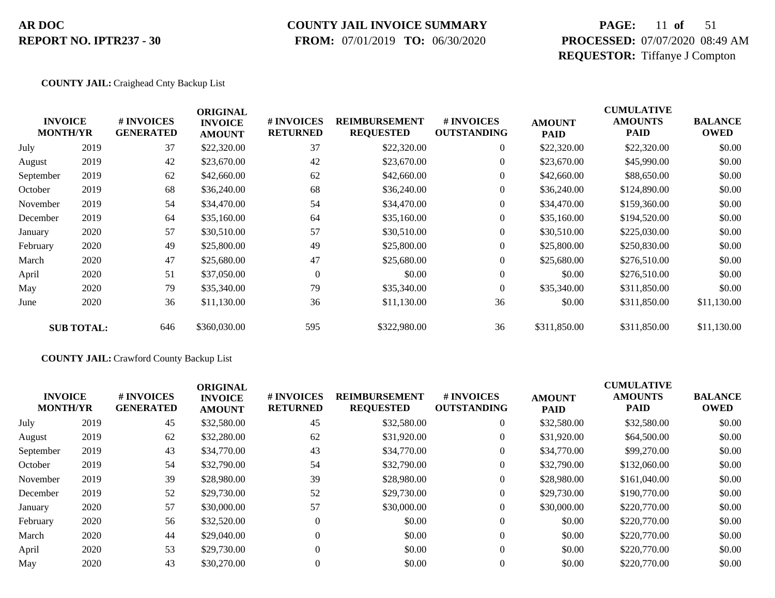### **COUNTY JAIL INVOICE SUMMARY**

 **FROM:** 07/01/2019 **TO:** 06/30/2020

## **PAGE:** 11 **of** 51 **PROCESSED:** 07/07/2020 08:49 AM **REQUESTOR:** Tiffanye J Compton

#### **COUNTY JAIL:** Craighead Cnty Backup List

|           | <b>INVOICE</b><br><b>MONTH/YR</b> | # INVOICES<br><b>GENERATED</b> | <b>ORIGINAL</b><br><b>INVOICE</b><br><b>AMOUNT</b> | # INVOICES<br><b>RETURNED</b> | <b>REIMBURSEMENT</b><br><b>REQUESTED</b> | # INVOICES<br><b>OUTSTANDING</b> | <b>AMOUNT</b><br><b>PAID</b> | <b>CUMULATIVE</b><br><b>AMOUNTS</b><br>PAID | <b>BALANCE</b><br><b>OWED</b> |
|-----------|-----------------------------------|--------------------------------|----------------------------------------------------|-------------------------------|------------------------------------------|----------------------------------|------------------------------|---------------------------------------------|-------------------------------|
| July      | 2019                              | 37                             | \$22,320.00                                        | 37                            | \$22,320.00                              | $\overline{0}$                   | \$22,320.00                  | \$22,320.00                                 | \$0.00                        |
| August    | 2019                              | 42                             | \$23,670.00                                        | 42                            | \$23,670.00                              | $\overline{0}$                   | \$23,670.00                  | \$45,990.00                                 | \$0.00                        |
| September | 2019                              | 62                             | \$42,660.00                                        | 62                            | \$42,660.00                              | $\overline{0}$                   | \$42,660.00                  | \$88,650.00                                 | \$0.00                        |
| October   | 2019                              | 68                             | \$36,240.00                                        | 68                            | \$36,240.00                              | $\overline{0}$                   | \$36,240.00                  | \$124,890.00                                | \$0.00                        |
| November  | 2019                              | 54                             | \$34,470.00                                        | 54                            | \$34,470.00                              | $\overline{0}$                   | \$34,470.00                  | \$159,360.00                                | \$0.00                        |
| December  | 2019                              | 64                             | \$35,160.00                                        | 64                            | \$35,160.00                              | $\overline{0}$                   | \$35,160.00                  | \$194,520.00                                | \$0.00                        |
| January   | 2020                              | 57                             | \$30,510.00                                        | 57                            | \$30,510.00                              | $\overline{0}$                   | \$30,510.00                  | \$225,030.00                                | \$0.00                        |
| February  | 2020                              | 49                             | \$25,800.00                                        | 49                            | \$25,800.00                              | $\overline{0}$                   | \$25,800.00                  | \$250,830.00                                | \$0.00                        |
| March     | 2020                              | 47                             | \$25,680.00                                        | 47                            | \$25,680.00                              | $\overline{0}$                   | \$25,680.00                  | \$276,510.00                                | \$0.00                        |
| April     | 2020                              | 51                             | \$37,050.00                                        | $\theta$                      | \$0.00                                   | $\overline{0}$                   | \$0.00                       | \$276,510.00                                | \$0.00                        |
| May       | 2020                              | 79                             | \$35,340.00                                        | 79                            | \$35,340.00                              | $\boldsymbol{0}$                 | \$35,340.00                  | \$311,850.00                                | \$0.00                        |
| June      | 2020                              | 36                             | \$11,130.00                                        | 36                            | \$11,130.00                              | 36                               | \$0.00                       | \$311,850.00                                | \$11,130.00                   |
|           | <b>SUB TOTAL:</b>                 | 646                            | \$360,030.00                                       | 595                           | \$322,980.00                             | 36                               | \$311,850.00                 | \$311,850.00                                | \$11,130.00                   |

#### **COUNTY JAIL:** Crawford County Backup List

|           | <b>INVOICE</b><br><b>MONTH/YR</b> | # INVOICES<br><b>GENERATED</b> | <b>ORIGINAL</b><br><b>INVOICE</b><br><b>AMOUNT</b> | # INVOICES<br><b>RETURNED</b> | <b>REIMBURSEMENT</b><br><b>REQUESTED</b> | # INVOICES<br><b>OUTSTANDING</b> | <b>AMOUNT</b><br><b>PAID</b> | <b>CUMULATIVE</b><br><b>AMOUNTS</b><br><b>PAID</b> | <b>BALANCE</b><br><b>OWED</b> |
|-----------|-----------------------------------|--------------------------------|----------------------------------------------------|-------------------------------|------------------------------------------|----------------------------------|------------------------------|----------------------------------------------------|-------------------------------|
| July      | 2019                              | 45                             | \$32,580.00                                        | 45                            | \$32,580.00                              | $\overline{0}$                   | \$32,580.00                  | \$32,580.00                                        | \$0.00                        |
| August    | 2019                              | 62                             | \$32,280.00                                        | 62                            | \$31,920.00                              | $\overline{0}$                   | \$31,920.00                  | \$64,500.00                                        | \$0.00                        |
| September | 2019                              | 43                             | \$34,770.00                                        | 43                            | \$34,770.00                              | $\overline{0}$                   | \$34,770.00                  | \$99,270.00                                        | \$0.00                        |
| October   | 2019                              | 54                             | \$32,790.00                                        | 54                            | \$32,790.00                              | $\overline{0}$                   | \$32,790.00                  | \$132,060.00                                       | \$0.00                        |
| November  | 2019                              | 39                             | \$28,980.00                                        | 39                            | \$28,980.00                              | $\overline{0}$                   | \$28,980.00                  | \$161,040.00                                       | \$0.00                        |
| December  | 2019                              | 52                             | \$29,730.00                                        | 52                            | \$29,730.00                              | $\overline{0}$                   | \$29,730.00                  | \$190,770.00                                       | \$0.00                        |
| January   | 2020                              | 57                             | \$30,000.00                                        | 57                            | \$30,000.00                              | $\overline{0}$                   | \$30,000.00                  | \$220,770.00                                       | \$0.00                        |
| February  | 2020                              | 56                             | \$32,520.00                                        | $\Omega$                      | \$0.00                                   | $\overline{0}$                   | \$0.00                       | \$220,770.00                                       | \$0.00                        |
| March     | 2020                              | 44                             | \$29,040.00                                        | $\Omega$                      | \$0.00                                   | $\theta$                         | \$0.00                       | \$220,770.00                                       | \$0.00                        |
| April     | 2020                              | 53                             | \$29,730.00                                        | $\Omega$                      | \$0.00                                   | $\Omega$                         | \$0.00                       | \$220,770.00                                       | \$0.00                        |
| May       | 2020                              | 43                             | \$30,270.00                                        |                               | \$0.00                                   | $\Omega$                         | \$0.00                       | \$220,770.00                                       | \$0.00                        |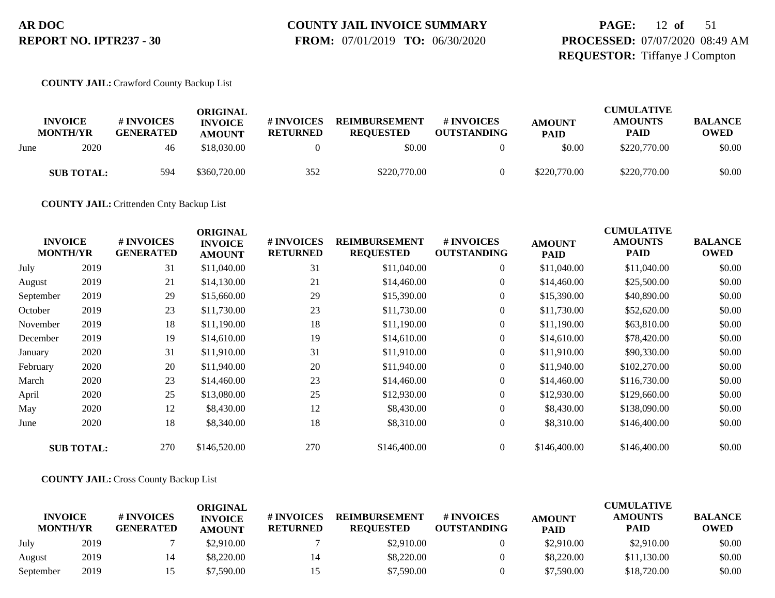# **COUNTY JAIL INVOICE SUMMARY**

 **FROM:** 07/01/2019 **TO:** 06/30/2020

## **PAGE:** 12 **of** 51 **PROCESSED:** 07/07/2020 08:49 AM **REQUESTOR:** Tiffanye J Compton

#### **COUNTY JAIL:** Crawford County Backup List

|      |                                   |                                | ORIGINAL                        |                               |                                          |                                  |                              | <b>CUMULATIVE</b>             |                               |
|------|-----------------------------------|--------------------------------|---------------------------------|-------------------------------|------------------------------------------|----------------------------------|------------------------------|-------------------------------|-------------------------------|
|      | <b>INVOICE</b><br><b>MONTH/YR</b> | # INVOICES<br><b>GENERATED</b> | <b>INVOICE</b><br><b>AMOUNT</b> | # INVOICES<br><b>RETURNED</b> | <b>REIMBURSEMENT</b><br><b>REQUESTED</b> | # INVOICES<br><b>OUTSTANDING</b> | <b>AMOUNT</b><br><b>PAID</b> | <b>AMOUNTS</b><br><b>PAID</b> | <b>BALANCE</b><br><b>OWED</b> |
| June | 2020                              | 46                             | \$18,030.00                     |                               | \$0.00                                   |                                  | \$0.00                       | \$220,770.00                  | \$0.00                        |
|      | <b>SUB TOTAL:</b>                 | 594                            | \$360,720.00                    | 352                           | \$220,770.00                             |                                  | \$220,770.00                 | \$220,770.00                  | \$0.00                        |

**COUNTY JAIL:** Crittenden Cnty Backup List

| <b>INVOICE</b><br><b>MONTH/YR</b> |                   | # INVOICES<br><b>GENERATED</b> | <b>ORIGINAL</b><br><b>INVOICE</b><br><b>AMOUNT</b> | # INVOICES<br><b>RETURNED</b> | <b>REIMBURSEMENT</b><br><b>REQUESTED</b> | # INVOICES<br><b>OUTSTANDING</b> | <b>AMOUNT</b><br><b>PAID</b> | <b>CUMULATIVE</b><br><b>AMOUNTS</b><br><b>PAID</b> | <b>BALANCE</b><br><b>OWED</b> |
|-----------------------------------|-------------------|--------------------------------|----------------------------------------------------|-------------------------------|------------------------------------------|----------------------------------|------------------------------|----------------------------------------------------|-------------------------------|
| July                              | 2019              | 31                             | \$11,040.00                                        | 31                            | \$11,040.00                              | $\overline{0}$                   | \$11,040.00                  | \$11,040.00                                        | \$0.00                        |
| August                            | 2019              | 21                             | \$14,130.00                                        | 21                            | \$14,460.00                              | $\boldsymbol{0}$                 | \$14,460.00                  | \$25,500.00                                        | \$0.00                        |
| September                         | 2019              | 29                             | \$15,660.00                                        | 29                            | \$15,390.00                              | $\overline{0}$                   | \$15,390.00                  | \$40,890.00                                        | \$0.00                        |
| October                           | 2019              | 23                             | \$11,730.00                                        | 23                            | \$11,730.00                              | $\boldsymbol{0}$                 | \$11,730.00                  | \$52,620.00                                        | \$0.00                        |
| November                          | 2019              | 18                             | \$11,190.00                                        | 18                            | \$11,190.00                              | $\overline{0}$                   | \$11,190.00                  | \$63,810.00                                        | \$0.00                        |
| December                          | 2019              | 19                             | \$14,610.00                                        | 19                            | \$14,610.00                              | $\overline{0}$                   | \$14,610.00                  | \$78,420.00                                        | \$0.00                        |
| January                           | 2020              | 31                             | \$11,910.00                                        | 31                            | \$11,910.00                              | $\boldsymbol{0}$                 | \$11,910.00                  | \$90,330.00                                        | \$0.00                        |
| February                          | 2020              | 20                             | \$11,940.00                                        | 20                            | \$11,940.00                              | $\overline{0}$                   | \$11,940.00                  | \$102,270.00                                       | \$0.00                        |
| March                             | 2020              | 23                             | \$14,460.00                                        | 23                            | \$14,460.00                              | $\overline{0}$                   | \$14,460.00                  | \$116,730.00                                       | \$0.00                        |
| April                             | 2020              | 25                             | \$13,080.00                                        | 25                            | \$12,930.00                              | $\boldsymbol{0}$                 | \$12,930.00                  | \$129,660.00                                       | \$0.00                        |
| May                               | 2020              | 12                             | \$8,430.00                                         | 12                            | \$8,430.00                               | $\overline{0}$                   | \$8,430.00                   | \$138,090.00                                       | \$0.00                        |
| June                              | 2020              | 18                             | \$8,340.00                                         | 18                            | \$8,310.00                               | $\overline{0}$                   | \$8,310.00                   | \$146,400.00                                       | \$0.00                        |
|                                   | <b>SUB TOTAL:</b> | 270                            | \$146,520.00                                       | 270                           | \$146,400.00                             | $\overline{0}$                   | \$146,400.00                 | \$146,400.00                                       | \$0.00                        |

#### **COUNTY JAIL:** Cross County Backup List

|                                   |      |                                | ORIGINAL                        |                               |                                          |                                  |                              | <b>CUMULATIVE</b>             |                               |
|-----------------------------------|------|--------------------------------|---------------------------------|-------------------------------|------------------------------------------|----------------------------------|------------------------------|-------------------------------|-------------------------------|
| <b>INVOICE</b><br><b>MONTH/YR</b> |      | # INVOICES<br><b>GENERATED</b> | <b>INVOICE</b><br><b>AMOUNT</b> | # INVOICES<br><b>RETURNED</b> | <b>REIMBURSEMENT</b><br><b>REOUESTED</b> | # INVOICES<br><b>OUTSTANDING</b> | <b>AMOUNT</b><br><b>PAID</b> | <b>AMOUNTS</b><br><b>PAID</b> | <b>BALANCE</b><br><b>OWED</b> |
| July                              | 2019 |                                | \$2,910.00                      |                               | \$2,910.00                               |                                  | \$2,910.00                   | \$2,910.00                    | \$0.00                        |
| August                            | 2019 |                                | \$8,220.00                      | 14                            | \$8,220,00                               |                                  | \$8,220,00                   | \$11,130.00                   | \$0.00                        |
| September                         | 2019 |                                | \$7.590.00                      |                               | \$7,590.00                               |                                  | \$7,590.00                   | \$18,720.00                   | \$0.00                        |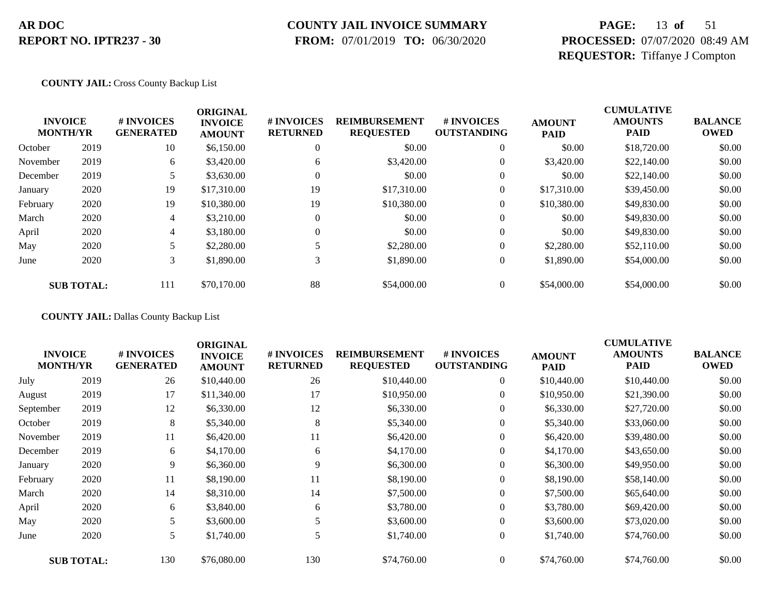### **COUNTY JAIL INVOICE SUMMARY**

 **FROM:** 07/01/2019 **TO:** 06/30/2020

## **PAGE:** 13 **of** 51 **PROCESSED:** 07/07/2020 08:49 AM **REQUESTOR:** Tiffanye J Compton

#### **COUNTY JAIL:** Cross County Backup List

|          | <b>INVOICE</b><br><b>MONTH/YR</b> | # INVOICES<br><b>GENERATED</b> | <b>ORIGINAL</b><br><b>INVOICE</b><br><b>AMOUNT</b> | # INVOICES<br><b>RETURNED</b> | <b>REIMBURSEMENT</b><br><b>REQUESTED</b> | # INVOICES<br><b>OUTSTANDING</b> | <b>AMOUNT</b><br><b>PAID</b> | <b>CUMULATIVE</b><br><b>AMOUNTS</b><br><b>PAID</b> | <b>BALANCE</b><br><b>OWED</b> |
|----------|-----------------------------------|--------------------------------|----------------------------------------------------|-------------------------------|------------------------------------------|----------------------------------|------------------------------|----------------------------------------------------|-------------------------------|
| October  | 2019                              | 10                             | \$6,150.00                                         | 0                             | \$0.00                                   | $\theta$                         | \$0.00                       | \$18,720.00                                        | \$0.00                        |
| November | 2019                              | 6                              | \$3,420.00                                         | 6                             | \$3,420.00                               | $\overline{0}$                   | \$3,420.00                   | \$22,140.00                                        | \$0.00                        |
| December | 2019                              |                                | \$3,630.00                                         | 0                             | \$0.00                                   | $\theta$                         | \$0.00                       | \$22,140.00                                        | \$0.00                        |
| January  | 2020                              | 19                             | \$17,310.00                                        | 19                            | \$17,310.00                              | $\overline{0}$                   | \$17,310.00                  | \$39,450.00                                        | \$0.00                        |
| February | 2020                              | 19                             | \$10,380.00                                        | 19                            | \$10,380.00                              | $\overline{0}$                   | \$10,380.00                  | \$49,830.00                                        | \$0.00                        |
| March    | 2020                              | 4                              | \$3,210.00                                         | $\Omega$                      | \$0.00                                   | $\theta$                         | \$0.00                       | \$49,830.00                                        | \$0.00                        |
| April    | 2020                              | 4                              | \$3,180.00                                         | 0                             | \$0.00                                   | $\theta$                         | \$0.00                       | \$49,830.00                                        | \$0.00                        |
| May      | 2020                              |                                | \$2,280.00                                         |                               | \$2,280.00                               | $\theta$                         | \$2,280.00                   | \$52,110.00                                        | \$0.00                        |
| June     | 2020                              | 3                              | \$1,890.00                                         | 3                             | \$1,890.00                               | $\boldsymbol{0}$                 | \$1,890.00                   | \$54,000.00                                        | \$0.00                        |
|          | <b>SUB TOTAL:</b>                 | 111                            | \$70,170.00                                        | 88                            | \$54,000.00                              | $\theta$                         | \$54,000.00                  | \$54,000.00                                        | \$0.00                        |

**COUNTY JAIL:** Dallas County Backup List

| <b>INVOICE</b><br><b>MONTH/YR</b> |                   | # INVOICES<br><b>GENERATED</b> | <b>ORIGINAL</b><br><b>INVOICE</b><br><b>AMOUNT</b> | # INVOICES<br><b>RETURNED</b> | <b>REIMBURSEMENT</b><br><b>REQUESTED</b> | # INVOICES<br><b>OUTSTANDING</b> | <b>AMOUNT</b><br><b>PAID</b> | <b>CUMULATIVE</b><br><b>AMOUNTS</b><br><b>PAID</b> | <b>BALANCE</b><br><b>OWED</b> |
|-----------------------------------|-------------------|--------------------------------|----------------------------------------------------|-------------------------------|------------------------------------------|----------------------------------|------------------------------|----------------------------------------------------|-------------------------------|
| July                              | 2019              | 26                             | \$10,440.00                                        | 26                            | \$10,440.00                              | $\overline{0}$                   | \$10,440.00                  | \$10,440.00                                        | \$0.00                        |
| August                            | 2019              | 17                             | \$11,340.00                                        | 17                            | \$10,950.00                              | $\boldsymbol{0}$                 | \$10,950.00                  | \$21,390.00                                        | \$0.00                        |
| September                         | 2019              | 12                             | \$6,330.00                                         | 12                            | \$6,330.00                               | $\overline{0}$                   | \$6,330.00                   | \$27,720.00                                        | \$0.00                        |
| October                           | 2019              | 8                              | \$5,340.00                                         | 8                             | \$5,340.00                               | $\overline{0}$                   | \$5,340.00                   | \$33,060.00                                        | \$0.00                        |
| November                          | 2019              | 11                             | \$6,420.00                                         | 11                            | \$6,420.00                               | $\overline{0}$                   | \$6,420.00                   | \$39,480.00                                        | \$0.00                        |
| December                          | 2019              | 6                              | \$4,170.00                                         | 6                             | \$4,170.00                               | $\overline{0}$                   | \$4,170.00                   | \$43,650.00                                        | \$0.00                        |
| January                           | 2020              | 9                              | \$6,360.00                                         | 9                             | \$6,300.00                               | $\overline{0}$                   | \$6,300.00                   | \$49,950.00                                        | \$0.00                        |
| February                          | 2020              | 11                             | \$8,190.00                                         | 11                            | \$8,190.00                               | $\boldsymbol{0}$                 | \$8,190.00                   | \$58,140.00                                        | \$0.00                        |
| March                             | 2020              | 14                             | \$8,310.00                                         | 14                            | \$7,500.00                               | $\overline{0}$                   | \$7,500.00                   | \$65,640.00                                        | \$0.00                        |
| April                             | 2020              | 6                              | \$3,840.00                                         | 6                             | \$3,780.00                               | $\overline{0}$                   | \$3,780.00                   | \$69,420.00                                        | \$0.00                        |
| May                               | 2020              | 5                              | \$3,600.00                                         |                               | \$3,600.00                               | $\overline{0}$                   | \$3,600.00                   | \$73,020.00                                        | \$0.00                        |
| June                              | 2020              | 5                              | \$1,740.00                                         | 5                             | \$1,740.00                               | $\boldsymbol{0}$                 | \$1,740.00                   | \$74,760.00                                        | \$0.00                        |
|                                   | <b>SUB TOTAL:</b> | 130                            | \$76,080.00                                        | 130                           | \$74,760.00                              | $\overline{0}$                   | \$74,760.00                  | \$74,760.00                                        | \$0.00                        |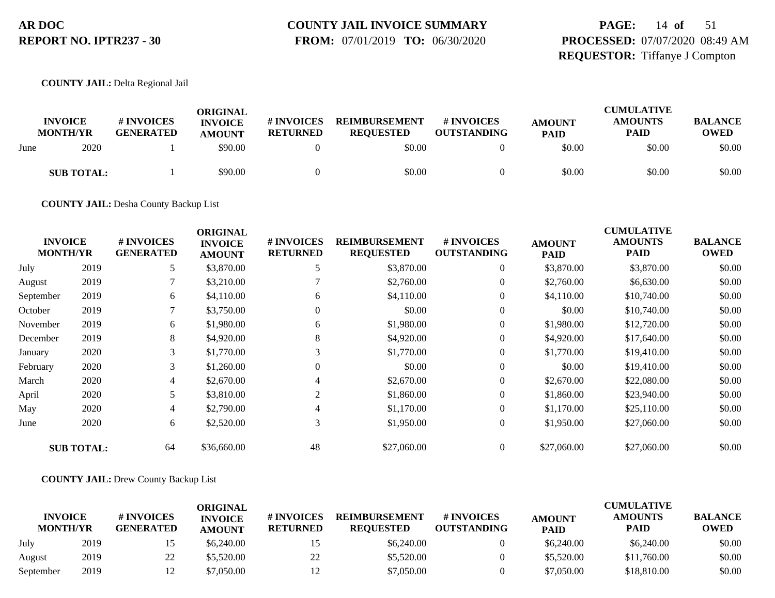# **COUNTY JAIL INVOICE SUMMARY**

 **FROM:** 07/01/2019 **TO:** 06/30/2020

## **PAGE:** 14 **of** 51 **PROCESSED:** 07/07/2020 08:49 AM **REQUESTOR:** Tiffanye J Compton

**COUNTY JAIL:** Delta Regional Jail

|      | <b>INVOICE</b><br><b>MONTH/YR</b> | # INVOICES<br><b>GENERATED</b> | ORIGINAL<br><b>INVOICE</b><br><b>AMOUNT</b> | <b>#INVOICES</b><br><b>RETURNED</b> | <b>REIMBURSEMENT</b><br><b>REOUESTED</b> | <b># INVOICES</b><br><b>OUTSTANDING</b> | <b>AMOUNT</b><br><b>PAID</b> | <b>CUMULATIVE</b><br><b>AMOUNTS</b><br><b>PAID</b> | <b>BALANCE</b><br>OWED |
|------|-----------------------------------|--------------------------------|---------------------------------------------|-------------------------------------|------------------------------------------|-----------------------------------------|------------------------------|----------------------------------------------------|------------------------|
| June | 2020                              |                                | \$90.00                                     |                                     | \$0.00                                   |                                         | \$0.00                       | \$0.00                                             | \$0.00                 |
|      | <b>SUB TOTAL:</b>                 |                                | \$90.00                                     |                                     | \$0.00                                   |                                         | \$0.00                       | \$0.00                                             | \$0.00                 |

**COUNTY JAIL:** Desha County Backup List

| <b>INVOICE</b><br><b>MONTH/YR</b> |                   | # INVOICES<br><b>GENERATED</b> | <b>ORIGINAL</b><br><b>INVOICE</b><br><b>AMOUNT</b> | # INVOICES<br><b>RETURNED</b> | <b>REIMBURSEMENT</b><br><b>REQUESTED</b> | # INVOICES<br><b>OUTSTANDING</b> | <b>AMOUNT</b><br><b>PAID</b> | <b>CUMULATIVE</b><br><b>AMOUNTS</b><br><b>PAID</b> | <b>BALANCE</b><br><b>OWED</b> |
|-----------------------------------|-------------------|--------------------------------|----------------------------------------------------|-------------------------------|------------------------------------------|----------------------------------|------------------------------|----------------------------------------------------|-------------------------------|
| July                              | 2019              | 5                              | \$3,870.00                                         | 5                             | \$3,870.00                               | $\boldsymbol{0}$                 | \$3,870.00                   | \$3,870.00                                         | \$0.00                        |
| August                            | 2019              |                                | \$3,210.00                                         |                               | \$2,760.00                               | $\boldsymbol{0}$                 | \$2,760.00                   | \$6,630.00                                         | \$0.00                        |
| September                         | 2019              | 6                              | \$4,110.00                                         | 6                             | \$4,110.00                               | $\overline{0}$                   | \$4,110.00                   | \$10,740.00                                        | \$0.00                        |
| October                           | 2019              |                                | \$3,750.00                                         | $\theta$                      | \$0.00                                   | $\theta$                         | \$0.00                       | \$10,740.00                                        | \$0.00                        |
| November                          | 2019              | 6                              | \$1,980.00                                         | 6                             | \$1,980.00                               | $\theta$                         | \$1,980.00                   | \$12,720.00                                        | \$0.00                        |
| December                          | 2019              | 8                              | \$4,920.00                                         | 8                             | \$4,920.00                               | $\overline{0}$                   | \$4,920.00                   | \$17,640.00                                        | \$0.00                        |
| January                           | 2020              | 3                              | \$1,770.00                                         | 3                             | \$1,770.00                               | $\boldsymbol{0}$                 | \$1,770.00                   | \$19,410.00                                        | \$0.00                        |
| February                          | 2020              | 3                              | \$1,260.00                                         | $\Omega$                      | \$0.00                                   | $\theta$                         | \$0.00                       | \$19,410.00                                        | \$0.00                        |
| March                             | 2020              | 4                              | \$2,670.00                                         |                               | \$2,670.00                               | $\overline{0}$                   | \$2,670.00                   | \$22,080.00                                        | \$0.00                        |
| April                             | 2020              | 5                              | \$3,810.00                                         | 2                             | \$1,860.00                               | $\theta$                         | \$1,860.00                   | \$23,940.00                                        | \$0.00                        |
| May                               | 2020              | 4                              | \$2,790.00                                         | 4                             | \$1,170.00                               | $\overline{0}$                   | \$1,170.00                   | \$25,110.00                                        | \$0.00                        |
| June                              | 2020              | 6                              | \$2,520.00                                         | 3                             | \$1,950.00                               | $\theta$                         | \$1,950.00                   | \$27,060.00                                        | \$0.00                        |
|                                   | <b>SUB TOTAL:</b> | 64                             | \$36,660.00                                        | 48                            | \$27,060.00                              | $\overline{0}$                   | \$27,060.00                  | \$27,060.00                                        | \$0.00                        |

#### **COUNTY JAIL:** Drew County Backup List

|                                   |      |                                | <b>ORIGINAL</b>                 |                               |                                          |                                  |                              | <b>CUMULATIVE</b>      |                               |
|-----------------------------------|------|--------------------------------|---------------------------------|-------------------------------|------------------------------------------|----------------------------------|------------------------------|------------------------|-------------------------------|
| <b>INVOICE</b><br><b>MONTH/YR</b> |      | # INVOICES<br><b>GENERATED</b> | <b>INVOICE</b><br><b>AMOUNT</b> | # INVOICES<br><b>RETURNED</b> | <b>REIMBURSEMENT</b><br><b>REOUESTED</b> | # INVOICES<br><b>OUTSTANDING</b> | <b>AMOUNT</b><br><b>PAID</b> | <b>AMOUNTS</b><br>PAID | <b>BALANCE</b><br><b>OWED</b> |
| July                              | 2019 | כ 1                            | \$6,240.00                      |                               | \$6,240.00                               |                                  | \$6,240.00                   | \$6,240.00             | \$0.00                        |
| August                            | 2019 | 22                             | \$5,520.00                      | 22                            | \$5,520.00                               |                                  | \$5,520.00                   | \$11,760.00            | \$0.00                        |
| September                         | 2019 | 12                             | \$7.050.00                      | 12                            | \$7.050.00                               |                                  | \$7,050.00                   | \$18,810.00            | \$0.00                        |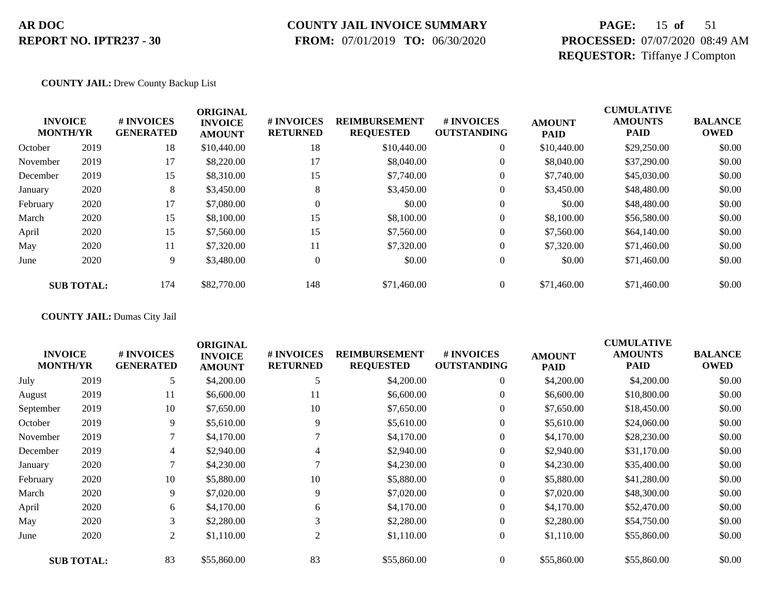### **COUNTY JAIL INVOICE SUMMARY**

 **FROM:** 07/01/2019 **TO:** 06/30/2020

## **PAGE:** 15 **of** 51 **PROCESSED:** 07/07/2020 08:49 AM **REQUESTOR:** Tiffanye J Compton

#### **COUNTY JAIL:** Drew County Backup List

|          | <b>INVOICE</b><br><b>MONTH/YR</b> | # INVOICES<br><b>GENERATED</b> | <b>ORIGINAL</b><br><b>INVOICE</b><br><b>AMOUNT</b> | # INVOICES<br><b>RETURNED</b> | <b>REIMBURSEMENT</b><br><b>REQUESTED</b> | <b>#INVOICES</b><br><b>OUTSTANDING</b> | <b>AMOUNT</b><br><b>PAID</b> | <b>CUMULATIVE</b><br><b>AMOUNTS</b><br><b>PAID</b> | <b>BALANCE</b><br><b>OWED</b> |
|----------|-----------------------------------|--------------------------------|----------------------------------------------------|-------------------------------|------------------------------------------|----------------------------------------|------------------------------|----------------------------------------------------|-------------------------------|
| October  | 2019                              | 18                             | \$10,440.00                                        | 18                            | \$10,440.00                              | $\overline{0}$                         | \$10,440.00                  | \$29,250.00                                        | \$0.00                        |
| November | 2019                              | 17                             | \$8,220.00                                         | 17                            | \$8,040.00                               | $\theta$                               | \$8,040.00                   | \$37,290.00                                        | \$0.00                        |
| December | 2019                              | 15                             | \$8,310.00                                         | 15                            | \$7,740.00                               | $\theta$                               | \$7,740.00                   | \$45,030.00                                        | \$0.00                        |
| January  | 2020                              | 8                              | \$3,450.00                                         | 8                             | \$3,450.00                               | $\theta$                               | \$3,450.00                   | \$48,480.00                                        | \$0.00                        |
| February | 2020                              | 17                             | \$7,080.00                                         | $\Omega$                      | \$0.00                                   | $\overline{0}$                         | \$0.00                       | \$48,480.00                                        | \$0.00                        |
| March    | 2020                              | 15                             | \$8,100.00                                         | 15                            | \$8,100.00                               | $\overline{0}$                         | \$8,100.00                   | \$56,580.00                                        | \$0.00                        |
| April    | 2020                              | 15                             | \$7,560.00                                         | 15                            | \$7,560.00                               | $\overline{0}$                         | \$7,560.00                   | \$64,140.00                                        | \$0.00                        |
| May      | 2020                              | 11                             | \$7,320.00                                         | 11                            | \$7,320.00                               | $\Omega$                               | \$7,320.00                   | \$71,460.00                                        | \$0.00                        |
| June     | 2020                              | 9                              | \$3,480.00                                         | $\mathbf{0}$                  | \$0.00                                   | $\overline{0}$                         | \$0.00                       | \$71,460.00                                        | \$0.00                        |
|          | <b>SUB TOTAL:</b>                 | 174                            | \$82,770.00                                        | 148                           | \$71,460.00                              | $\overline{0}$                         | \$71,460.00                  | \$71,460.00                                        | \$0.00                        |

**COUNTY JAIL:** Dumas City Jail

|           | <b>INVOICE</b><br><b>MONTH/YR</b> | # INVOICES<br><b>GENERATED</b> | <b>ORIGINAL</b><br><b>INVOICE</b><br><b>AMOUNT</b> | # INVOICES<br><b>RETURNED</b> | <b>REIMBURSEMENT</b><br><b>REQUESTED</b> | # INVOICES<br><b>OUTSTANDING</b> | <b>AMOUNT</b><br><b>PAID</b> | <b>CUMULATIVE</b><br><b>AMOUNTS</b><br><b>PAID</b> | <b>BALANCE</b><br><b>OWED</b> |
|-----------|-----------------------------------|--------------------------------|----------------------------------------------------|-------------------------------|------------------------------------------|----------------------------------|------------------------------|----------------------------------------------------|-------------------------------|
| July      | 2019                              | 5                              | \$4,200.00                                         |                               | \$4,200.00                               | $\overline{0}$                   | \$4,200.00                   | \$4,200.00                                         | \$0.00                        |
| August    | 2019                              | 11                             | \$6,600.00                                         | 11                            | \$6,600.00                               | $\overline{0}$                   | \$6,600.00                   | \$10,800.00                                        | \$0.00                        |
| September | 2019                              | 10                             | \$7,650.00                                         | 10                            | \$7,650.00                               | $\overline{0}$                   | \$7,650.00                   | \$18,450.00                                        | \$0.00                        |
| October   | 2019                              | 9                              | \$5,610.00                                         | 9                             | \$5,610.00                               | $\boldsymbol{0}$                 | \$5,610.00                   | \$24,060.00                                        | \$0.00                        |
| November  | 2019                              |                                | \$4,170.00                                         |                               | \$4,170.00                               | $\overline{0}$                   | \$4,170.00                   | \$28,230.00                                        | \$0.00                        |
| December  | 2019                              | 4                              | \$2,940.00                                         | 4                             | \$2,940.00                               | $\overline{0}$                   | \$2,940.00                   | \$31,170.00                                        | \$0.00                        |
| January   | 2020                              | 7                              | \$4,230.00                                         |                               | \$4,230.00                               | $\theta$                         | \$4,230.00                   | \$35,400.00                                        | \$0.00                        |
| February  | 2020                              | 10                             | \$5,880.00                                         | 10                            | \$5,880.00                               | $\overline{0}$                   | \$5,880.00                   | \$41,280.00                                        | \$0.00                        |
| March     | 2020                              | 9                              | \$7,020.00                                         | 9                             | \$7,020.00                               | $\overline{0}$                   | \$7,020.00                   | \$48,300.00                                        | \$0.00                        |
| April     | 2020                              | 6                              | \$4,170.00                                         | 6                             | \$4,170.00                               | $\overline{0}$                   | \$4,170.00                   | \$52,470.00                                        | \$0.00                        |
| May       | 2020                              | 3                              | \$2,280.00                                         | 3                             | \$2,280.00                               | $\boldsymbol{0}$                 | \$2,280.00                   | \$54,750.00                                        | \$0.00                        |
| June      | 2020                              | $\overline{2}$                 | \$1,110.00                                         | 2                             | \$1,110.00                               | $\overline{0}$                   | \$1,110.00                   | \$55,860.00                                        | \$0.00                        |
|           | <b>SUB TOTAL:</b>                 | 83                             | \$55,860.00                                        | 83                            | \$55,860.00                              | $\overline{0}$                   | \$55,860.00                  | \$55,860.00                                        | \$0.00                        |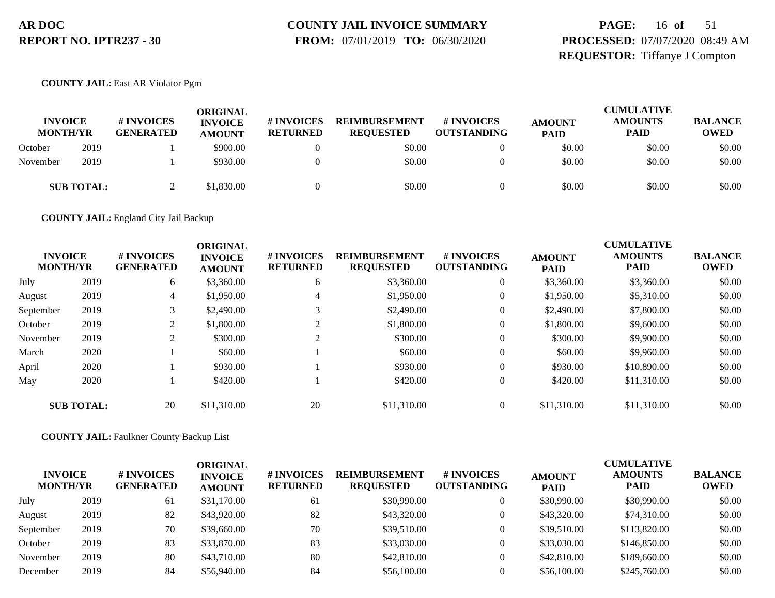## **COUNTY JAIL INVOICE SUMMARY**

 **FROM:** 07/01/2019 **TO:** 06/30/2020

## **PAGE:** 16 **of** 51 **PROCESSED:** 07/07/2020 08:49 AM **REQUESTOR:** Tiffanye J Compton

#### **COUNTY JAIL:** East AR Violator Pgm

| <b>INVOICE</b><br><b>MONTH/YR</b> |                   | # INVOICES<br><b>GENERATED</b> | ORIGINAL<br><b>INVOICE</b><br><b>AMOUNT</b> | <b>#INVOICES</b><br><b>RETURNED</b> | <b>REIMBURSEMENT</b><br><b>REOUESTED</b> | <b># INVOICES</b><br><b>OUTSTANDING</b> | <b>AMOUNT</b><br><b>PAID</b> | <b>CUMULATIVE</b><br><b>AMOUNTS</b><br><b>PAID</b> | <b>BALANCE</b><br><b>OWED</b> |
|-----------------------------------|-------------------|--------------------------------|---------------------------------------------|-------------------------------------|------------------------------------------|-----------------------------------------|------------------------------|----------------------------------------------------|-------------------------------|
| October                           | 2019              |                                | \$900.00                                    |                                     | \$0.00                                   |                                         | \$0.00                       | \$0.00                                             | \$0.00                        |
| November                          | 2019              |                                | \$930.00                                    |                                     | \$0.00                                   |                                         | \$0.00                       | \$0.00                                             | \$0.00                        |
|                                   | <b>SUB TOTAL:</b> |                                | \$1,830.00                                  |                                     | \$0.00                                   |                                         | \$0.00                       | \$0.00                                             | \$0.00                        |

**COUNTY JAIL:** England City Jail Backup

| <b>INVOICE</b><br><b>MONTH/YR</b> |                   | # INVOICES<br><b>GENERATED</b> | <b>ORIGINAL</b><br><b>INVOICE</b> | # INVOICES<br><b>RETURNED</b> | <b>REIMBURSEMENT</b><br><b>REQUESTED</b> | # INVOICES<br><b>OUTSTANDING</b> | <b>AMOUNT</b> | <b>CUMULATIVE</b><br><b>AMOUNTS</b><br><b>PAID</b> | <b>BALANCE</b><br><b>OWED</b> |
|-----------------------------------|-------------------|--------------------------------|-----------------------------------|-------------------------------|------------------------------------------|----------------------------------|---------------|----------------------------------------------------|-------------------------------|
|                                   |                   |                                | <b>AMOUNT</b>                     |                               |                                          |                                  | <b>PAID</b>   |                                                    |                               |
| July                              | 2019              | 6                              | \$3,360.00                        | 6                             | \$3,360.00                               | $\overline{0}$                   | \$3,360.00    | \$3,360.00                                         | \$0.00                        |
| August                            | 2019              | 4                              | \$1,950.00                        | 4                             | \$1,950.00                               | $\overline{0}$                   | \$1,950.00    | \$5,310.00                                         | \$0.00                        |
| September                         | 2019              | 3                              | \$2,490.00                        |                               | \$2,490.00                               | $\overline{0}$                   | \$2,490.00    | \$7,800.00                                         | \$0.00                        |
| October                           | 2019              | 2                              | \$1,800.00                        |                               | \$1,800.00                               | $\overline{0}$                   | \$1,800.00    | \$9,600.00                                         | \$0.00                        |
| November                          | 2019              | 2                              | \$300.00                          |                               | \$300.00                                 | $\boldsymbol{0}$                 | \$300.00      | \$9,900.00                                         | \$0.00                        |
| March                             | 2020              |                                | \$60.00                           |                               | \$60.00                                  | $\overline{0}$                   | \$60.00       | \$9,960.00                                         | \$0.00                        |
| April                             | 2020              |                                | \$930.00                          |                               | \$930.00                                 | $\overline{0}$                   | \$930.00      | \$10,890.00                                        | \$0.00                        |
| May                               | 2020              |                                | \$420.00                          |                               | \$420.00                                 | $\overline{0}$                   | \$420.00      | \$11,310.00                                        | \$0.00                        |
|                                   | <b>SUB TOTAL:</b> | 20                             | \$11,310.00                       | 20                            | \$11,310.00                              | $\overline{0}$                   | \$11,310.00   | \$11,310.00                                        | \$0.00                        |

**COUNTY JAIL:** Faulkner County Backup List

| <b>INVOICE</b><br><b>MONTH/YR</b> |      | # INVOICES<br><b>GENERATED</b> | ORIGINAL<br><b>INVOICE</b><br><b>AMOUNT</b> | <b># INVOICES</b><br><b>RETURNED</b> | <b>REIMBURSEMENT</b><br><b>REQUESTED</b> | # INVOICES<br><b>OUTSTANDING</b> | <b>AMOUNT</b><br><b>PAID</b> | <b>CUMULATIVE</b><br><b>AMOUNTS</b><br><b>PAID</b> | <b>BALANCE</b><br><b>OWED</b> |
|-----------------------------------|------|--------------------------------|---------------------------------------------|--------------------------------------|------------------------------------------|----------------------------------|------------------------------|----------------------------------------------------|-------------------------------|
| July                              | 2019 | 61                             | \$31,170.00                                 | 61                                   | \$30,990.00                              |                                  | \$30,990.00                  | \$30,990.00                                        | \$0.00                        |
| August                            | 2019 | 82                             | \$43,920.00                                 | 82                                   | \$43,320.00                              |                                  | \$43,320.00                  | \$74,310.00                                        | \$0.00                        |
| September                         | 2019 | 70                             | \$39,660.00                                 | 70                                   | \$39,510.00                              |                                  | \$39,510.00                  | \$113,820.00                                       | \$0.00                        |
| October                           | 2019 | 83                             | \$33,870.00                                 | 83                                   | \$33,030.00                              |                                  | \$33,030.00                  | \$146,850.00                                       | \$0.00                        |
| November                          | 2019 | 80                             | \$43,710.00                                 | 80                                   | \$42,810.00                              |                                  | \$42,810.00                  | \$189,660.00                                       | \$0.00                        |
| December                          | 2019 | 84                             | \$56,940.00                                 | 84                                   | \$56,100.00                              |                                  | \$56,100.00                  | \$245,760.00                                       | \$0.00                        |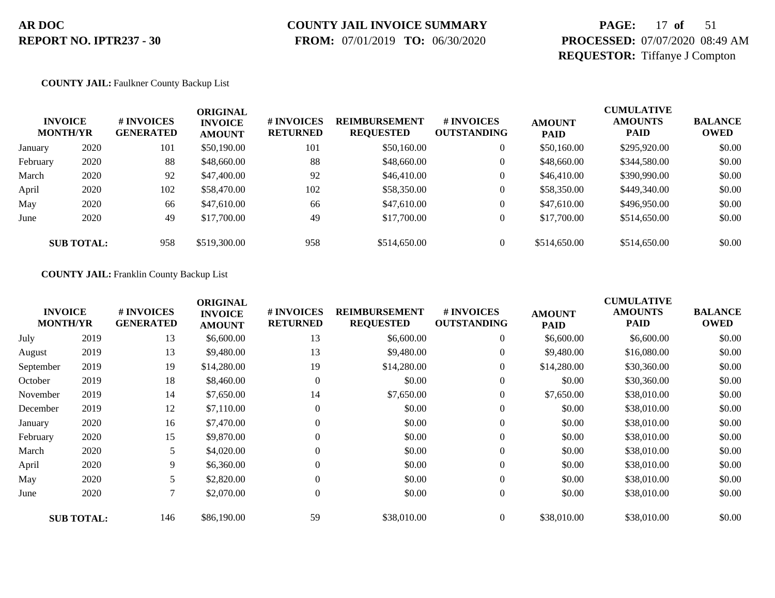## **COUNTY JAIL INVOICE SUMMARY**

 **FROM:** 07/01/2019 **TO:** 06/30/2020

## **PAGE:** 17 **of** 51 **PROCESSED:** 07/07/2020 08:49 AM **REQUESTOR:** Tiffanye J Compton

#### **COUNTY JAIL:** Faulkner County Backup List

|          | <b>INVOICE</b><br><b>MONTH/YR</b> | # INVOICES<br><b>GENERATED</b> | ORIGINAL<br><b>INVOICE</b><br><b>AMOUNT</b> | <b># INVOICES</b><br><b>RETURNED</b> | <b>REIMBURSEMENT</b><br><b>REQUESTED</b> | # INVOICES<br><b>OUTSTANDING</b> | <b>AMOUNT</b><br><b>PAID</b> | <b>CUMULATIVE</b><br><b>AMOUNTS</b><br><b>PAID</b> | <b>BALANCE</b><br><b>OWED</b> |
|----------|-----------------------------------|--------------------------------|---------------------------------------------|--------------------------------------|------------------------------------------|----------------------------------|------------------------------|----------------------------------------------------|-------------------------------|
| January  | 2020                              | 101                            | \$50,190.00                                 | 101                                  | \$50,160.00                              | $\overline{0}$                   | \$50,160.00                  | \$295,920.00                                       | \$0.00                        |
| February | 2020                              | 88                             | \$48,660.00                                 | 88                                   | \$48,660.00                              | $\theta$                         | \$48,660.00                  | \$344,580.00                                       | \$0.00                        |
| March    | 2020                              | 92                             | \$47,400.00                                 | 92                                   | \$46,410.00                              | $\overline{0}$                   | \$46,410.00                  | \$390,990.00                                       | \$0.00                        |
| April    | 2020                              | 102                            | \$58,470.00                                 | 102                                  | \$58,350.00                              | $\overline{0}$                   | \$58,350.00                  | \$449,340.00                                       | \$0.00                        |
| May      | 2020                              | 66                             | \$47,610.00                                 | 66                                   | \$47,610.00                              | $\overline{0}$                   | \$47,610.00                  | \$496,950.00                                       | \$0.00                        |
| June     | 2020                              | 49                             | \$17,700.00                                 | 49                                   | \$17,700.00                              | $\overline{0}$                   | \$17,700.00                  | \$514,650.00                                       | \$0.00                        |
|          | <b>SUB TOTAL:</b>                 | 958                            | \$519,300.00                                | 958                                  | \$514,650.00                             | $\Omega$                         | \$514,650.00                 | \$514,650.00                                       | \$0.00                        |

#### **COUNTY JAIL:** Franklin County Backup List

|           | <b>INVOICE</b><br><b>MONTH/YR</b> | # INVOICES<br><b>GENERATED</b> | <b>ORIGINAL</b><br><b>INVOICE</b><br><b>AMOUNT</b> | # INVOICES<br><b>RETURNED</b> | <b>REIMBURSEMENT</b><br><b>REQUESTED</b> | # INVOICES<br><b>OUTSTANDING</b> | <b>AMOUNT</b><br><b>PAID</b> | <b>CUMULATIVE</b><br><b>AMOUNTS</b><br><b>PAID</b> | <b>BALANCE</b><br><b>OWED</b> |
|-----------|-----------------------------------|--------------------------------|----------------------------------------------------|-------------------------------|------------------------------------------|----------------------------------|------------------------------|----------------------------------------------------|-------------------------------|
| July      | 2019                              | 13                             | \$6,600.00                                         | 13                            | \$6,600.00                               | $\overline{0}$                   | \$6,600.00                   | \$6,600.00                                         | \$0.00                        |
| August    | 2019                              | 13                             | \$9,480.00                                         | 13                            | \$9,480.00                               | $\overline{0}$                   | \$9,480.00                   | \$16,080.00                                        | \$0.00                        |
| September | 2019                              | 19                             | \$14,280.00                                        | 19                            | \$14,280.00                              | $\overline{0}$                   | \$14,280.00                  | \$30,360.00                                        | \$0.00                        |
| October   | 2019                              | 18                             | \$8,460.00                                         | $\overline{0}$                | \$0.00                                   | $\overline{0}$                   | \$0.00                       | \$30,360.00                                        | \$0.00                        |
| November  | 2019                              | 14                             | \$7,650.00                                         | 14                            | \$7,650.00                               | $\boldsymbol{0}$                 | \$7,650.00                   | \$38,010.00                                        | \$0.00                        |
| December  | 2019                              | 12                             | \$7,110.00                                         | $\theta$                      | \$0.00                                   | $\overline{0}$                   | \$0.00                       | \$38,010.00                                        | \$0.00                        |
| January   | 2020                              | 16                             | \$7,470.00                                         |                               | \$0.00                                   | $\overline{0}$                   | \$0.00                       | \$38,010.00                                        | \$0.00                        |
| February  | 2020                              | 15                             | \$9,870.00                                         | $\Omega$                      | \$0.00                                   | $\boldsymbol{0}$                 | \$0.00                       | \$38,010.00                                        | \$0.00                        |
| March     | 2020                              | 5                              | \$4,020.00                                         | $\Omega$                      | \$0.00                                   | $\boldsymbol{0}$                 | \$0.00                       | \$38,010.00                                        | \$0.00                        |
| April     | 2020                              | 9.                             | \$6,360.00                                         | $\theta$                      | \$0.00                                   | $\boldsymbol{0}$                 | \$0.00                       | \$38,010.00                                        | \$0.00                        |
| May       | 2020                              | 5                              | \$2,820.00                                         | $\Omega$                      | \$0.00                                   | $\overline{0}$                   | \$0.00                       | \$38,010.00                                        | \$0.00                        |
| June      | 2020                              | 7                              | \$2,070.00                                         | $\theta$                      | \$0.00                                   | $\boldsymbol{0}$                 | \$0.00                       | \$38,010.00                                        | \$0.00                        |
|           | <b>SUB TOTAL:</b>                 | 146                            | \$86,190.00                                        | 59                            | \$38,010.00                              | $\overline{0}$                   | \$38,010.00                  | \$38,010.00                                        | \$0.00                        |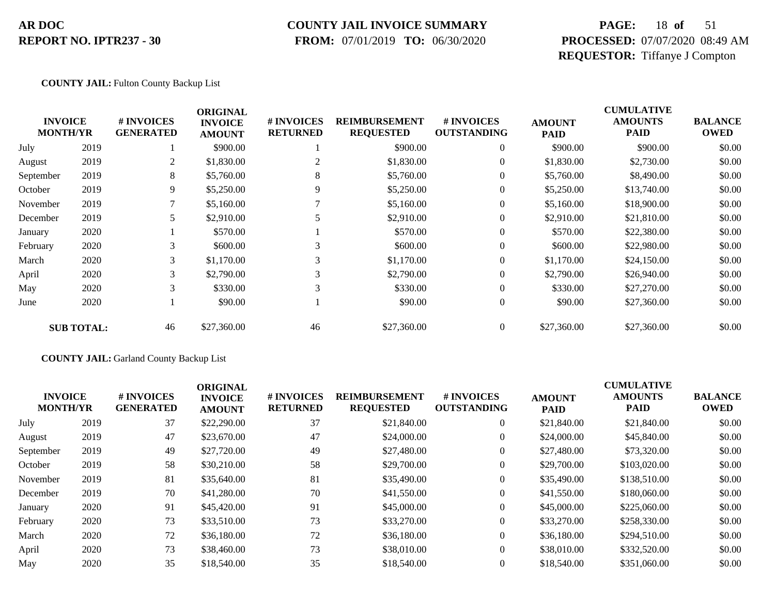#### **COUNTY JAIL INVOICE SUMMARY**

 **FROM:** 07/01/2019 **TO:** 06/30/2020

## **PAGE:** 18 **of** 51 **PROCESSED:** 07/07/2020 08:49 AM **REQUESTOR:** Tiffanye J Compton

#### **COUNTY JAIL:** Fulton County Backup List

|                                   |                   |                                | <b>ORIGINAL</b>                 |                               |                                          |                                  |                              | <b>CUMULATIVE</b>      |                               |
|-----------------------------------|-------------------|--------------------------------|---------------------------------|-------------------------------|------------------------------------------|----------------------------------|------------------------------|------------------------|-------------------------------|
| <b>INVOICE</b><br><b>MONTH/YR</b> |                   | # INVOICES<br><b>GENERATED</b> | <b>INVOICE</b><br><b>AMOUNT</b> | # INVOICES<br><b>RETURNED</b> | <b>REIMBURSEMENT</b><br><b>REQUESTED</b> | # INVOICES<br><b>OUTSTANDING</b> | <b>AMOUNT</b><br><b>PAID</b> | <b>AMOUNTS</b><br>PAID | <b>BALANCE</b><br><b>OWED</b> |
| July                              | 2019              |                                | \$900.00                        |                               | \$900.00                                 | $\overline{0}$                   | \$900.00                     | \$900.00               | \$0.00                        |
| August                            | 2019              | 2                              | \$1,830.00                      | 2                             | \$1,830.00                               | $\overline{0}$                   | \$1,830.00                   | \$2,730.00             | \$0.00                        |
| September                         | 2019              | 8                              | \$5,760.00                      | 8                             | \$5,760.00                               | $\theta$                         | \$5,760.00                   | \$8,490.00             | \$0.00                        |
| October                           | 2019              | 9                              | \$5,250.00                      | 9                             | \$5,250.00                               | $\overline{0}$                   | \$5,250.00                   | \$13,740.00            | \$0.00                        |
| November                          | 2019              | 7                              | \$5,160.00                      |                               | \$5,160.00                               | $\theta$                         | \$5,160.00                   | \$18,900.00            | \$0.00                        |
| December                          | 2019              |                                | \$2,910.00                      |                               | \$2,910.00                               | $\theta$                         | \$2,910.00                   | \$21,810.00            | \$0.00                        |
| January                           | 2020              |                                | \$570.00                        |                               | \$570.00                                 | $\theta$                         | \$570.00                     | \$22,380.00            | \$0.00                        |
| February                          | 2020              | 3                              | \$600.00                        | 3                             | \$600.00                                 | $\theta$                         | \$600.00                     | \$22,980.00            | \$0.00                        |
| March                             | 2020              | 3                              | \$1,170.00                      | 3                             | \$1,170.00                               | $\theta$                         | \$1,170.00                   | \$24,150.00            | \$0.00                        |
| April                             | 2020              | 3                              | \$2,790.00                      | 3                             | \$2,790.00                               | $\theta$                         | \$2,790.00                   | \$26,940.00            | \$0.00                        |
| May                               | 2020              | 3                              | \$330.00                        | 3                             | \$330.00                                 | $\overline{0}$                   | \$330.00                     | \$27,270.00            | \$0.00                        |
| June                              | 2020              |                                | \$90.00                         |                               | \$90.00                                  | $\boldsymbol{0}$                 | \$90.00                      | \$27,360.00            | \$0.00                        |
|                                   | <b>SUB TOTAL:</b> | 46                             | \$27,360.00                     | 46                            | \$27,360.00                              | $\overline{0}$                   | \$27,360.00                  | \$27,360.00            | \$0.00                        |

#### **COUNTY JAIL:** Garland County Backup List

| <b>INVOICE</b><br><b>MONTH/YR</b> |      | <b>#INVOICES</b><br><b>GENERATED</b> | <b>ORIGINAL</b><br><b>INVOICE</b><br><b>AMOUNT</b> | <b># INVOICES</b><br><b>RETURNED</b> | <b>REIMBURSEMENT</b><br><b>REQUESTED</b> | # INVOICES<br><b>OUTSTANDING</b> | <b>AMOUNT</b><br><b>PAID</b> | <b>CUMULATIVE</b><br><b>AMOUNTS</b><br>PAID | <b>BALANCE</b><br><b>OWED</b> |
|-----------------------------------|------|--------------------------------------|----------------------------------------------------|--------------------------------------|------------------------------------------|----------------------------------|------------------------------|---------------------------------------------|-------------------------------|
| July                              | 2019 | 37                                   | \$22,290.00                                        | 37                                   | \$21,840.00                              | $\overline{0}$                   | \$21,840.00                  | \$21,840.00                                 | \$0.00                        |
| August                            | 2019 | 47                                   | \$23,670.00                                        | 47                                   | \$24,000.00                              | $\overline{0}$                   | \$24,000.00                  | \$45,840.00                                 | \$0.00                        |
| September                         | 2019 | 49                                   | \$27,720.00                                        | 49                                   | \$27,480.00                              | 0                                | \$27,480.00                  | \$73,320.00                                 | \$0.00                        |
| October                           | 2019 | 58                                   | \$30,210.00                                        | 58                                   | \$29,700.00                              | $\overline{0}$                   | \$29,700.00                  | \$103,020.00                                | \$0.00                        |
| November                          | 2019 | 81                                   | \$35,640.00                                        | 81                                   | \$35,490.00                              | $\overline{0}$                   | \$35,490.00                  | \$138,510.00                                | \$0.00                        |
| December                          | 2019 | 70                                   | \$41,280.00                                        | 70                                   | \$41,550.00                              | $\overline{0}$                   | \$41,550.00                  | \$180,060.00                                | \$0.00                        |
| January                           | 2020 | 91                                   | \$45,420.00                                        | 91                                   | \$45,000.00                              | $\overline{0}$                   | \$45,000.00                  | \$225,060.00                                | \$0.00                        |
| February                          | 2020 | 73                                   | \$33,510.00                                        | 73                                   | \$33,270.00                              | $\overline{0}$                   | \$33,270.00                  | \$258,330.00                                | \$0.00                        |
| March                             | 2020 | 72                                   | \$36,180.00                                        | 72                                   | \$36,180.00                              | $\overline{0}$                   | \$36,180.00                  | \$294,510.00                                | \$0.00                        |
| April                             | 2020 | 73                                   | \$38,460.00                                        | 73                                   | \$38,010.00                              | $\Omega$                         | \$38,010.00                  | \$332,520.00                                | \$0.00                        |
| May                               | 2020 | 35                                   | \$18,540.00                                        | 35                                   | \$18,540.00                              | $\overline{0}$                   | \$18,540.00                  | \$351,060.00                                | \$0.00                        |
|                                   |      |                                      |                                                    |                                      |                                          |                                  |                              |                                             |                               |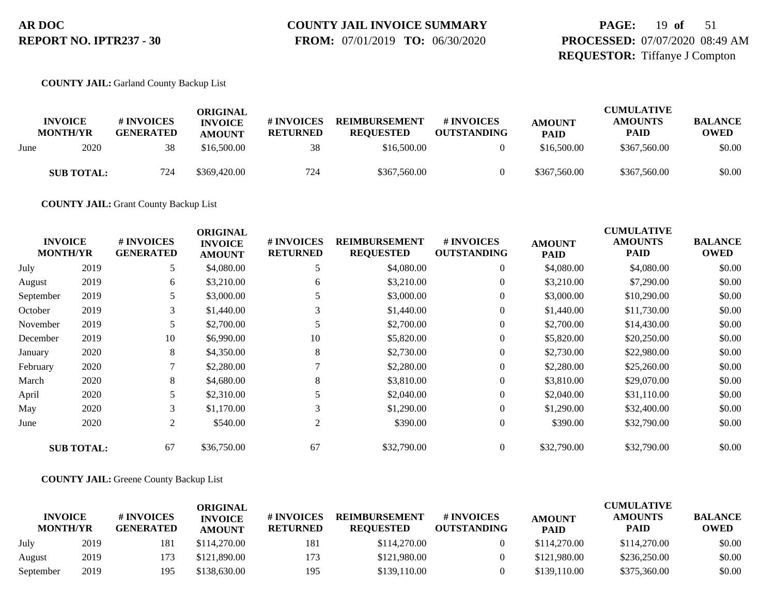# **COUNTY JAIL INVOICE SUMMARY**

 **FROM:** 07/01/2019 **TO:** 06/30/2020

## **PAGE:** 19 **of** 51 **PROCESSED:** 07/07/2020 08:49 AM **REQUESTOR:** Tiffanye J Compton

#### **COUNTY JAIL:** Garland County Backup List

|      | <b>INVOICE</b><br><b>MONTH/YR</b> | # INVOICES<br><b>GENERATED</b> | ORIGINAL<br><b>INVOICE</b><br><b>AMOUNT</b> | <b># INVOICES</b><br><b>RETURNED</b> | <b>REIMBURSEMENT</b><br><b>REQUESTED</b> | # INVOICES<br><b>OUTSTANDING</b> | <b>AMOUNT</b><br><b>PAID</b> | <b>CUMULATIVE</b><br><b>AMOUNTS</b><br><b>PAID</b> | <b>BALANCE</b><br><b>OWED</b> |
|------|-----------------------------------|--------------------------------|---------------------------------------------|--------------------------------------|------------------------------------------|----------------------------------|------------------------------|----------------------------------------------------|-------------------------------|
| June | 2020                              | 38                             | \$16,500.00                                 | 38                                   | \$16,500.00                              |                                  | \$16,500.00                  | \$367,560.00                                       | \$0.00                        |
|      | <b>SUB TOTAL:</b>                 | 724                            | \$369,420.00                                | 724                                  | \$367,560.00                             |                                  | \$367,560.00                 | \$367,560.00                                       | \$0.00                        |

**COUNTY JAIL:** Grant County Backup List

| <b>INVOICE</b><br><b>MONTH/YR</b> |                   | # INVOICES<br><b>GENERATED</b> | <b>ORIGINAL</b><br><b>INVOICE</b><br><b>AMOUNT</b> | # INVOICES<br><b>RETURNED</b> | <b>REIMBURSEMENT</b><br><b>REQUESTED</b> | # INVOICES<br><b>OUTSTANDING</b> | <b>AMOUNT</b><br><b>PAID</b> | <b>CUMULATIVE</b><br><b>AMOUNTS</b><br><b>PAID</b> | <b>BALANCE</b><br><b>OWED</b> |
|-----------------------------------|-------------------|--------------------------------|----------------------------------------------------|-------------------------------|------------------------------------------|----------------------------------|------------------------------|----------------------------------------------------|-------------------------------|
| July                              | 2019              | 5                              | \$4,080.00                                         | 5                             | \$4,080.00                               | $\overline{0}$                   | \$4,080.00                   | \$4,080.00                                         | \$0.00                        |
| August                            | 2019              | 6                              | \$3,210.00                                         | 6                             | \$3,210.00                               | $\overline{0}$                   | \$3,210.00                   | \$7,290.00                                         | \$0.00                        |
| September                         | 2019              |                                | \$3,000.00                                         |                               | \$3,000.00                               | $\overline{0}$                   | \$3,000.00                   | \$10,290.00                                        | \$0.00                        |
| October                           | 2019              | 3                              | \$1,440.00                                         |                               | \$1,440.00                               | $\overline{0}$                   | \$1,440.00                   | \$11,730.00                                        | \$0.00                        |
| November                          | 2019              | 5                              | \$2,700.00                                         | 5                             | \$2,700.00                               | $\overline{0}$                   | \$2,700.00                   | \$14,430.00                                        | \$0.00                        |
| December                          | 2019              | 10                             | \$6,990.00                                         | 10                            | \$5,820.00                               | $\overline{0}$                   | \$5,820.00                   | \$20,250.00                                        | \$0.00                        |
| January                           | 2020              | 8                              | \$4,350.00                                         | 8                             | \$2,730.00                               | $\mathbf{0}$                     | \$2,730.00                   | \$22,980.00                                        | \$0.00                        |
| February                          | 2020              | $\mathbf{\tau}$                | \$2,280.00                                         |                               | \$2,280.00                               | $\overline{0}$                   | \$2,280.00                   | \$25,260.00                                        | \$0.00                        |
| March                             | 2020              | 8                              | \$4,680.00                                         | 8                             | \$3,810.00                               | $\overline{0}$                   | \$3,810.00                   | \$29,070.00                                        | \$0.00                        |
| April                             | 2020              | 5                              | \$2,310.00                                         |                               | \$2,040.00                               | $\overline{0}$                   | \$2,040.00                   | \$31,110.00                                        | \$0.00                        |
| May                               | 2020              | 3                              | \$1,170.00                                         | 3                             | \$1,290.00                               | $\overline{0}$                   | \$1,290.00                   | \$32,400.00                                        | \$0.00                        |
| June                              | 2020              | 2                              | \$540.00                                           | 2                             | \$390.00                                 | $\overline{0}$                   | \$390.00                     | \$32,790.00                                        | \$0.00                        |
|                                   | <b>SUB TOTAL:</b> | 67                             | \$36,750.00                                        | 67                            | \$32,790.00                              | $\theta$                         | \$32,790.00                  | \$32,790.00                                        | \$0.00                        |

#### **COUNTY JAIL:** Greene County Backup List

|                                   |      |                                | ORIGINAL                        |                               |                                          |                                  |                              | <b>CUMULATIVE</b>             |                               |
|-----------------------------------|------|--------------------------------|---------------------------------|-------------------------------|------------------------------------------|----------------------------------|------------------------------|-------------------------------|-------------------------------|
| <b>INVOICE</b><br><b>MONTH/YR</b> |      | # INVOICES<br><b>GENERATED</b> | <b>INVOICE</b><br><b>AMOUNT</b> | # INVOICES<br><b>RETURNED</b> | <b>REIMBURSEMENT</b><br><b>REOUESTED</b> | # INVOICES<br><b>OUTSTANDING</b> | <b>AMOUNT</b><br><b>PAID</b> | <b>AMOUNTS</b><br><b>PAID</b> | <b>BALANCE</b><br><b>OWED</b> |
| July                              | 2019 | 181                            | \$114,270.00                    | 181                           | \$114,270.00                             |                                  | \$114,270.00                 | \$114,270.00                  | \$0.00                        |
| August                            | 2019 | 173                            | \$121,890.00                    | 173                           | \$121,980.00                             |                                  | \$121,980.00                 | \$236,250.00                  | \$0.00                        |
| September                         | 2019 | 195                            | \$138,630.00                    | 195                           | \$139,110.00                             |                                  | \$139,110.00                 | \$375,360.00                  | \$0.00                        |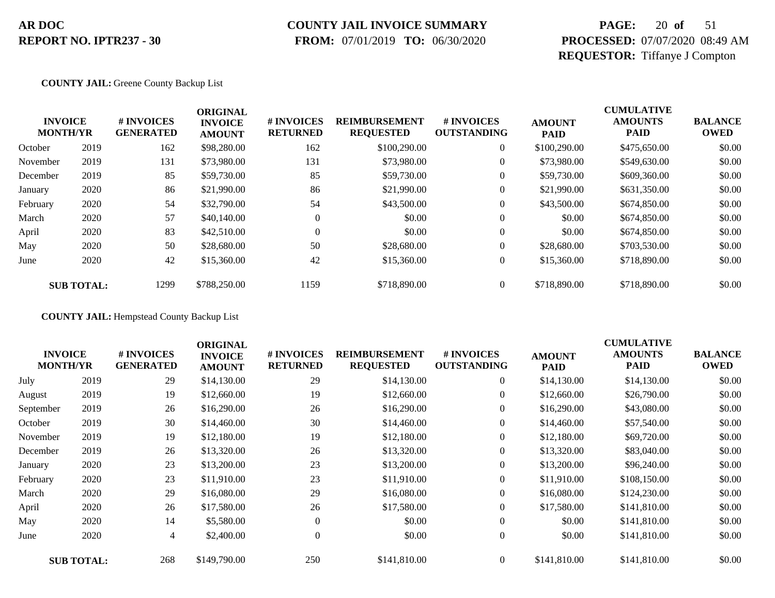## **COUNTY JAIL INVOICE SUMMARY**

 **FROM:** 07/01/2019 **TO:** 06/30/2020

## **PAGE:** 20 **of** 51 **PROCESSED:** 07/07/2020 08:49 AM **REQUESTOR:** Tiffanye J Compton

#### **COUNTY JAIL:** Greene County Backup List

|          | <b>INVOICE</b><br><b>MONTH/YR</b> | # INVOICES<br><b>GENERATED</b> | <b>ORIGINAL</b><br><b>INVOICE</b><br><b>AMOUNT</b> | <b># INVOICES</b><br><b>RETURNED</b> | <b>REIMBURSEMENT</b><br><b>REQUESTED</b> | # INVOICES<br><b>OUTSTANDING</b> | <b>AMOUNT</b><br><b>PAID</b> | <b>CUMULATIVE</b><br><b>AMOUNTS</b><br><b>PAID</b> | <b>BALANCE</b><br><b>OWED</b> |
|----------|-----------------------------------|--------------------------------|----------------------------------------------------|--------------------------------------|------------------------------------------|----------------------------------|------------------------------|----------------------------------------------------|-------------------------------|
| October  | 2019                              | 162                            | \$98,280.00                                        | 162                                  | \$100,290.00                             | $\overline{0}$                   | \$100,290.00                 | \$475,650.00                                       | \$0.00                        |
| November | 2019                              | 131                            | \$73,980.00                                        | 131                                  | \$73,980.00                              | $\overline{0}$                   | \$73,980.00                  | \$549,630.00                                       | \$0.00                        |
| December | 2019                              | 85                             | \$59,730.00                                        | 85                                   | \$59,730.00                              | $\overline{0}$                   | \$59,730.00                  | \$609,360.00                                       | \$0.00                        |
| January  | 2020                              | 86                             | \$21,990.00                                        | 86                                   | \$21,990.00                              | $\theta$                         | \$21,990.00                  | \$631,350.00                                       | \$0.00                        |
| February | 2020                              | 54                             | \$32,790.00                                        | 54                                   | \$43,500.00                              | $\boldsymbol{0}$                 | \$43,500.00                  | \$674,850.00                                       | \$0.00                        |
| March    | 2020                              | 57                             | \$40,140.00                                        | $\mathbf{0}$                         | \$0.00                                   | $\overline{0}$                   | \$0.00                       | \$674,850.00                                       | \$0.00                        |
| April    | 2020                              | 83                             | \$42,510.00                                        | $\Omega$                             | \$0.00                                   | $\overline{0}$                   | \$0.00                       | \$674,850.00                                       | \$0.00                        |
| May      | 2020                              | 50                             | \$28,680.00                                        | 50                                   | \$28,680.00                              | $\Omega$                         | \$28,680.00                  | \$703,530.00                                       | \$0.00                        |
| June     | 2020                              | 42                             | \$15,360.00                                        | 42                                   | \$15,360.00                              | $\overline{0}$                   | \$15,360.00                  | \$718,890.00                                       | \$0.00                        |
|          | <b>SUB TOTAL:</b>                 | 1299                           | \$788,250.00                                       | 1159                                 | \$718,890.00                             | $\overline{0}$                   | \$718,890.00                 | \$718,890.00                                       | \$0.00                        |

**COUNTY JAIL:** Hempstead County Backup List

| <b>INVOICE</b><br><b>MONTH/YR</b> |                   | # INVOICES<br><b>GENERATED</b> | <b>ORIGINAL</b><br><b>INVOICE</b><br><b>AMOUNT</b> | # INVOICES<br><b>RETURNED</b> | <b>REIMBURSEMENT</b><br><b>REQUESTED</b> | <b>#INVOICES</b><br><b>OUTSTANDING</b> | <b>AMOUNT</b><br><b>PAID</b> | <b>CUMULATIVE</b><br><b>AMOUNTS</b><br><b>PAID</b> | <b>BALANCE</b><br><b>OWED</b> |
|-----------------------------------|-------------------|--------------------------------|----------------------------------------------------|-------------------------------|------------------------------------------|----------------------------------------|------------------------------|----------------------------------------------------|-------------------------------|
| July                              | 2019              | 29                             | \$14,130.00                                        | 29                            | \$14,130.00                              | $\overline{0}$                         | \$14,130.00                  | \$14,130.00                                        | \$0.00                        |
| August                            | 2019              | 19                             | \$12,660.00                                        | 19                            | \$12,660.00                              | $\overline{0}$                         | \$12,660.00                  | \$26,790.00                                        | \$0.00                        |
| September                         | 2019              | 26                             | \$16,290.00                                        | 26                            | \$16,290.00                              | $\overline{0}$                         | \$16,290.00                  | \$43,080.00                                        | \$0.00                        |
| October                           | 2019              | 30                             | \$14,460.00                                        | 30                            | \$14,460.00                              | $\boldsymbol{0}$                       | \$14,460.00                  | \$57,540.00                                        | \$0.00                        |
| November                          | 2019              | 19                             | \$12,180.00                                        | 19                            | \$12,180.00                              | $\boldsymbol{0}$                       | \$12,180.00                  | \$69,720.00                                        | \$0.00                        |
| December                          | 2019              | 26                             | \$13,320.00                                        | 26                            | \$13,320.00                              | $\overline{0}$                         | \$13,320.00                  | \$83,040.00                                        | \$0.00                        |
| January                           | 2020              | 23                             | \$13,200.00                                        | 23                            | \$13,200.00                              | $\overline{0}$                         | \$13,200.00                  | \$96,240.00                                        | \$0.00                        |
| February                          | 2020              | 23                             | \$11,910.00                                        | 23                            | \$11,910.00                              | $\overline{0}$                         | \$11,910.00                  | \$108,150.00                                       | \$0.00                        |
| March                             | 2020              | 29                             | \$16,080.00                                        | 29                            | \$16,080.00                              | $\overline{0}$                         | \$16,080.00                  | \$124,230.00                                       | \$0.00                        |
| April                             | 2020              | 26                             | \$17,580.00                                        | 26                            | \$17,580.00                              | $\overline{0}$                         | \$17,580.00                  | \$141,810.00                                       | \$0.00                        |
| May                               | 2020              | 14                             | \$5,580.00                                         | $\theta$                      | \$0.00                                   | $\overline{0}$                         | \$0.00                       | \$141,810.00                                       | \$0.00                        |
| June                              | 2020              | $\overline{4}$                 | \$2,400.00                                         | $\overline{0}$                | \$0.00                                   | $\boldsymbol{0}$                       | \$0.00                       | \$141,810.00                                       | \$0.00                        |
|                                   | <b>SUB TOTAL:</b> | 268                            | \$149,790.00                                       | 250                           | \$141,810.00                             | $\Omega$                               | \$141,810.00                 | \$141,810.00                                       | \$0.00                        |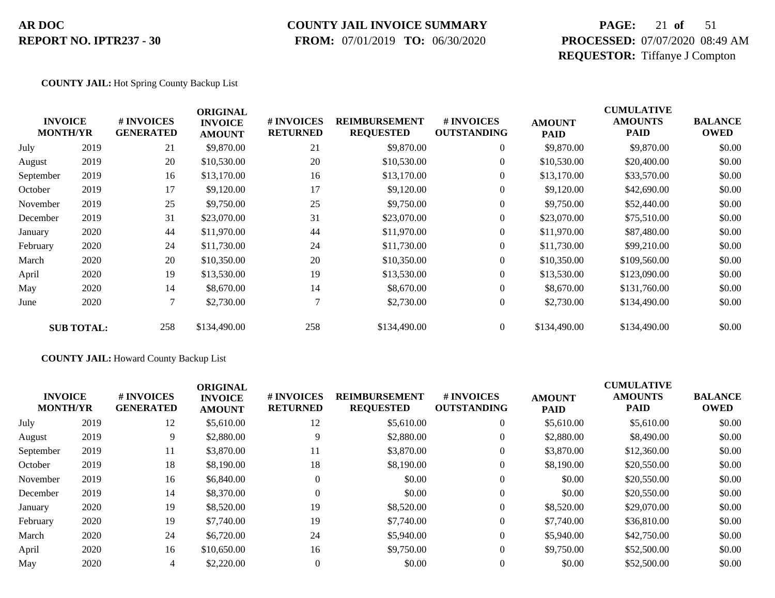### **COUNTY JAIL INVOICE SUMMARY**

 **FROM:** 07/01/2019 **TO:** 06/30/2020

## **PAGE:** 21 **of** 51 **PROCESSED:** 07/07/2020 08:49 AM **REQUESTOR:** Tiffanye J Compton

#### **COUNTY JAIL:** Hot Spring County Backup List

|           | <b>INVOICE</b><br><b>MONTH/YR</b> | # INVOICES<br><b>GENERATED</b> | <b>ORIGINAL</b><br><b>INVOICE</b><br><b>AMOUNT</b> | # INVOICES<br><b>RETURNED</b> | <b>REIMBURSEMENT</b><br><b>REQUESTED</b> | # INVOICES<br><b>OUTSTANDING</b> | <b>AMOUNT</b><br><b>PAID</b> | <b>CUMULATIVE</b><br><b>AMOUNTS</b><br><b>PAID</b> | <b>BALANCE</b><br><b>OWED</b> |
|-----------|-----------------------------------|--------------------------------|----------------------------------------------------|-------------------------------|------------------------------------------|----------------------------------|------------------------------|----------------------------------------------------|-------------------------------|
| July      | 2019                              | 21                             | \$9,870.00                                         | 21                            | \$9,870.00                               | $\overline{0}$                   | \$9,870.00                   | \$9,870.00                                         | \$0.00                        |
| August    | 2019                              | 20                             | \$10,530.00                                        | 20                            | \$10,530.00                              | $\overline{0}$                   | \$10,530.00                  | \$20,400.00                                        | \$0.00                        |
| September | 2019                              | 16                             | \$13,170.00                                        | 16                            | \$13,170.00                              | $\overline{0}$                   | \$13,170.00                  | \$33,570.00                                        | \$0.00                        |
| October   | 2019                              | 17                             | \$9,120.00                                         | 17                            | \$9,120.00                               | 0                                | \$9,120.00                   | \$42,690.00                                        | \$0.00                        |
| November  | 2019                              | 25                             | \$9,750.00                                         | 25                            | \$9,750.00                               | $\overline{0}$                   | \$9,750.00                   | \$52,440.00                                        | \$0.00                        |
| December  | 2019                              | 31                             | \$23,070.00                                        | 31                            | \$23,070.00                              | $\overline{0}$                   | \$23,070.00                  | \$75,510.00                                        | \$0.00                        |
| January   | 2020                              | 44                             | \$11,970.00                                        | 44                            | \$11,970.00                              | $\overline{0}$                   | \$11,970.00                  | \$87,480.00                                        | \$0.00                        |
| February  | 2020                              | 24                             | \$11,730.00                                        | 24                            | \$11,730.00                              | $\overline{0}$                   | \$11,730.00                  | \$99,210.00                                        | \$0.00                        |
| March     | 2020                              | 20                             | \$10,350.00                                        | 20                            | \$10,350.00                              | $\overline{0}$                   | \$10,350.00                  | \$109,560.00                                       | \$0.00                        |
| April     | 2020                              | 19                             | \$13,530.00                                        | 19                            | \$13,530.00                              | $\overline{0}$                   | \$13,530.00                  | \$123,090.00                                       | \$0.00                        |
| May       | 2020                              | 14                             | \$8,670.00                                         | 14                            | \$8,670.00                               | $\overline{0}$                   | \$8,670.00                   | \$131,760.00                                       | \$0.00                        |
| June      | 2020                              | $\tau$                         | \$2,730.00                                         |                               | \$2,730.00                               | $\boldsymbol{0}$                 | \$2,730.00                   | \$134,490.00                                       | \$0.00                        |
|           | <b>SUB TOTAL:</b>                 | 258                            | \$134,490.00                                       | 258                           | \$134,490.00                             | $\overline{0}$                   | \$134,490.00                 | \$134,490.00                                       | \$0.00                        |

#### **COUNTY JAIL:** Howard County Backup List

| <b>INVOICE</b><br><b>MONTH/YR</b> | # INVOICES<br><b>GENERATED</b> | <b>ORIGINAL</b><br><b>INVOICE</b><br><b>AMOUNT</b> | <b># INVOICES</b><br><b>RETURNED</b> | <b>REIMBURSEMENT</b><br><b>REQUESTED</b> | # INVOICES<br><b>OUTSTANDING</b> | <b>AMOUNT</b><br><b>PAID</b> | <b>AMOUNTS</b><br><b>PAID</b> | <b>BALANCE</b><br><b>OWED</b> |
|-----------------------------------|--------------------------------|----------------------------------------------------|--------------------------------------|------------------------------------------|----------------------------------|------------------------------|-------------------------------|-------------------------------|
| 2019                              | 12                             | \$5,610.00                                         | 12                                   | \$5,610.00                               | $\overline{0}$                   | \$5,610.00                   | \$5,610.00                    | \$0.00                        |
| 2019                              | 9                              | \$2,880.00                                         |                                      | \$2,880.00                               | $\overline{0}$                   | \$2,880.00                   | \$8,490.00                    | \$0.00                        |
| 2019                              | 11                             | \$3,870.00                                         | 11                                   | \$3,870.00                               | $\overline{0}$                   | \$3,870.00                   | \$12,360.00                   | \$0.00                        |
| 2019                              | 18                             | \$8,190.00                                         | 18                                   | \$8,190.00                               | $\overline{0}$                   | \$8,190.00                   | \$20,550.00                   | \$0.00                        |
| 2019                              | 16                             | \$6,840.00                                         | $\Omega$                             | \$0.00                                   | $\overline{0}$                   | \$0.00                       | \$20,550.00                   | \$0.00                        |
| 2019                              | 14                             | \$8,370.00                                         | $\Omega$                             | \$0.00                                   | $\overline{0}$                   | \$0.00                       | \$20,550.00                   | \$0.00                        |
| 2020                              | 19                             | \$8,520.00                                         | 19                                   | \$8,520.00                               | $\overline{0}$                   | \$8,520.00                   | \$29,070.00                   | \$0.00                        |
| 2020                              | 19                             | \$7,740.00                                         | 19                                   | \$7,740.00                               | $\overline{0}$                   | \$7,740.00                   | \$36,810.00                   | \$0.00                        |
| 2020                              | 24                             | \$6,720.00                                         | 24                                   | \$5,940.00                               | $\overline{0}$                   | \$5,940.00                   | \$42,750.00                   | \$0.00                        |
| 2020                              | 16                             | \$10,650.00                                        | 16                                   | \$9,750.00                               | $\Omega$                         | \$9,750.00                   | \$52,500.00                   | \$0.00                        |
| 2020                              | 4                              | \$2,220.00                                         |                                      | \$0.00                                   | $\theta$                         | \$0.00                       | \$52,500.00                   | \$0.00                        |
|                                   |                                |                                                    |                                      |                                          |                                  |                              |                               | <b>CUMULATIVE</b>             |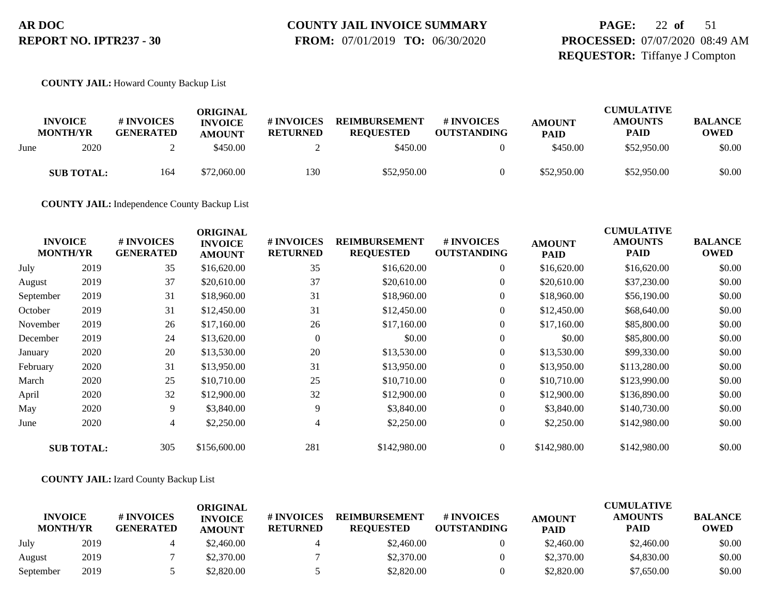# **COUNTY JAIL INVOICE SUMMARY**

 **FROM:** 07/01/2019 **TO:** 06/30/2020

## **PAGE:** 22 **of** 51 **PROCESSED:** 07/07/2020 08:49 AM **REQUESTOR:** Tiffanye J Compton

#### **COUNTY JAIL:** Howard County Backup List

|      | <b>INVOICE</b><br><b>MONTH/YR</b> | # INVOICES<br><b>GENERATED</b> | ORIGINAL<br><b>INVOICE</b><br><b>AMOUNT</b> | # INVOICES<br><b>RETURNED</b> | <b>REIMBURSEMENT</b><br><b>REOUESTED</b> | # INVOICES<br><b>OUTSTANDING</b> | <b>AMOUNT</b><br><b>PAID</b> | <b>CUMULATIVE</b><br><b>AMOUNTS</b><br><b>PAID</b> | <b>BALANCE</b><br><b>OWED</b> |
|------|-----------------------------------|--------------------------------|---------------------------------------------|-------------------------------|------------------------------------------|----------------------------------|------------------------------|----------------------------------------------------|-------------------------------|
| June | 2020                              |                                | \$450.00                                    |                               | \$450.00                                 |                                  | \$450.00                     | \$52,950.00                                        | \$0.00                        |
|      | <b>SUB TOTAL:</b>                 | 164                            | \$72,060.00                                 | 130                           | \$52,950.00                              |                                  | \$52,950.00                  | \$52,950.00                                        | \$0.00                        |

**COUNTY JAIL:** Independence County Backup List

| <b>INVOICE</b><br><b>MONTH/YR</b> |                   | # INVOICES<br><b>GENERATED</b> | <b>ORIGINAL</b><br><b>INVOICE</b><br><b>AMOUNT</b> | # INVOICES<br><b>RETURNED</b> | <b>REIMBURSEMENT</b><br><b>REQUESTED</b> | # INVOICES<br><b>OUTSTANDING</b> | <b>AMOUNT</b><br><b>PAID</b> | <b>CUMULATIVE</b><br><b>AMOUNTS</b><br><b>PAID</b> | <b>BALANCE</b><br><b>OWED</b> |
|-----------------------------------|-------------------|--------------------------------|----------------------------------------------------|-------------------------------|------------------------------------------|----------------------------------|------------------------------|----------------------------------------------------|-------------------------------|
| July                              | 2019              | 35                             | \$16,620.00                                        | 35                            | \$16,620.00                              | $\boldsymbol{0}$                 | \$16,620.00                  | \$16,620.00                                        | \$0.00                        |
| August                            | 2019              | 37                             | \$20,610.00                                        | 37                            | \$20,610.00                              | $\overline{0}$                   | \$20,610.00                  | \$37,230.00                                        | \$0.00                        |
| September                         | 2019              | 31                             | \$18,960.00                                        | 31                            | \$18,960.00                              | $\overline{0}$                   | \$18,960.00                  | \$56,190.00                                        | \$0.00                        |
| October                           | 2019              | 31                             | \$12,450.00                                        | 31                            | \$12,450.00                              | $\overline{0}$                   | \$12,450.00                  | \$68,640.00                                        | \$0.00                        |
| November                          | 2019              | 26                             | \$17,160.00                                        | 26                            | \$17,160.00                              | $\overline{0}$                   | \$17,160.00                  | \$85,800.00                                        | \$0.00                        |
| December                          | 2019              | 24                             | \$13,620.00                                        | $\Omega$                      | \$0.00                                   | $\overline{0}$                   | \$0.00                       | \$85,800.00                                        | \$0.00                        |
| January                           | 2020              | 20                             | \$13,530.00                                        | 20                            | \$13,530.00                              | $\overline{0}$                   | \$13,530.00                  | \$99,330.00                                        | \$0.00                        |
| February                          | 2020              | 31                             | \$13,950.00                                        | 31                            | \$13,950.00                              | $\overline{0}$                   | \$13,950.00                  | \$113,280.00                                       | \$0.00                        |
| March                             | 2020              | 25                             | \$10,710.00                                        | 25                            | \$10,710.00                              | $\overline{0}$                   | \$10,710.00                  | \$123,990.00                                       | \$0.00                        |
| April                             | 2020              | 32                             | \$12,900.00                                        | 32                            | \$12,900.00                              | $\overline{0}$                   | \$12,900.00                  | \$136,890.00                                       | \$0.00                        |
| May                               | 2020              | 9                              | \$3,840.00                                         | 9                             | \$3,840.00                               | $\overline{0}$                   | \$3,840.00                   | \$140,730.00                                       | \$0.00                        |
| June                              | 2020              | $\overline{4}$                 | \$2,250.00                                         | 4                             | \$2,250.00                               | $\overline{0}$                   | \$2,250.00                   | \$142,980.00                                       | \$0.00                        |
|                                   | <b>SUB TOTAL:</b> | 305                            | \$156,600.00                                       | 281                           | \$142,980.00                             | $\overline{0}$                   | \$142,980.00                 | \$142,980.00                                       | \$0.00                        |

#### **COUNTY JAIL:** Izard County Backup List

|                                   |      |                                | ORIGINAL                        |                               |                                          |                                  |                              | <b>CUMULATIVE</b>             |                               |
|-----------------------------------|------|--------------------------------|---------------------------------|-------------------------------|------------------------------------------|----------------------------------|------------------------------|-------------------------------|-------------------------------|
| <b>INVOICE</b><br><b>MONTH/YR</b> |      | # INVOICES<br><b>GENERATED</b> | <b>INVOICE</b><br><b>AMOUNT</b> | # INVOICES<br><b>RETURNED</b> | <b>REIMBURSEMENT</b><br><b>REOUESTED</b> | # INVOICES<br><b>OUTSTANDING</b> | <b>AMOUNT</b><br><b>PAID</b> | <b>AMOUNTS</b><br><b>PAID</b> | <b>BALANCE</b><br><b>OWED</b> |
| July                              | 2019 |                                | \$2,460.00                      |                               | \$2,460.00                               |                                  | \$2,460.00                   | \$2,460.00                    | \$0.00                        |
| August                            | 2019 |                                | \$2,370.00                      |                               | \$2,370.00                               |                                  | \$2,370.00                   | \$4,830.00                    | \$0.00                        |
| September                         | 2019 |                                | \$2,820.00                      |                               | \$2,820.00                               |                                  | \$2,820.00                   | \$7,650.00                    | \$0.00                        |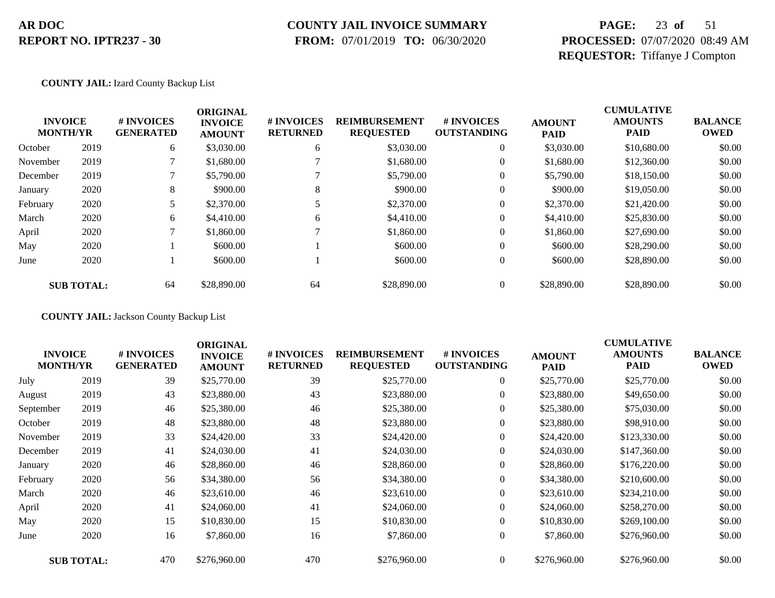#### **COUNTY JAIL INVOICE SUMMARY**

 **FROM:** 07/01/2019 **TO:** 06/30/2020

## **PAGE:** 23 **of** 51 **PROCESSED:** 07/07/2020 08:49 AM **REQUESTOR:** Tiffanye J Compton

**COUNTY JAIL:** Izard County Backup List

|          |                                   |                                | <b>ORIGINAL</b>                 |                               |                                          |                                  |                              | <b>CUMULATIVE</b>             |                               |
|----------|-----------------------------------|--------------------------------|---------------------------------|-------------------------------|------------------------------------------|----------------------------------|------------------------------|-------------------------------|-------------------------------|
|          | <b>INVOICE</b><br><b>MONTH/YR</b> | # INVOICES<br><b>GENERATED</b> | <b>INVOICE</b><br><b>AMOUNT</b> | # INVOICES<br><b>RETURNED</b> | <b>REIMBURSEMENT</b><br><b>REQUESTED</b> | # INVOICES<br><b>OUTSTANDING</b> | <b>AMOUNT</b><br><b>PAID</b> | <b>AMOUNTS</b><br><b>PAID</b> | <b>BALANCE</b><br><b>OWED</b> |
| October  | 2019                              | 6                              | \$3,030.00                      | 6                             | \$3,030.00                               | $\theta$                         | \$3,030.00                   | \$10,680.00                   | \$0.00                        |
| November | 2019                              |                                | \$1,680.00                      |                               | \$1,680.00                               | $\overline{0}$                   | \$1,680.00                   | \$12,360.00                   | \$0.00                        |
| December | 2019                              |                                | \$5,790.00                      |                               | \$5,790.00                               | $\theta$                         | \$5,790.00                   | \$18,150.00                   | \$0.00                        |
| January  | 2020                              | 8                              | \$900.00                        | 8                             | \$900.00                                 | $\boldsymbol{0}$                 | \$900.00                     | \$19,050.00                   | \$0.00                        |
| February | 2020                              |                                | \$2,370.00                      |                               | \$2,370.00                               | $\boldsymbol{0}$                 | \$2,370.00                   | \$21,420.00                   | \$0.00                        |
| March    | 2020                              | 6                              | \$4,410.00                      | 6                             | \$4,410.00                               | $\theta$                         | \$4,410.00                   | \$25,830.00                   | \$0.00                        |
| April    | 2020                              |                                | \$1,860.00                      |                               | \$1,860.00                               | $\overline{0}$                   | \$1,860.00                   | \$27,690.00                   | \$0.00                        |
| May      | 2020                              |                                | \$600.00                        |                               | \$600.00                                 | $\mathbf{0}$                     | \$600.00                     | \$28,290.00                   | \$0.00                        |
| June     | 2020                              |                                | \$600.00                        |                               | \$600.00                                 | $\mathbf{0}$                     | \$600.00                     | \$28,890.00                   | \$0.00                        |
|          | <b>SUB TOTAL:</b>                 | 64                             | \$28,890.00                     | 64                            | \$28,890.00                              | $\boldsymbol{0}$                 | \$28,890.00                  | \$28,890.00                   | \$0.00                        |

**COUNTY JAIL:** Jackson County Backup List

| <b>INVOICE</b><br><b>MONTH/YR</b> |                   | # INVOICES<br><b>GENERATED</b> | <b>ORIGINAL</b><br><b>INVOICE</b><br><b>AMOUNT</b> | # INVOICES<br><b>RETURNED</b> | <b>REIMBURSEMENT</b><br><b>REQUESTED</b> | # INVOICES<br><b>OUTSTANDING</b> | <b>AMOUNT</b><br><b>PAID</b> | <b>CUMULATIVE</b><br><b>AMOUNTS</b><br><b>PAID</b> | <b>BALANCE</b><br><b>OWED</b> |
|-----------------------------------|-------------------|--------------------------------|----------------------------------------------------|-------------------------------|------------------------------------------|----------------------------------|------------------------------|----------------------------------------------------|-------------------------------|
| July                              | 2019              | 39                             | \$25,770.00                                        | 39                            | \$25,770.00                              | $\boldsymbol{0}$                 | \$25,770.00                  | \$25,770.00                                        | \$0.00                        |
| August                            | 2019              | 43                             | \$23,880.00                                        | 43                            | \$23,880.00                              | $\overline{0}$                   | \$23,880.00                  | \$49,650.00                                        | \$0.00                        |
| September                         | 2019              | 46                             | \$25,380.00                                        | 46                            | \$25,380.00                              | $\overline{0}$                   | \$25,380.00                  | \$75,030.00                                        | \$0.00                        |
| October                           | 2019              | 48                             | \$23,880.00                                        | 48                            | \$23,880.00                              | $\boldsymbol{0}$                 | \$23,880.00                  | \$98,910.00                                        | \$0.00                        |
| November                          | 2019              | 33                             | \$24,420.00                                        | 33                            | \$24,420.00                              | $\overline{0}$                   | \$24,420.00                  | \$123,330.00                                       | \$0.00                        |
| December                          | 2019              | 41                             | \$24,030.00                                        | 41                            | \$24,030.00                              | $\overline{0}$                   | \$24,030.00                  | \$147,360.00                                       | \$0.00                        |
| January                           | 2020              | 46                             | \$28,860.00                                        | 46                            | \$28,860.00                              | $\overline{0}$                   | \$28,860.00                  | \$176,220.00                                       | \$0.00                        |
| February                          | 2020              | 56                             | \$34,380.00                                        | 56                            | \$34,380.00                              | $\boldsymbol{0}$                 | \$34,380.00                  | \$210,600.00                                       | \$0.00                        |
| March                             | 2020              | 46                             | \$23,610.00                                        | 46                            | \$23,610.00                              | $\overline{0}$                   | \$23,610.00                  | \$234,210.00                                       | \$0.00                        |
| April                             | 2020              | 41                             | \$24,060.00                                        | 41                            | \$24,060.00                              | $\boldsymbol{0}$                 | \$24,060.00                  | \$258,270.00                                       | \$0.00                        |
| May                               | 2020              | 15                             | \$10,830.00                                        | 15                            | \$10,830.00                              | $\overline{0}$                   | \$10,830.00                  | \$269,100.00                                       | \$0.00                        |
| June                              | 2020              | 16                             | \$7,860.00                                         | 16                            | \$7,860.00                               | $\overline{0}$                   | \$7,860.00                   | \$276,960.00                                       | \$0.00                        |
|                                   | <b>SUB TOTAL:</b> | 470                            | \$276,960.00                                       | 470                           | \$276,960.00                             | $\Omega$                         | \$276,960.00                 | \$276,960.00                                       | \$0.00                        |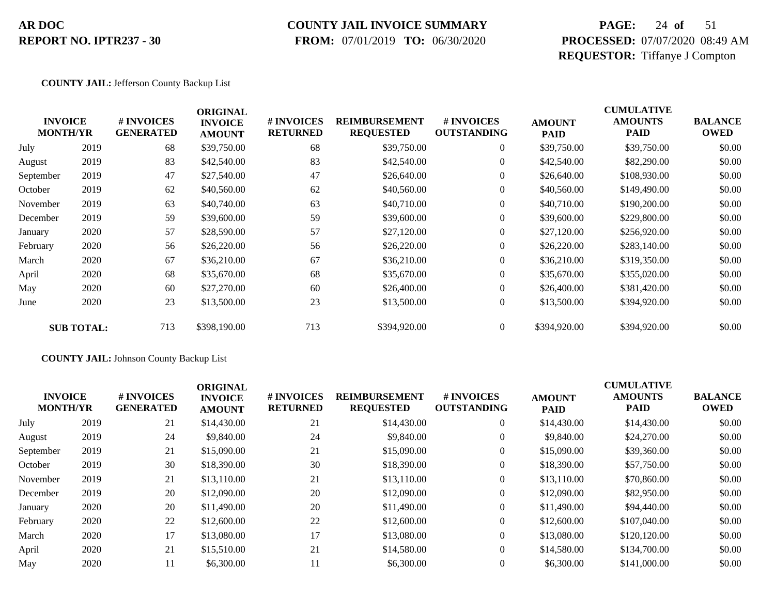### **COUNTY JAIL INVOICE SUMMARY**

 **FROM:** 07/01/2019 **TO:** 06/30/2020

## **PAGE:** 24 **of** 51 **PROCESSED:** 07/07/2020 08:49 AM **REQUESTOR:** Tiffanye J Compton

#### **COUNTY JAIL:** Jefferson County Backup List

|           | <b>INVOICE</b><br><b>MONTH/YR</b> | # INVOICES<br><b>GENERATED</b> | <b>ORIGINAL</b><br><b>INVOICE</b><br><b>AMOUNT</b> | # INVOICES<br><b>RETURNED</b> | <b>REIMBURSEMENT</b><br><b>REQUESTED</b> | <b>#INVOICES</b><br><b>OUTSTANDING</b> | <b>AMOUNT</b><br><b>PAID</b> | <b>CUMULATIVE</b><br><b>AMOUNTS</b><br><b>PAID</b> | <b>BALANCE</b><br><b>OWED</b> |
|-----------|-----------------------------------|--------------------------------|----------------------------------------------------|-------------------------------|------------------------------------------|----------------------------------------|------------------------------|----------------------------------------------------|-------------------------------|
| July      | 2019                              | 68                             | \$39,750.00                                        | 68                            | \$39,750.00                              | $\overline{0}$                         | \$39,750.00                  | \$39,750.00                                        | \$0.00                        |
| August    | 2019                              | 83                             | \$42,540.00                                        | 83                            | \$42,540.00                              | $\boldsymbol{0}$                       | \$42,540.00                  | \$82,290.00                                        | \$0.00                        |
| September | 2019                              | 47                             | \$27,540.00                                        | 47                            | \$26,640.00                              | $\overline{0}$                         | \$26,640.00                  | \$108,930.00                                       | \$0.00                        |
| October   | 2019                              | 62                             | \$40,560.00                                        | 62                            | \$40,560.00                              | $\overline{0}$                         | \$40,560.00                  | \$149,490.00                                       | \$0.00                        |
| November  | 2019                              | 63                             | \$40,740.00                                        | 63                            | \$40,710.00                              | $\boldsymbol{0}$                       | \$40,710.00                  | \$190,200.00                                       | \$0.00                        |
| December  | 2019                              | 59                             | \$39,600.00                                        | 59                            | \$39,600.00                              | $\boldsymbol{0}$                       | \$39,600.00                  | \$229,800.00                                       | \$0.00                        |
| January   | 2020                              | 57                             | \$28,590.00                                        | 57                            | \$27,120.00                              | $\overline{0}$                         | \$27,120.00                  | \$256,920.00                                       | \$0.00                        |
| February  | 2020                              | 56                             | \$26,220.00                                        | 56                            | \$26,220.00                              | $\overline{0}$                         | \$26,220.00                  | \$283,140.00                                       | \$0.00                        |
| March     | 2020                              | 67                             | \$36,210.00                                        | 67                            | \$36,210.00                              | $\overline{0}$                         | \$36,210.00                  | \$319,350.00                                       | \$0.00                        |
| April     | 2020                              | 68                             | \$35,670.00                                        | 68                            | \$35,670.00                              | $\overline{0}$                         | \$35,670.00                  | \$355,020.00                                       | \$0.00                        |
| May       | 2020                              | 60                             | \$27,270.00                                        | 60                            | \$26,400.00                              | $\overline{0}$                         | \$26,400.00                  | \$381,420.00                                       | \$0.00                        |
| June      | 2020                              | 23                             | \$13,500.00                                        | 23                            | \$13,500.00                              | $\boldsymbol{0}$                       | \$13,500.00                  | \$394,920.00                                       | \$0.00                        |
|           | <b>SUB TOTAL:</b>                 | 713                            | \$398,190.00                                       | 713                           | \$394,920.00                             | $\overline{0}$                         | \$394,920.00                 | \$394,920.00                                       | \$0.00                        |

#### **COUNTY JAIL:** Johnson County Backup List

| <b>INVOICE</b><br><b>MONTH/YR</b> |      | # INVOICES<br><b>GENERATED</b> | <b>ORIGINAL</b><br><b>INVOICE</b><br><b>AMOUNT</b> | <b># INVOICES</b><br><b>RETURNED</b> | <b>REIMBURSEMENT</b><br><b>REQUESTED</b> | # INVOICES<br><b>OUTSTANDING</b> | <b>AMOUNT</b><br><b>PAID</b> | <b>CUMULATIVE</b><br><b>AMOUNTS</b><br><b>PAID</b> | <b>BALANCE</b><br><b>OWED</b> |
|-----------------------------------|------|--------------------------------|----------------------------------------------------|--------------------------------------|------------------------------------------|----------------------------------|------------------------------|----------------------------------------------------|-------------------------------|
| July                              | 2019 | 21                             | \$14,430.00                                        | 21                                   | \$14,430.00                              | $\overline{0}$                   | \$14,430.00                  | \$14,430.00                                        | \$0.00                        |
| August                            | 2019 | 24                             | \$9,840.00                                         | 24                                   | \$9,840.00                               | $\overline{0}$                   | \$9,840.00                   | \$24,270.00                                        | \$0.00                        |
| September                         | 2019 | 21                             | \$15,090.00                                        | 21                                   | \$15,090.00                              | $\overline{0}$                   | \$15,090.00                  | \$39,360.00                                        | \$0.00                        |
| October                           | 2019 | 30                             | \$18,390.00                                        | 30                                   | \$18,390.00                              | $\overline{0}$                   | \$18,390.00                  | \$57,750.00                                        | \$0.00                        |
| November                          | 2019 | 21                             | \$13,110.00                                        | 21                                   | \$13,110.00                              | $\overline{0}$                   | \$13,110.00                  | \$70,860.00                                        | \$0.00                        |
| December                          | 2019 | 20                             | \$12,090.00                                        | 20                                   | \$12,090.00                              | $\overline{0}$                   | \$12,090.00                  | \$82,950.00                                        | \$0.00                        |
| January                           | 2020 | 20                             | \$11,490.00                                        | 20                                   | \$11,490.00                              | $\overline{0}$                   | \$11,490.00                  | \$94,440.00                                        | \$0.00                        |
| February                          | 2020 | 22                             | \$12,600.00                                        | 22                                   | \$12,600.00                              | $\overline{0}$                   | \$12,600.00                  | \$107,040.00                                       | \$0.00                        |
| March                             | 2020 | 17                             | \$13,080.00                                        | 17                                   | \$13,080.00                              | $\overline{0}$                   | \$13,080.00                  | \$120,120.00                                       | \$0.00                        |
| April                             | 2020 | 21                             | \$15,510.00                                        | 21                                   | \$14,580.00                              | $\overline{0}$                   | \$14,580.00                  | \$134,700.00                                       | \$0.00                        |
| May                               | 2020 | 11                             | \$6,300.00                                         | 11                                   | \$6,300.00                               | $\theta$                         | \$6,300.00                   | \$141,000.00                                       | \$0.00                        |
|                                   |      |                                |                                                    |                                      |                                          |                                  |                              |                                                    |                               |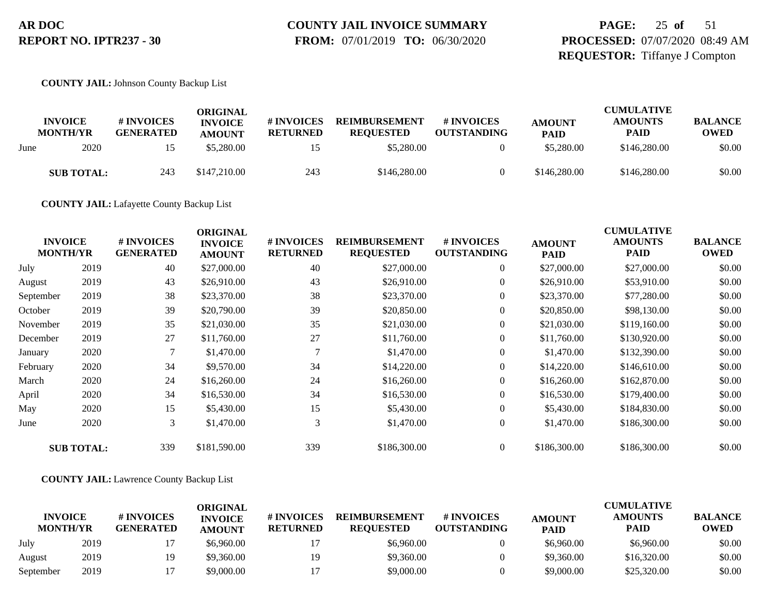# **COUNTY JAIL INVOICE SUMMARY**

 **FROM:** 07/01/2019 **TO:** 06/30/2020

## **PAGE:** 25 **of** 51 **PROCESSED:** 07/07/2020 08:49 AM **REQUESTOR:** Tiffanye J Compton

#### **COUNTY JAIL:** Johnson County Backup List

|      |                                   |                                | ORIGINAL                        |                               |                                          |                                  |                              | <b>CUMULATIVE</b>             |                               |
|------|-----------------------------------|--------------------------------|---------------------------------|-------------------------------|------------------------------------------|----------------------------------|------------------------------|-------------------------------|-------------------------------|
|      | <b>INVOICE</b><br><b>MONTH/YR</b> | # INVOICES<br><b>GENERATED</b> | <b>INVOICE</b><br><b>AMOUNT</b> | # INVOICES<br><b>RETURNED</b> | <b>REIMBURSEMENT</b><br><b>REOUESTED</b> | # INVOICES<br><b>OUTSTANDING</b> | <b>AMOUNT</b><br><b>PAID</b> | <b>AMOUNTS</b><br><b>PAID</b> | <b>BALANCE</b><br><b>OWED</b> |
| June | 2020                              |                                | \$5,280.00                      |                               | \$5,280.00                               |                                  | \$5,280.00                   | \$146,280.00                  | \$0.00                        |
|      | <b>SUB TOTAL:</b>                 | 243                            | \$147,210.00                    | 243                           | \$146,280.00                             |                                  | \$146,280.00                 | \$146,280.00                  | \$0.00                        |

**COUNTY JAIL:** Lafayette County Backup List

| <b>INVOICE</b><br><b>MONTH/YR</b> |                   | # INVOICES<br><b>GENERATED</b> | <b>ORIGINAL</b><br><b>INVOICE</b><br><b>AMOUNT</b> | # INVOICES<br><b>RETURNED</b> | <b>REIMBURSEMENT</b><br><b>REQUESTED</b> | # INVOICES<br><b>OUTSTANDING</b> | <b>AMOUNT</b><br><b>PAID</b> | <b>CUMULATIVE</b><br><b>AMOUNTS</b><br><b>PAID</b> | <b>BALANCE</b><br><b>OWED</b> |
|-----------------------------------|-------------------|--------------------------------|----------------------------------------------------|-------------------------------|------------------------------------------|----------------------------------|------------------------------|----------------------------------------------------|-------------------------------|
| July                              | 2019              | 40                             | \$27,000.00                                        | 40                            | \$27,000.00                              | $\overline{0}$                   | \$27,000.00                  | \$27,000.00                                        | \$0.00                        |
| August                            | 2019              | 43                             | \$26,910.00                                        | 43                            | \$26,910.00                              | $\boldsymbol{0}$                 | \$26,910.00                  | \$53,910.00                                        | \$0.00                        |
| September                         | 2019              | 38                             | \$23,370.00                                        | 38                            | \$23,370.00                              | $\overline{0}$                   | \$23,370.00                  | \$77,280.00                                        | \$0.00                        |
| October                           | 2019              | 39                             | \$20,790.00                                        | 39                            | \$20,850.00                              | $\boldsymbol{0}$                 | \$20,850.00                  | \$98,130.00                                        | \$0.00                        |
| November                          | 2019              | 35                             | \$21,030.00                                        | 35                            | \$21,030.00                              | $\overline{0}$                   | \$21,030.00                  | \$119,160.00                                       | \$0.00                        |
| December                          | 2019              | 27                             | \$11,760.00                                        | 27                            | \$11,760.00                              | $\overline{0}$                   | \$11,760.00                  | \$130,920.00                                       | \$0.00                        |
| January                           | 2020              | 7                              | \$1,470.00                                         |                               | \$1,470.00                               | $\boldsymbol{0}$                 | \$1,470.00                   | \$132,390.00                                       | \$0.00                        |
| February                          | 2020              | 34                             | \$9,570.00                                         | 34                            | \$14,220.00                              | $\overline{0}$                   | \$14,220.00                  | \$146,610.00                                       | \$0.00                        |
| March                             | 2020              | 24                             | \$16,260.00                                        | 24                            | \$16,260.00                              | $\overline{0}$                   | \$16,260.00                  | \$162,870.00                                       | \$0.00                        |
| April                             | 2020              | 34                             | \$16,530.00                                        | 34                            | \$16,530.00                              | $\overline{0}$                   | \$16,530.00                  | \$179,400.00                                       | \$0.00                        |
| May                               | 2020              | 15                             | \$5,430.00                                         | 15                            | \$5,430.00                               | $\overline{0}$                   | \$5,430.00                   | \$184,830.00                                       | \$0.00                        |
| June                              | 2020              | 3                              | \$1,470.00                                         | 3                             | \$1,470.00                               | $\overline{0}$                   | \$1,470.00                   | \$186,300.00                                       | \$0.00                        |
|                                   | <b>SUB TOTAL:</b> | 339                            | \$181,590.00                                       | 339                           | \$186,300.00                             | $\overline{0}$                   | \$186,300.00                 | \$186,300.00                                       | \$0.00                        |

#### **COUNTY JAIL:** Lawrence County Backup List

|                                   |      |                                | ORIGINAL                        |                               |                                          |                                  |                              | <b>CUMULATIVE</b>             |                               |
|-----------------------------------|------|--------------------------------|---------------------------------|-------------------------------|------------------------------------------|----------------------------------|------------------------------|-------------------------------|-------------------------------|
| <b>INVOICE</b><br><b>MONTH/YR</b> |      | # INVOICES<br><b>GENERATED</b> | <b>INVOICE</b><br><b>AMOUNT</b> | # INVOICES<br><b>RETURNED</b> | <b>REIMBURSEMENT</b><br><b>REOUESTED</b> | # INVOICES<br><b>OUTSTANDING</b> | <b>AMOUNT</b><br><b>PAID</b> | <b>AMOUNTS</b><br><b>PAID</b> | <b>BALANCE</b><br><b>OWED</b> |
| July                              | 2019 |                                | \$6,960.00                      |                               | \$6,960.00                               |                                  | \$6,960.00                   | \$6,960.00                    | \$0.00                        |
| August                            | 2019 | 19                             | \$9,360.00                      | 19                            | \$9,360.00                               |                                  | \$9,360.00                   | \$16,320.00                   | \$0.00                        |
| September                         | 2019 |                                | \$9,000.00                      |                               | \$9,000.00                               |                                  | \$9,000.00                   | \$25,320.00                   | \$0.00                        |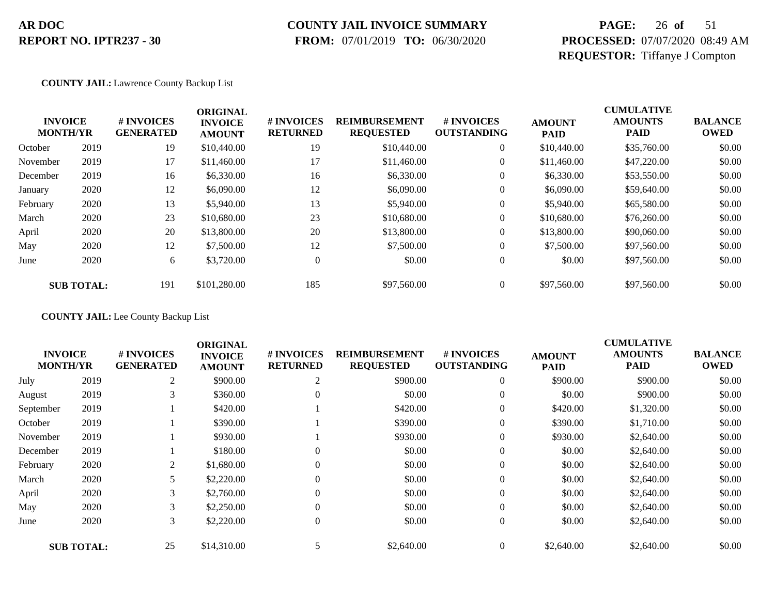## **COUNTY JAIL INVOICE SUMMARY**

 **FROM:** 07/01/2019 **TO:** 06/30/2020

## **PAGE:** 26 **of** 51 **PROCESSED:** 07/07/2020 08:49 AM **REQUESTOR:** Tiffanye J Compton

#### **COUNTY JAIL:** Lawrence County Backup List

| <b>INVOICE</b><br><b>MONTH/YR</b> |                   | # INVOICES<br><b>GENERATED</b> | <b>ORIGINAL</b><br><b>INVOICE</b><br><b>AMOUNT</b> | # INVOICES<br><b>RETURNED</b> | <b>REIMBURSEMENT</b><br><b>REQUESTED</b> | <b>#INVOICES</b><br><b>OUTSTANDING</b> | <b>AMOUNT</b><br><b>PAID</b> | <b>CUMULATIVE</b><br><b>AMOUNTS</b><br><b>PAID</b> | <b>BALANCE</b><br><b>OWED</b> |
|-----------------------------------|-------------------|--------------------------------|----------------------------------------------------|-------------------------------|------------------------------------------|----------------------------------------|------------------------------|----------------------------------------------------|-------------------------------|
| October                           | 2019              | 19                             | \$10,440.00                                        | 19                            | \$10,440.00                              | $\overline{0}$                         | \$10,440.00                  | \$35,760.00                                        | \$0.00                        |
| November                          | 2019              | 17                             | \$11,460.00                                        | 17                            | \$11,460.00                              | 0                                      | \$11,460.00                  | \$47,220.00                                        | \$0.00                        |
| December                          | 2019              | 16                             | \$6,330.00                                         | 16                            | \$6,330.00                               | $\overline{0}$                         | \$6,330.00                   | \$53,550.00                                        | \$0.00                        |
| January                           | 2020              | 12                             | \$6,090.00                                         | 12                            | \$6,090.00                               | 0                                      | \$6,090.00                   | \$59,640.00                                        | \$0.00                        |
| February                          | 2020              | 13                             | \$5,940.00                                         | 13                            | \$5,940.00                               | $\overline{0}$                         | \$5,940.00                   | \$65,580.00                                        | \$0.00                        |
| March                             | 2020              | 23                             | \$10,680.00                                        | 23                            | \$10,680.00                              | $\overline{0}$                         | \$10,680,00                  | \$76,260.00                                        | \$0.00                        |
| April                             | 2020              | 20                             | \$13,800.00                                        | 20                            | \$13,800.00                              | 0                                      | \$13,800.00                  | \$90,060.00                                        | \$0.00                        |
| May                               | 2020              | 12                             | \$7,500.00                                         | 12                            | \$7,500.00                               | $\overline{0}$                         | \$7,500.00                   | \$97,560.00                                        | \$0.00                        |
| June                              | 2020              | 6                              | \$3,720.00                                         | $\overline{0}$                | \$0.00                                   | $\overline{0}$                         | \$0.00                       | \$97,560.00                                        | \$0.00                        |
|                                   | <b>SUB TOTAL:</b> | 191                            | \$101,280.00                                       | 185                           | \$97,560.00                              | $\overline{0}$                         | \$97,560.00                  | \$97,560.00                                        | \$0.00                        |

**COUNTY JAIL:** Lee County Backup List

| <b>CUMULATIVE</b><br><b>ORIGINAL</b> |                                   |                                |                                 |                               |                                          |                                  |                              |                               |                               |
|--------------------------------------|-----------------------------------|--------------------------------|---------------------------------|-------------------------------|------------------------------------------|----------------------------------|------------------------------|-------------------------------|-------------------------------|
|                                      | <b>INVOICE</b><br><b>MONTH/YR</b> | # INVOICES<br><b>GENERATED</b> | <b>INVOICE</b><br><b>AMOUNT</b> | # INVOICES<br><b>RETURNED</b> | <b>REIMBURSEMENT</b><br><b>REQUESTED</b> | # INVOICES<br><b>OUTSTANDING</b> | <b>AMOUNT</b><br><b>PAID</b> | <b>AMOUNTS</b><br><b>PAID</b> | <b>BALANCE</b><br><b>OWED</b> |
| July                                 | 2019                              | 2                              | \$900.00                        | 2                             | \$900.00                                 | $\overline{0}$                   | \$900.00                     | \$900.00                      | \$0.00                        |
| August                               | 2019                              | 3                              | \$360.00                        |                               | \$0.00                                   | $\theta$                         | \$0.00                       | \$900.00                      | \$0.00                        |
| September                            | 2019                              |                                | \$420.00                        |                               | \$420.00                                 | $\theta$                         | \$420.00                     | \$1,320.00                    | \$0.00                        |
| October                              | 2019                              |                                | \$390.00                        |                               | \$390.00                                 | $\overline{0}$                   | \$390.00                     | \$1,710.00                    | \$0.00                        |
| November                             | 2019                              |                                | \$930.00                        |                               | \$930.00                                 | $\overline{0}$                   | \$930.00                     | \$2,640.00                    | \$0.00                        |
| December                             | 2019                              |                                | \$180.00                        |                               | \$0.00                                   | $\theta$                         | \$0.00                       | \$2,640.00                    | \$0.00                        |
| February                             | 2020                              | $\overline{c}$                 | \$1,680.00                      | $\theta$                      | \$0.00                                   | $\theta$                         | \$0.00                       | \$2,640.00                    | \$0.00                        |
| March                                | 2020                              | 5                              | \$2,220.00                      | $\Omega$                      | \$0.00                                   | $\overline{0}$                   | \$0.00                       | \$2,640.00                    | \$0.00                        |
| April                                | 2020                              | 3                              | \$2,760.00                      | $\Omega$                      | \$0.00                                   | $\boldsymbol{0}$                 | \$0.00                       | \$2,640.00                    | \$0.00                        |
| May                                  | 2020                              | 3                              | \$2,250.00                      |                               | \$0.00                                   | $\overline{0}$                   | \$0.00                       | \$2,640.00                    | \$0.00                        |
| June                                 | 2020                              | 3                              | \$2,220.00                      | $\Omega$                      | \$0.00                                   | $\overline{0}$                   | \$0.00                       | \$2,640.00                    | \$0.00                        |
|                                      | <b>SUB TOTAL:</b>                 | 25                             | \$14,310.00                     |                               | \$2,640.00                               | $\overline{0}$                   | \$2,640.00                   | \$2,640.00                    | \$0.00                        |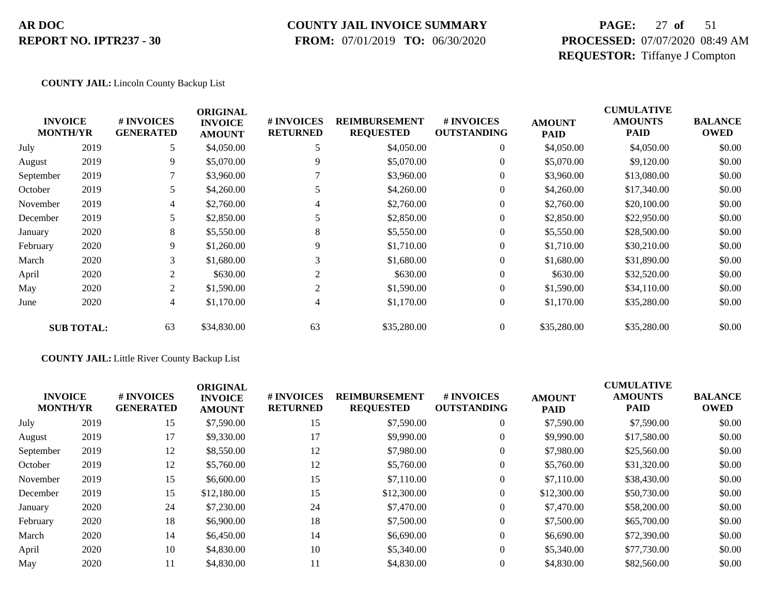#### **COUNTY JAIL INVOICE SUMMARY**

 **FROM:** 07/01/2019 **TO:** 06/30/2020

## **PAGE:** 27 **of** 51 **PROCESSED:** 07/07/2020 08:49 AM **REQUESTOR:** Tiffanye J Compton

#### **COUNTY JAIL:** Lincoln County Backup List

| <b>INVOICE</b><br><b>MONTH/YR</b> |                   | # INVOICES<br><b>GENERATED</b> | <b>ORIGINAL</b><br><b>INVOICE</b><br><b>AMOUNT</b> | # INVOICES<br><b>RETURNED</b> | <b>REIMBURSEMENT</b><br><b>REQUESTED</b> | # INVOICES<br><b>OUTSTANDING</b> | <b>AMOUNT</b><br><b>PAID</b> | <b>CUMULATIVE</b><br><b>AMOUNTS</b><br><b>PAID</b> | <b>BALANCE</b><br><b>OWED</b> |
|-----------------------------------|-------------------|--------------------------------|----------------------------------------------------|-------------------------------|------------------------------------------|----------------------------------|------------------------------|----------------------------------------------------|-------------------------------|
| July                              | 2019              | 5                              | \$4,050.00                                         |                               | \$4,050.00                               | $\overline{0}$                   | \$4,050.00                   | \$4,050.00                                         | \$0.00                        |
| August                            | 2019              | 9                              | \$5,070.00                                         | 9                             | \$5,070.00                               | $\overline{0}$                   | \$5,070.00                   | \$9,120.00                                         | \$0.00                        |
| September                         | 2019              | 7                              | \$3,960.00                                         |                               | \$3,960.00                               | $\overline{0}$                   | \$3,960.00                   | \$13,080.00                                        | \$0.00                        |
| October                           | 2019              | 5                              | \$4,260.00                                         |                               | \$4,260.00                               | $\overline{0}$                   | \$4,260.00                   | \$17,340.00                                        | \$0.00                        |
| November                          | 2019              | 4                              | \$2,760.00                                         | 4                             | \$2,760.00                               | $\overline{0}$                   | \$2,760.00                   | \$20,100.00                                        | \$0.00                        |
| December                          | 2019              | 5                              | \$2,850.00                                         |                               | \$2,850.00                               | $\overline{0}$                   | \$2,850.00                   | \$22,950.00                                        | \$0.00                        |
| January                           | 2020              | 8                              | \$5,550.00                                         | 8                             | \$5,550.00                               | $\overline{0}$                   | \$5,550.00                   | \$28,500.00                                        | \$0.00                        |
| February                          | 2020              | 9                              | \$1,260.00                                         | 9                             | \$1,710.00                               | $\overline{0}$                   | \$1,710.00                   | \$30,210.00                                        | \$0.00                        |
| March                             | 2020              | 3                              | \$1,680.00                                         |                               | \$1,680.00                               | $\overline{0}$                   | \$1,680.00                   | \$31,890.00                                        | \$0.00                        |
| April                             | 2020              | 2                              | \$630.00                                           | $\overline{2}$                | \$630.00                                 | $\overline{0}$                   | \$630.00                     | \$32,520.00                                        | \$0.00                        |
| May                               | 2020              | 2                              | \$1,590.00                                         | $\overline{2}$                | \$1,590.00                               | $\overline{0}$                   | \$1,590.00                   | \$34,110.00                                        | \$0.00                        |
| June                              | 2020              | 4                              | \$1,170.00                                         | 4                             | \$1,170.00                               | $\boldsymbol{0}$                 | \$1,170.00                   | \$35,280.00                                        | \$0.00                        |
|                                   | <b>SUB TOTAL:</b> | 63                             | \$34,830.00                                        | 63                            | \$35,280.00                              | $\overline{0}$                   | \$35,280.00                  | \$35,280.00                                        | \$0.00                        |

#### **COUNTY JAIL:** Little River County Backup List

| <b>INVOICE</b><br><b>MONTH/YR</b> |      | # INVOICES<br><b>GENERATED</b> | <b>ORIGINAL</b><br><b>INVOICE</b><br><b>AMOUNT</b> | <b># INVOICES</b><br><b>RETURNED</b> | <b>REIMBURSEMENT</b><br><b>REQUESTED</b> | # INVOICES<br><b>OUTSTANDING</b> | <b>AMOUNT</b><br><b>PAID</b> | <b>CUMULATIVE</b><br><b>AMOUNTS</b><br><b>PAID</b> | <b>BALANCE</b><br><b>OWED</b> |
|-----------------------------------|------|--------------------------------|----------------------------------------------------|--------------------------------------|------------------------------------------|----------------------------------|------------------------------|----------------------------------------------------|-------------------------------|
| July                              | 2019 | 15                             | \$7,590.00                                         | 15                                   | \$7,590.00                               | $\theta$                         | \$7,590.00                   | \$7,590.00                                         | \$0.00                        |
| August                            | 2019 | 17                             | \$9,330.00                                         | 17                                   | \$9,990.00                               | $\theta$                         | \$9,990.00                   | \$17,580.00                                        | \$0.00                        |
| September                         | 2019 | 12                             | \$8,550.00                                         | 12                                   | \$7,980.00                               | $\boldsymbol{0}$                 | \$7,980.00                   | \$25,560.00                                        | \$0.00                        |
| October                           | 2019 | 12                             | \$5,760.00                                         | 12                                   | \$5,760.00                               | $\theta$                         | \$5,760.00                   | \$31,320.00                                        | \$0.00                        |
| November                          | 2019 | 15                             | \$6,600.00                                         | 15                                   | \$7,110.00                               | $\theta$                         | \$7,110.00                   | \$38,430.00                                        | \$0.00                        |
| December                          | 2019 | 15                             | \$12,180.00                                        | 15                                   | \$12,300.00                              | $\theta$                         | \$12,300.00                  | \$50,730.00                                        | \$0.00                        |
| January                           | 2020 | 24                             | \$7,230.00                                         | 24                                   | \$7,470.00                               | $\overline{0}$                   | \$7,470.00                   | \$58,200.00                                        | \$0.00                        |
| February                          | 2020 | 18                             | \$6,900.00                                         | 18                                   | \$7,500.00                               | $\theta$                         | \$7,500.00                   | \$65,700.00                                        | \$0.00                        |
| March                             | 2020 | 14                             | \$6,450.00                                         | 14                                   | \$6,690.00                               | $\theta$                         | \$6,690.00                   | \$72,390.00                                        | \$0.00                        |
| April                             | 2020 | 10                             | \$4,830.00                                         | 10                                   | \$5,340.00                               | $\theta$                         | \$5,340.00                   | \$77,730.00                                        | \$0.00                        |
| May                               | 2020 | 11                             | \$4,830.00                                         | 11                                   | \$4,830.00                               | $\theta$                         | \$4,830.00                   | \$82,560.00                                        | \$0.00                        |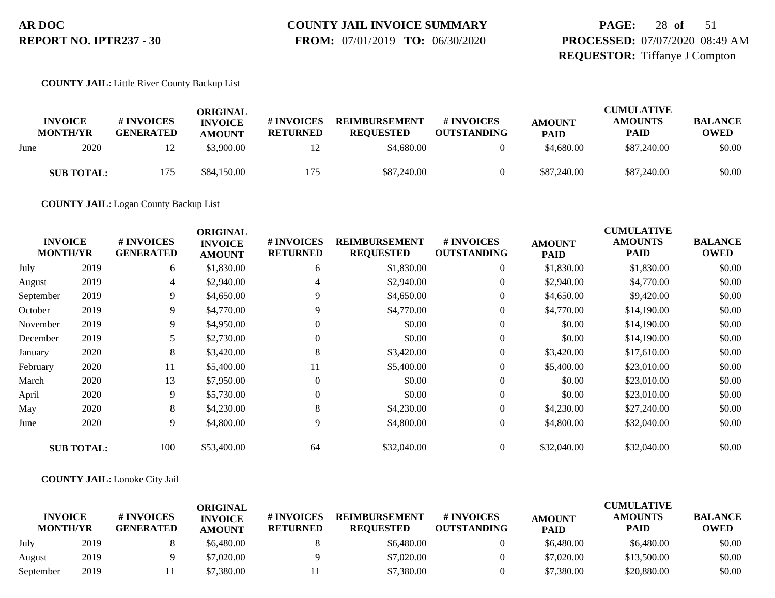# **COUNTY JAIL INVOICE SUMMARY**

 **FROM:** 07/01/2019 **TO:** 06/30/2020

## **PAGE:** 28 **of** 51 **PROCESSED:** 07/07/2020 08:49 AM **REQUESTOR:** Tiffanye J Compton

#### **COUNTY JAIL:** Little River County Backup List

|      | <b>INVOICE</b><br><b>MONTH/YR</b> | # INVOICES<br><b>GENERATED</b> | ORIGINAL<br><b>INVOICE</b><br><b>AMOUNT</b> | # INVOICES<br><b>RETURNED</b> | <b>REIMBURSEMENT</b><br><b>REOUESTED</b> | # INVOICES<br><b>OUTSTANDING</b> | <b>AMOUNT</b><br><b>PAID</b> | <b>CUMULATIVE</b><br><b>AMOUNTS</b><br><b>PAID</b> | <b>BALANCE</b><br><b>OWED</b> |
|------|-----------------------------------|--------------------------------|---------------------------------------------|-------------------------------|------------------------------------------|----------------------------------|------------------------------|----------------------------------------------------|-------------------------------|
| June | 2020                              | 12                             | \$3.900.00                                  |                               | \$4,680.00                               |                                  | \$4,680.00                   | \$87,240.00                                        | \$0.00                        |
|      | <b>SUB TOTAL:</b>                 | 175                            | \$84,150.00                                 | 175                           | \$87,240.00                              |                                  | \$87,240.00                  | \$87,240.00                                        | \$0.00                        |

**COUNTY JAIL:** Logan County Backup List

| <b>INVOICE</b><br><b>MONTH/YR</b> |                   | # INVOICES<br><b>GENERATED</b> | <b>ORIGINAL</b><br><b>INVOICE</b><br><b>AMOUNT</b> | # INVOICES<br><b>RETURNED</b> | <b>REIMBURSEMENT</b><br><b>REQUESTED</b> | # INVOICES<br><b>OUTSTANDING</b> | <b>AMOUNT</b><br><b>PAID</b> | <b>CUMULATIVE</b><br><b>AMOUNTS</b><br><b>PAID</b> | <b>BALANCE</b><br><b>OWED</b> |
|-----------------------------------|-------------------|--------------------------------|----------------------------------------------------|-------------------------------|------------------------------------------|----------------------------------|------------------------------|----------------------------------------------------|-------------------------------|
| July                              | 2019              | 6                              | \$1,830.00                                         | 6                             | \$1,830.00                               | $\overline{0}$                   | \$1,830.00                   | \$1,830.00                                         | \$0.00                        |
| August                            | 2019              | 4                              | \$2,940.00                                         | 4                             | \$2,940.00                               | $\overline{0}$                   | \$2,940.00                   | \$4,770.00                                         | \$0.00                        |
| September                         | 2019              | 9                              | \$4,650.00                                         | 9.                            | \$4,650.00                               | $\overline{0}$                   | \$4,650.00                   | \$9,420.00                                         | \$0.00                        |
| October                           | 2019              | 9                              | \$4,770.00                                         | 9                             | \$4,770.00                               | $\overline{0}$                   | \$4,770.00                   | \$14,190.00                                        | \$0.00                        |
| November                          | 2019              | 9                              | \$4,950.00                                         | $\Omega$                      | \$0.00                                   | $\overline{0}$                   | \$0.00                       | \$14,190.00                                        | \$0.00                        |
| December                          | 2019              |                                | \$2,730.00                                         | $\Omega$                      | \$0.00                                   | $\overline{0}$                   | \$0.00                       | \$14,190.00                                        | \$0.00                        |
| January                           | 2020              | 8                              | \$3,420.00                                         | 8                             | \$3,420.00                               | $\boldsymbol{0}$                 | \$3,420.00                   | \$17,610.00                                        | \$0.00                        |
| February                          | 2020              | 11                             | \$5,400.00                                         | 11                            | \$5,400.00                               | 0                                | \$5,400.00                   | \$23,010.00                                        | \$0.00                        |
| March                             | 2020              | 13                             | \$7,950.00                                         | $\Omega$                      | \$0.00                                   | $\overline{0}$                   | \$0.00                       | \$23,010.00                                        | \$0.00                        |
| April                             | 2020              | 9                              | \$5,730.00                                         | $\theta$                      | \$0.00                                   | $\overline{0}$                   | \$0.00                       | \$23,010.00                                        | \$0.00                        |
| May                               | 2020              | 8                              | \$4,230.00                                         | 8                             | \$4,230.00                               | $\overline{0}$                   | \$4,230.00                   | \$27,240.00                                        | \$0.00                        |
| June                              | 2020              | 9                              | \$4,800.00                                         | 9                             | \$4,800.00                               | $\overline{0}$                   | \$4,800.00                   | \$32,040.00                                        | \$0.00                        |
|                                   | <b>SUB TOTAL:</b> | 100                            | \$53,400.00                                        | 64                            | \$32,040.00                              | $\overline{0}$                   | \$32,040.00                  | \$32,040.00                                        | \$0.00                        |

#### **COUNTY JAIL:** Lonoke City Jail

|                                   |      |                                | ORIGINAL                        |                               |                                          |                                  |                              | <b>CUMULATIVE</b>             |                               |
|-----------------------------------|------|--------------------------------|---------------------------------|-------------------------------|------------------------------------------|----------------------------------|------------------------------|-------------------------------|-------------------------------|
| <b>INVOICE</b><br><b>MONTH/YR</b> |      | # INVOICES<br><b>GENERATED</b> | <b>INVOICE</b><br><b>AMOUNT</b> | # INVOICES<br><b>RETURNED</b> | <b>REIMBURSEMENT</b><br><b>REOUESTED</b> | # INVOICES<br><b>OUTSTANDING</b> | <b>AMOUNT</b><br><b>PAID</b> | <b>AMOUNTS</b><br><b>PAID</b> | <b>BALANCE</b><br><b>OWED</b> |
| July                              | 2019 |                                | \$6,480.00                      |                               | \$6,480.00                               |                                  | \$6,480.00                   | \$6,480.00                    | \$0.00                        |
| August                            | 2019 |                                | \$7,020.00                      |                               | \$7,020.00                               |                                  | \$7,020.00                   | \$13,500.00                   | \$0.00                        |
| September                         | 2019 |                                | \$7,380.00                      |                               | \$7,380.00                               |                                  | \$7,380.00                   | \$20,880.00                   | \$0.00                        |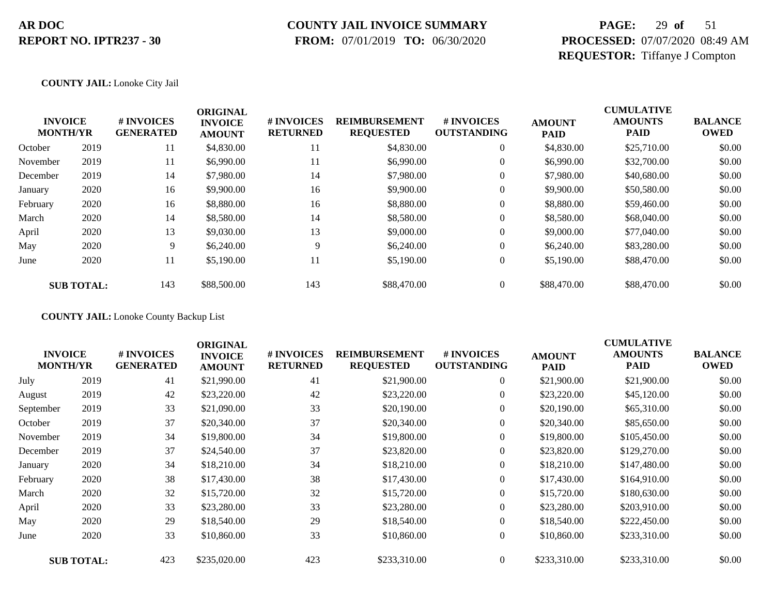## **COUNTY JAIL INVOICE SUMMARY**

 **FROM:** 07/01/2019 **TO:** 06/30/2020

## **PAGE:** 29 **of** 51 **PROCESSED:** 07/07/2020 08:49 AM **REQUESTOR:** Tiffanye J Compton

#### **COUNTY JAIL:** Lonoke City Jail

| <b>INVOICE</b><br><b>MONTH/YR</b> |                   | # INVOICES<br><b>GENERATED</b> | <b>ORIGINAL</b><br><b>INVOICE</b><br><b>AMOUNT</b> | # INVOICES<br><b>RETURNED</b> | <b>REIMBURSEMENT</b><br><b>REQUESTED</b> | # INVOICES<br><b>OUTSTANDING</b> | <b>AMOUNT</b><br><b>PAID</b> | <b>CUMULATIVE</b><br><b>AMOUNTS</b><br><b>PAID</b> | <b>BALANCE</b><br><b>OWED</b> |
|-----------------------------------|-------------------|--------------------------------|----------------------------------------------------|-------------------------------|------------------------------------------|----------------------------------|------------------------------|----------------------------------------------------|-------------------------------|
| October                           | 2019              | 11                             | \$4,830.00                                         | 11                            | \$4,830.00                               | $\overline{0}$                   | \$4,830.00                   | \$25,710.00                                        | \$0.00                        |
| November                          | 2019              | 11                             | \$6,990.00                                         | 11                            | \$6,990.00                               | $\theta$                         | \$6,990.00                   | \$32,700.00                                        | \$0.00                        |
| December                          | 2019              | 14                             | \$7,980.00                                         | 14                            | \$7,980.00                               | $\theta$                         | \$7,980.00                   | \$40,680.00                                        | \$0.00                        |
| January                           | 2020              | 16                             | \$9,900.00                                         | 16                            | \$9,900.00                               | 0                                | \$9,900.00                   | \$50,580.00                                        | \$0.00                        |
| February                          | 2020              | 16                             | \$8,880.00                                         | 16                            | \$8,880.00                               | $\boldsymbol{0}$                 | \$8,880.00                   | \$59,460.00                                        | \$0.00                        |
| March                             | 2020              | 14                             | \$8,580.00                                         | 14                            | \$8,580.00                               | $\overline{0}$                   | \$8,580.00                   | \$68,040.00                                        | \$0.00                        |
| April                             | 2020              | 13                             | \$9,030.00                                         | 13                            | \$9,000.00                               | $\overline{0}$                   | \$9,000.00                   | \$77,040.00                                        | \$0.00                        |
| May                               | 2020              | 9                              | \$6,240.00                                         | 9                             | \$6,240.00                               | $\overline{0}$                   | \$6,240.00                   | \$83,280.00                                        | \$0.00                        |
| June                              | 2020              | 11                             | \$5,190.00                                         | 11                            | \$5,190.00                               | $\overline{0}$                   | \$5,190.00                   | \$88,470.00                                        | \$0.00                        |
|                                   | <b>SUB TOTAL:</b> | 143                            | \$88,500.00                                        | 143                           | \$88,470.00                              | $\overline{0}$                   | \$88,470.00                  | \$88,470.00                                        | \$0.00                        |

**COUNTY JAIL:** Lonoke County Backup List

| <b>INVOICE</b><br><b>MONTH/YR</b> |                   | # INVOICES<br><b>GENERATED</b> | <b>ORIGINAL</b><br><b>INVOICE</b><br><b>AMOUNT</b> | # INVOICES<br><b>RETURNED</b> | <b>REIMBURSEMENT</b><br><b>REQUESTED</b> | # INVOICES<br><b>OUTSTANDING</b> | <b>AMOUNT</b><br><b>PAID</b> | <b>CUMULATIVE</b><br><b>AMOUNTS</b><br><b>PAID</b> | <b>BALANCE</b><br><b>OWED</b> |
|-----------------------------------|-------------------|--------------------------------|----------------------------------------------------|-------------------------------|------------------------------------------|----------------------------------|------------------------------|----------------------------------------------------|-------------------------------|
| July                              | 2019              | 41                             | \$21,990.00                                        | 41                            | \$21,900.00                              | $\overline{0}$                   | \$21,900.00                  | \$21,900.00                                        | \$0.00                        |
| August                            | 2019              | 42                             | \$23,220.00                                        | 42                            | \$23,220.00                              | $\boldsymbol{0}$                 | \$23,220.00                  | \$45,120.00                                        | \$0.00                        |
| September                         | 2019              | 33                             | \$21,090.00                                        | 33                            | \$20,190.00                              | $\overline{0}$                   | \$20,190.00                  | \$65,310.00                                        | \$0.00                        |
| October                           | 2019              | 37                             | \$20,340.00                                        | 37                            | \$20,340.00                              | $\boldsymbol{0}$                 | \$20,340.00                  | \$85,650.00                                        | \$0.00                        |
| November                          | 2019              | 34                             | \$19,800.00                                        | 34                            | \$19,800.00                              | $\boldsymbol{0}$                 | \$19,800.00                  | \$105,450.00                                       | \$0.00                        |
| December                          | 2019              | 37                             | \$24,540.00                                        | 37                            | \$23,820.00                              | $\overline{0}$                   | \$23,820.00                  | \$129,270.00                                       | \$0.00                        |
| January                           | 2020              | 34                             | \$18,210.00                                        | 34                            | \$18,210.00                              | $\overline{0}$                   | \$18,210.00                  | \$147,480.00                                       | \$0.00                        |
| February                          | 2020              | 38                             | \$17,430.00                                        | 38                            | \$17,430.00                              | $\overline{0}$                   | \$17,430.00                  | \$164,910.00                                       | \$0.00                        |
| March                             | 2020              | 32                             | \$15,720.00                                        | 32                            | \$15,720.00                              | $\overline{0}$                   | \$15,720.00                  | \$180,630.00                                       | \$0.00                        |
| April                             | 2020              | 33                             | \$23,280.00                                        | 33                            | \$23,280.00                              | $\overline{0}$                   | \$23,280.00                  | \$203,910.00                                       | \$0.00                        |
| May                               | 2020              | 29                             | \$18,540.00                                        | 29                            | \$18,540.00                              | $\overline{0}$                   | \$18,540.00                  | \$222,450.00                                       | \$0.00                        |
| June                              | 2020              | 33                             | \$10,860.00                                        | 33                            | \$10,860.00                              | $\overline{0}$                   | \$10,860.00                  | \$233,310.00                                       | \$0.00                        |
|                                   | <b>SUB TOTAL:</b> | 423                            | \$235,020.00                                       | 423                           | \$233,310.00                             | $\Omega$                         | \$233,310.00                 | \$233,310.00                                       | \$0.00                        |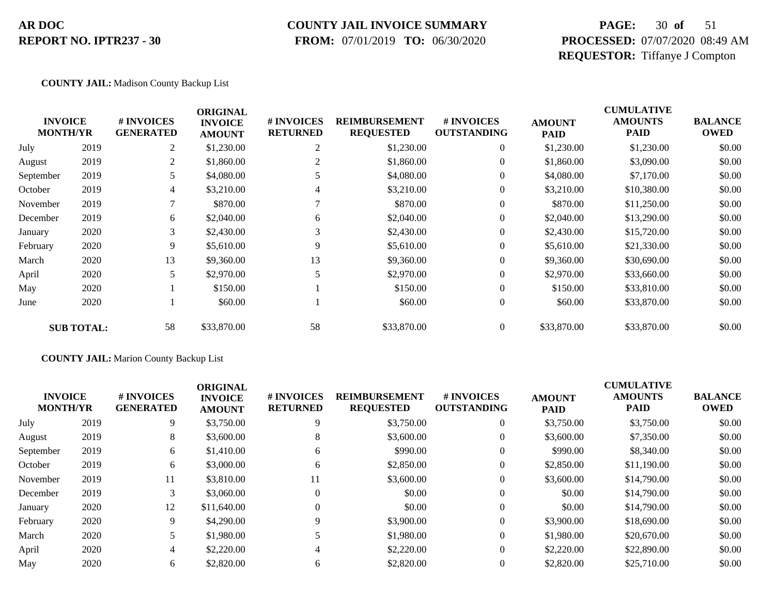### **COUNTY JAIL INVOICE SUMMARY**

 **FROM:** 07/01/2019 **TO:** 06/30/2020

## **PAGE:** 30 **of** 51 **PROCESSED:** 07/07/2020 08:49 AM **REQUESTOR:** Tiffanye J Compton

#### **COUNTY JAIL:** Madison County Backup List

|           | <b>INVOICE</b><br><b>MONTH/YR</b> | # INVOICES<br><b>GENERATED</b> | <b>ORIGINAL</b><br><b>INVOICE</b> | # INVOICES<br><b>RETURNED</b> | <b>REIMBURSEMENT</b> | <b>#INVOICES</b>   | <b>AMOUNT</b> | <b>CUMULATIVE</b><br><b>AMOUNTS</b><br><b>PAID</b> | <b>BALANCE</b> |
|-----------|-----------------------------------|--------------------------------|-----------------------------------|-------------------------------|----------------------|--------------------|---------------|----------------------------------------------------|----------------|
|           |                                   |                                | <b>AMOUNT</b>                     |                               | <b>REQUESTED</b>     | <b>OUTSTANDING</b> | <b>PAID</b>   |                                                    | <b>OWED</b>    |
| July      | 2019                              | 2                              | \$1,230.00                        | 2                             | \$1,230.00           | 0                  | \$1,230.00    | \$1,230.00                                         | \$0.00         |
| August    | 2019                              | 2                              | \$1,860.00                        | 2                             | \$1,860.00           | $\overline{0}$     | \$1,860.00    | \$3,090.00                                         | \$0.00         |
| September | 2019                              | 5                              | \$4,080.00                        |                               | \$4,080.00           | $\theta$           | \$4,080.00    | \$7,170.00                                         | \$0.00         |
| October   | 2019                              | 4                              | \$3,210.00                        | 4                             | \$3,210.00           | $\theta$           | \$3,210.00    | \$10,380.00                                        | \$0.00         |
| November  | 2019                              |                                | \$870.00                          |                               | \$870.00             | $\theta$           | \$870.00      | \$11,250.00                                        | \$0.00         |
| December  | 2019                              | 6                              | \$2,040.00                        | 6                             | \$2,040.00           | $\overline{0}$     | \$2,040.00    | \$13,290.00                                        | \$0.00         |
| January   | 2020                              | 3                              | \$2,430.00                        | 3                             | \$2,430.00           | $\overline{0}$     | \$2,430.00    | \$15,720.00                                        | \$0.00         |
| February  | 2020                              | 9                              | \$5,610.00                        | 9                             | \$5,610.00           | $\boldsymbol{0}$   | \$5,610.00    | \$21,330.00                                        | \$0.00         |
| March     | 2020                              | 13                             | \$9,360.00                        | 13                            | \$9,360.00           | $\overline{0}$     | \$9,360.00    | \$30,690.00                                        | \$0.00         |
| April     | 2020                              | 5                              | \$2,970.00                        | 5                             | \$2,970.00           | $\overline{0}$     | \$2,970.00    | \$33,660.00                                        | \$0.00         |
| May       | 2020                              |                                | \$150.00                          |                               | \$150.00             | $\overline{0}$     | \$150.00      | \$33,810.00                                        | \$0.00         |
| June      | 2020                              |                                | \$60.00                           |                               | \$60.00              | $\boldsymbol{0}$   | \$60.00       | \$33,870.00                                        | \$0.00         |
|           | <b>SUB TOTAL:</b>                 | 58                             | \$33,870.00                       | 58                            | \$33,870.00          | $\overline{0}$     | \$33,870.00   | \$33,870.00                                        | \$0.00         |

#### **COUNTY JAIL:** Marion County Backup List

| <b>INVOICE</b><br><b>MONTH/YR</b> |      | # INVOICES<br><b>GENERATED</b> | <b>ORIGINAL</b><br><b>INVOICE</b><br><b>AMOUNT</b> | <b># INVOICES</b><br><b>RETURNED</b> | <b>REIMBURSEMENT</b><br><b>REQUESTED</b> | <b>#INVOICES</b><br><b>OUTSTANDING</b> | <b>AMOUNT</b><br><b>PAID</b> | <b>CUMULATIVE</b><br><b>AMOUNTS</b><br><b>PAID</b> | <b>BALANCE</b><br><b>OWED</b> |
|-----------------------------------|------|--------------------------------|----------------------------------------------------|--------------------------------------|------------------------------------------|----------------------------------------|------------------------------|----------------------------------------------------|-------------------------------|
| July                              | 2019 | 9                              | \$3,750.00                                         | 9                                    | \$3,750.00                               | $\overline{0}$                         | \$3,750.00                   | \$3,750.00                                         | \$0.00                        |
| August                            | 2019 | 8                              | \$3,600.00                                         | 8                                    | \$3,600.00                               |                                        | \$3,600.00                   | \$7,350.00                                         | \$0.00                        |
| September                         | 2019 | 6                              | \$1,410.00                                         | 6                                    | \$990.00                                 |                                        | \$990.00                     | \$8,340.00                                         | \$0.00                        |
| October                           | 2019 | 6                              | \$3,000.00                                         | 6                                    | \$2,850.00                               |                                        | \$2,850.00                   | \$11,190.00                                        | \$0.00                        |
| November                          | 2019 | 11                             | \$3,810.00                                         | 11                                   | \$3,600.00                               | $\Omega$                               | \$3,600.00                   | \$14,790.00                                        | \$0.00                        |
| December                          | 2019 | 3                              | \$3,060.00                                         | $\Omega$                             | \$0.00                                   | $\overline{0}$                         | \$0.00                       | \$14,790.00                                        | \$0.00                        |
| January                           | 2020 | 12                             | \$11,640.00                                        |                                      | \$0.00                                   |                                        | \$0.00                       | \$14,790.00                                        | \$0.00                        |
| February                          | 2020 | 9                              | \$4,290.00                                         | 9                                    | \$3,900.00                               |                                        | \$3,900.00                   | \$18,690.00                                        | \$0.00                        |
| March                             | 2020 |                                | \$1,980.00                                         |                                      | \$1,980.00                               | $\Omega$                               | \$1,980.00                   | \$20,670.00                                        | \$0.00                        |
| April                             | 2020 | 4                              | \$2,220.00                                         |                                      | \$2,220.00                               |                                        | \$2,220.00                   | \$22,890.00                                        | \$0.00                        |
| May                               | 2020 | 6                              | \$2,820.00                                         | 6                                    | \$2,820.00                               |                                        | \$2,820.00                   | \$25,710.00                                        | \$0.00                        |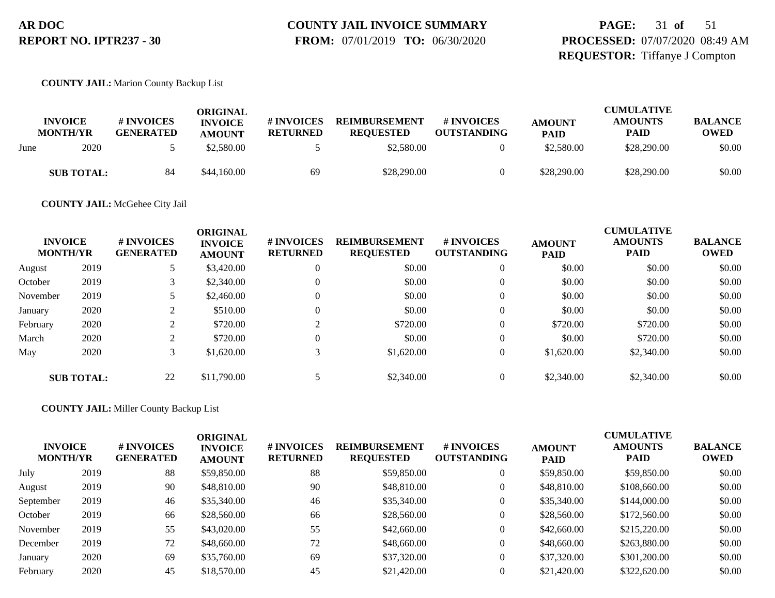# **COUNTY JAIL INVOICE SUMMARY**

 **FROM:** 07/01/2019 **TO:** 06/30/2020

### **PAGE:** 31 **of** 51 **PROCESSED:** 07/07/2020 08:49 AM **REQUESTOR:** Tiffanye J Compton

#### **COUNTY JAIL:** Marion County Backup List

|      |                                   |                                | ORIGINAL                        |                               |                                          | <b>CUMULATIVE</b>                       |                              |                               |                               |
|------|-----------------------------------|--------------------------------|---------------------------------|-------------------------------|------------------------------------------|-----------------------------------------|------------------------------|-------------------------------|-------------------------------|
|      | <b>INVOICE</b><br><b>MONTH/YR</b> | # INVOICES<br><b>GENERATED</b> | <b>INVOICE</b><br><b>AMOUNT</b> | # INVOICES<br><b>RETURNED</b> | <b>REIMBURSEMENT</b><br><b>REOUESTED</b> | <b># INVOICES</b><br><b>OUTSTANDING</b> | <b>AMOUNT</b><br><b>PAID</b> | <b>AMOUNTS</b><br><b>PAID</b> | <b>BALANCE</b><br><b>OWED</b> |
| June | 2020                              |                                | \$2,580.00                      |                               | \$2,580.00                               |                                         | \$2,580.00                   | \$28,290.00                   | \$0.00                        |
|      | <b>SUB TOTAL:</b>                 | 84                             | \$44,160.00                     | 69                            | \$28,290.00                              |                                         | \$28,290.00                  | \$28,290.00                   | \$0.00                        |

#### **COUNTY JAIL:** McGehee City Jail

| <b>INVOICE</b><br><b>MONTH/YR</b> |                   | # INVOICES<br><b>GENERATED</b> | <b>ORIGINAL</b><br><b>INVOICE</b><br><b>AMOUNT</b> | <b># INVOICES</b><br><b>RETURNED</b> | <b>REIMBURSEMENT</b><br><b>REQUESTED</b> | # INVOICES<br><b>OUTSTANDING</b> | <b>AMOUNT</b><br><b>PAID</b> | <b>CUMULATIVE</b><br><b>AMOUNTS</b><br><b>PAID</b> | <b>BALANCE</b><br><b>OWED</b> |
|-----------------------------------|-------------------|--------------------------------|----------------------------------------------------|--------------------------------------|------------------------------------------|----------------------------------|------------------------------|----------------------------------------------------|-------------------------------|
| August                            | 2019              |                                | \$3,420.00                                         | $\Omega$                             | \$0.00                                   | $\theta$                         | \$0.00                       | \$0.00                                             | \$0.00                        |
| October                           | 2019              |                                | \$2,340.00                                         |                                      | \$0.00                                   | $\theta$                         | \$0.00                       | \$0.00                                             | \$0.00                        |
| November                          | 2019              |                                | \$2,460.00                                         |                                      | \$0.00                                   | $\overline{0}$                   | \$0.00                       | \$0.00                                             | \$0.00                        |
| January                           | 2020              | ◠                              | \$510.00                                           |                                      | \$0.00                                   | $\Omega$                         | \$0.00                       | \$0.00                                             | \$0.00                        |
| February                          | 2020              |                                | \$720.00                                           |                                      | \$720.00                                 | $\theta$                         | \$720.00                     | \$720.00                                           | \$0.00                        |
| March                             | 2020              | ◠                              | \$720.00                                           |                                      | \$0.00                                   | $\theta$                         | \$0.00                       | \$720.00                                           | \$0.00                        |
| May                               | 2020              |                                | \$1,620.00                                         |                                      | \$1,620.00                               | $\overline{0}$                   | \$1,620.00                   | \$2,340.00                                         | \$0.00                        |
|                                   | <b>SUB TOTAL:</b> | 22                             | \$11,790.00                                        |                                      | \$2,340.00                               |                                  | \$2,340.00                   | \$2,340.00                                         | \$0.00                        |

#### **COUNTY JAIL:** Miller County Backup List

| <b>INVOICE</b><br><b>MONTH/YR</b> |      | # INVOICES<br><b>GENERATED</b> | ORIGINAL<br><b>INVOICE</b><br><b>AMOUNT</b> | # INVOICES<br><b>RETURNED</b> | <b>REIMBURSEMENT</b><br><b>REQUESTED</b> | <b># INVOICES</b><br><b>OUTSTANDING</b> | <b>AMOUNT</b><br><b>PAID</b> | <b>CUMULATIVE</b><br><b>AMOUNTS</b><br><b>PAID</b> | <b>BALANCE</b><br>OWED |
|-----------------------------------|------|--------------------------------|---------------------------------------------|-------------------------------|------------------------------------------|-----------------------------------------|------------------------------|----------------------------------------------------|------------------------|
| July                              | 2019 | 88                             | \$59,850.00                                 | 88                            | \$59,850.00                              | 0                                       | \$59,850.00                  | \$59,850.00                                        | \$0.00                 |
| August                            | 2019 | 90                             | \$48,810.00                                 | 90                            | \$48,810.00                              | 0                                       | \$48,810.00                  | \$108,660.00                                       | \$0.00                 |
| September                         | 2019 | 46                             | \$35,340.00                                 | 46                            | \$35,340.00                              | $\theta$                                | \$35,340.00                  | \$144,000.00                                       | \$0.00                 |
| October                           | 2019 | 66                             | \$28,560.00                                 | 66                            | \$28,560.00                              | $\boldsymbol{0}$                        | \$28,560.00                  | \$172,560.00                                       | \$0.00                 |
| November                          | 2019 | 55                             | \$43,020.00                                 | 55                            | \$42,660.00                              | $\boldsymbol{0}$                        | \$42,660.00                  | \$215,220.00                                       | \$0.00                 |
| December                          | 2019 | 72                             | \$48,660.00                                 | 72                            | \$48,660.00                              | $\boldsymbol{0}$                        | \$48,660.00                  | \$263,880.00                                       | \$0.00                 |
| January                           | 2020 | 69                             | \$35,760.00                                 | 69                            | \$37,320.00                              | $\boldsymbol{0}$                        | \$37,320.00                  | \$301,200.00                                       | \$0.00                 |
| February                          | 2020 | 45                             | \$18,570.00                                 | 45                            | \$21,420.00                              | 0                                       | \$21,420.00                  | \$322,620.00                                       | \$0.00                 |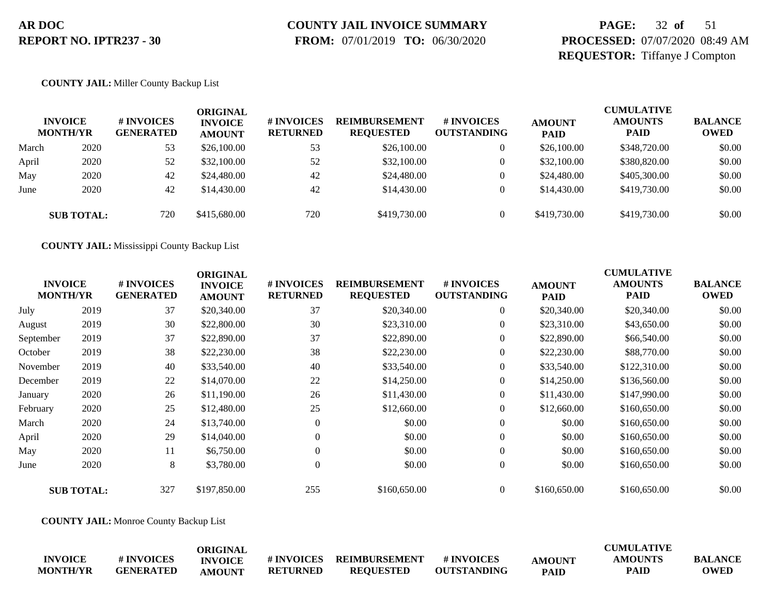## **COUNTY JAIL INVOICE SUMMARY**

 **FROM:** 07/01/2019 **TO:** 06/30/2020

### **PAGE:** 32 **of** 51 **PROCESSED:** 07/07/2020 08:49 AM **REQUESTOR:** Tiffanye J Compton

#### **COUNTY JAIL:** Miller County Backup List

|       | <b>INVOICE</b><br><b>MONTH/YR</b> | # INVOICES<br><b>GENERATED</b> | ORIGINAL<br><b>INVOICE</b><br><b>AMOUNT</b> | # INVOICES<br><b>RETURNED</b> | <b>REIMBURSEMENT</b><br><b>REQUESTED</b> | # INVOICES<br><b>OUTSTANDING</b> | <b>AMOUNT</b><br><b>PAID</b> | <b>CUMULATIVE</b><br><b>AMOUNTS</b><br><b>PAID</b> | <b>BALANCE</b><br><b>OWED</b> |
|-------|-----------------------------------|--------------------------------|---------------------------------------------|-------------------------------|------------------------------------------|----------------------------------|------------------------------|----------------------------------------------------|-------------------------------|
| March | 2020                              | 53                             | \$26,100.00                                 | 53                            | \$26,100.00                              | 0                                | \$26,100.00                  | \$348,720.00                                       | \$0.00                        |
| April | 2020                              | 52                             | \$32,100.00                                 | 52                            | \$32,100.00                              | $\overline{0}$                   | \$32,100.00                  | \$380,820.00                                       | \$0.00                        |
| May   | 2020                              | 42                             | \$24,480.00                                 | 42                            | \$24,480.00                              | $\overline{0}$                   | \$24,480.00                  | \$405,300.00                                       | \$0.00                        |
| June  | 2020                              | 42                             | \$14,430.00                                 | 42                            | \$14,430.00                              | $\Omega$                         | \$14,430.00                  | \$419,730.00                                       | \$0.00                        |
|       | <b>SUB TOTAL:</b>                 | 720                            | \$415,680.00                                | 720                           | \$419,730.00                             | $\Omega$                         | \$419,730.00                 | \$419,730.00                                       | \$0.00                        |

**COUNTY JAIL:** Mississippi County Backup List

| <b>INVOICE</b><br><b>MONTH/YR</b> |                   | # INVOICES<br><b>GENERATED</b> | <b>ORIGINAL</b><br><b>INVOICE</b><br><b>AMOUNT</b> | # INVOICES<br><b>RETURNED</b> | <b>REIMBURSEMENT</b><br><b>REQUESTED</b> | # INVOICES<br><b>OUTSTANDING</b> | <b>AMOUNT</b><br><b>PAID</b> | <b>CUMULATIVE</b><br><b>AMOUNTS</b><br>PAID | <b>BALANCE</b><br><b>OWED</b> |
|-----------------------------------|-------------------|--------------------------------|----------------------------------------------------|-------------------------------|------------------------------------------|----------------------------------|------------------------------|---------------------------------------------|-------------------------------|
| July                              | 2019              | 37                             | \$20,340.00                                        | 37                            | \$20,340.00                              | $\overline{0}$                   | \$20,340.00                  | \$20,340.00                                 | \$0.00                        |
| August                            | 2019              | 30                             | \$22,800.00                                        | 30                            | \$23,310.00                              | $\overline{0}$                   | \$23,310.00                  | \$43,650.00                                 | \$0.00                        |
| September                         | 2019              | 37                             | \$22,890.00                                        | 37                            | \$22,890.00                              | $\overline{0}$                   | \$22,890.00                  | \$66,540.00                                 | \$0.00                        |
| October                           | 2019              | 38                             | \$22,230.00                                        | 38                            | \$22,230.00                              | $\overline{0}$                   | \$22,230.00                  | \$88,770.00                                 | \$0.00                        |
| November                          | 2019              | 40                             | \$33,540.00                                        | 40                            | \$33,540.00                              | $\overline{0}$                   | \$33,540.00                  | \$122,310.00                                | \$0.00                        |
| December                          | 2019              | 22                             | \$14,070.00                                        | 22                            | \$14,250.00                              | $\overline{0}$                   | \$14,250.00                  | \$136,560.00                                | \$0.00                        |
| January                           | 2020              | 26                             | \$11,190.00                                        | 26                            | \$11,430.00                              | $\overline{0}$                   | \$11,430.00                  | \$147,990.00                                | \$0.00                        |
| February                          | 2020              | 25                             | \$12,480.00                                        | 25                            | \$12,660.00                              | $\boldsymbol{0}$                 | \$12,660.00                  | \$160,650.00                                | \$0.00                        |
| March                             | 2020              | 24                             | \$13,740.00                                        | $\Omega$                      | \$0.00                                   | $\overline{0}$                   | \$0.00                       | \$160,650.00                                | \$0.00                        |
| April                             | 2020              | 29                             | \$14,040.00                                        |                               | \$0.00                                   | $\theta$                         | \$0.00                       | \$160,650.00                                | \$0.00                        |
| May                               | 2020              | 11                             | \$6,750.00                                         | $\theta$                      | \$0.00                                   | $\overline{0}$                   | \$0.00                       | \$160,650.00                                | \$0.00                        |
| June                              | 2020              | 8                              | \$3,780.00                                         | $\overline{0}$                | \$0.00                                   | $\overline{0}$                   | \$0.00                       | \$160,650.00                                | \$0.00                        |
|                                   | <b>SUB TOTAL:</b> | 327                            | \$197,850.00                                       | 255                           | \$160,650.00                             | $\theta$                         | \$160,650.00                 | \$160,650.00                                | \$0.00                        |

**COUNTY JAIL:** Monroe County Backup List

|                 |                  | ORIGINAL       |                   |                      |                    |               | <b>CUMULATIVE</b> |                |
|-----------------|------------------|----------------|-------------------|----------------------|--------------------|---------------|-------------------|----------------|
| <b>INVOICE</b>  | # INVOICES       | <b>INVOICE</b> | <b># INVOICES</b> | <b>REIMBURSEMENT</b> | <b>#INVOICES</b>   | <b>AMOUNT</b> | <b>AMOUNTS</b>    | <b>BALANCE</b> |
| <b>MONTH/YR</b> | <b>GENERATED</b> | <b>AMOUNT</b>  | <b>RETURNED</b>   | <b>REQUESTED</b>     | <b>OUTSTANDING</b> | <b>PAID</b>   | <b>PAID</b>       | <b>OWED</b>    |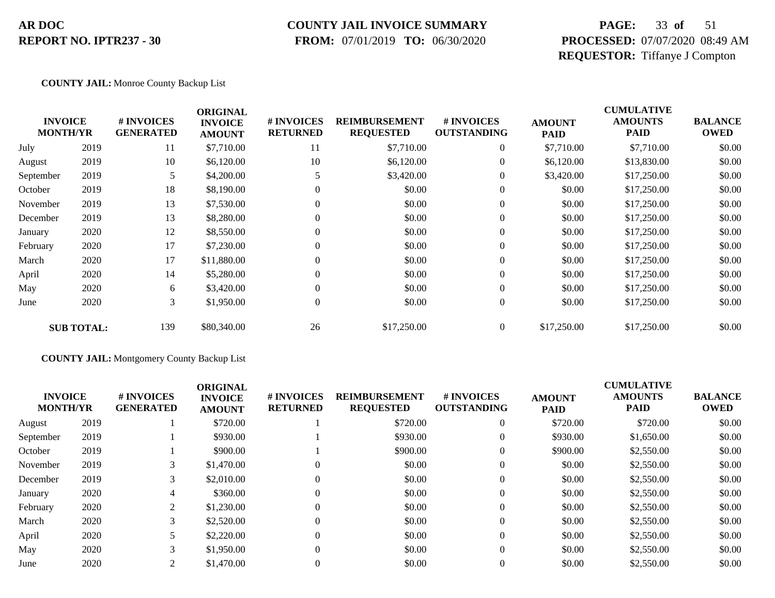#### **COUNTY JAIL INVOICE SUMMARY**

 **FROM:** 07/01/2019 **TO:** 06/30/2020

## **PAGE:** 33 **of** 51 **PROCESSED:** 07/07/2020 08:49 AM **REQUESTOR:** Tiffanye J Compton

#### **COUNTY JAIL:** Monroe County Backup List

|           | <b>INVOICE</b><br><b>MONTH/YR</b> | # INVOICES<br><b>GENERATED</b> | <b>ORIGINAL</b><br><b>INVOICE</b><br><b>AMOUNT</b> | # INVOICES<br><b>RETURNED</b> | <b>REIMBURSEMENT</b><br><b>REQUESTED</b> | # INVOICES<br><b>OUTSTANDING</b> | <b>AMOUNT</b><br><b>PAID</b> | <b>CUMULATIVE</b><br><b>AMOUNTS</b><br><b>PAID</b> | <b>BALANCE</b><br><b>OWED</b> |
|-----------|-----------------------------------|--------------------------------|----------------------------------------------------|-------------------------------|------------------------------------------|----------------------------------|------------------------------|----------------------------------------------------|-------------------------------|
| July      | 2019                              | 11                             | \$7,710.00                                         | 11                            | \$7,710.00                               | $\overline{0}$                   | \$7,710.00                   | \$7,710.00                                         | \$0.00                        |
| August    | 2019                              | 10                             | \$6,120.00                                         | 10                            | \$6,120.00                               | $\overline{0}$                   | \$6,120.00                   | \$13,830.00                                        | \$0.00                        |
| September | 2019                              | 5                              | \$4,200.00                                         |                               | \$3,420.00                               | $\mathbf{0}$                     | \$3,420.00                   | \$17,250.00                                        | \$0.00                        |
| October   | 2019                              | 18                             | \$8,190.00                                         |                               | \$0.00                                   | $\mathbf{0}$                     | \$0.00                       | \$17,250.00                                        | \$0.00                        |
| November  | 2019                              | 13                             | \$7,530.00                                         | $\theta$                      | \$0.00                                   | $\mathbf{0}$                     | \$0.00                       | \$17,250.00                                        | \$0.00                        |
| December  | 2019                              | 13                             | \$8,280.00                                         | 0                             | \$0.00                                   | $\mathbf{0}$                     | \$0.00                       | \$17,250.00                                        | \$0.00                        |
| January   | 2020                              | 12                             | \$8,550.00                                         | $\theta$                      | \$0.00                                   | $\boldsymbol{0}$                 | \$0.00                       | \$17,250.00                                        | \$0.00                        |
| February  | 2020                              | 17                             | \$7,230.00                                         | 0                             | \$0.00                                   | $\mathbf{0}$                     | \$0.00                       | \$17,250.00                                        | \$0.00                        |
| March     | 2020                              | 17                             | \$11,880.00                                        | $\Omega$                      | \$0.00                                   | $\overline{0}$                   | \$0.00                       | \$17,250.00                                        | \$0.00                        |
| April     | 2020                              | 14                             | \$5,280.00                                         |                               | \$0.00                                   | $\mathbf{0}$                     | \$0.00                       | \$17,250.00                                        | \$0.00                        |
| May       | 2020                              | 6                              | \$3,420.00                                         | $\theta$                      | \$0.00                                   | $\boldsymbol{0}$                 | \$0.00                       | \$17,250.00                                        | \$0.00                        |
| June      | 2020                              | 3                              | \$1,950.00                                         | 0                             | \$0.00                                   | $\boldsymbol{0}$                 | \$0.00                       | \$17,250.00                                        | \$0.00                        |
|           | <b>SUB TOTAL:</b>                 | 139                            | \$80,340.00                                        | 26                            | \$17,250.00                              | $\overline{0}$                   | \$17,250.00                  | \$17,250.00                                        | \$0.00                        |

#### **COUNTY JAIL:** Montgomery County Backup List

|           | <b>INVOICE</b><br><b>MONTH/YR</b> | <b>#INVOICES</b><br><b>GENERATED</b> | <b>ORIGINAL</b><br><b>INVOICE</b><br><b>AMOUNT</b> | <b># INVOICES</b><br><b>RETURNED</b> | <b>REIMBURSEMENT</b><br><b>REQUESTED</b> | # INVOICES<br><b>OUTSTANDING</b> | <b>AMOUNT</b><br><b>PAID</b> | <b>CUMULATIVE</b><br><b>AMOUNTS</b><br><b>PAID</b> | <b>BALANCE</b><br><b>OWED</b> |
|-----------|-----------------------------------|--------------------------------------|----------------------------------------------------|--------------------------------------|------------------------------------------|----------------------------------|------------------------------|----------------------------------------------------|-------------------------------|
| August    | 2019                              |                                      | \$720.00                                           |                                      | \$720.00                                 | $\overline{0}$                   | \$720.00                     | \$720.00                                           | \$0.00                        |
| September | 2019                              |                                      | \$930.00                                           |                                      | \$930.00                                 | $\theta$                         | \$930.00                     | \$1,650.00                                         | \$0.00                        |
| October   | 2019                              |                                      | \$900.00                                           |                                      | \$900.00                                 |                                  | \$900.00                     | \$2,550.00                                         | \$0.00                        |
| November  | 2019                              | 3                                    | \$1,470.00                                         |                                      | \$0.00                                   | $\theta$                         | \$0.00                       | \$2,550.00                                         | \$0.00                        |
| December  | 2019                              | 3                                    | \$2,010.00                                         |                                      | \$0.00                                   | $\overline{0}$                   | \$0.00                       | \$2,550.00                                         | \$0.00                        |
| January   | 2020                              | 4                                    | \$360.00                                           |                                      | \$0.00                                   | $\overline{0}$                   | \$0.00                       | \$2,550.00                                         | \$0.00                        |
| February  | 2020                              | 2                                    | \$1,230.00                                         |                                      | \$0.00                                   | $\theta$                         | \$0.00                       | \$2,550.00                                         | \$0.00                        |
| March     | 2020                              | 3                                    | \$2,520.00                                         |                                      | \$0.00                                   | $\theta$                         | \$0.00                       | \$2,550.00                                         | \$0.00                        |
| April     | 2020                              |                                      | \$2,220.00                                         |                                      | \$0.00                                   | $\overline{0}$                   | \$0.00                       | \$2,550.00                                         | \$0.00                        |
| May       | 2020                              | 3                                    | \$1,950.00                                         |                                      | \$0.00                                   | $\Omega$                         | \$0.00                       | \$2,550.00                                         | \$0.00                        |
| June      | 2020                              | 2                                    | \$1,470.00                                         |                                      | \$0.00                                   |                                  | \$0.00                       | \$2,550.00                                         | \$0.00                        |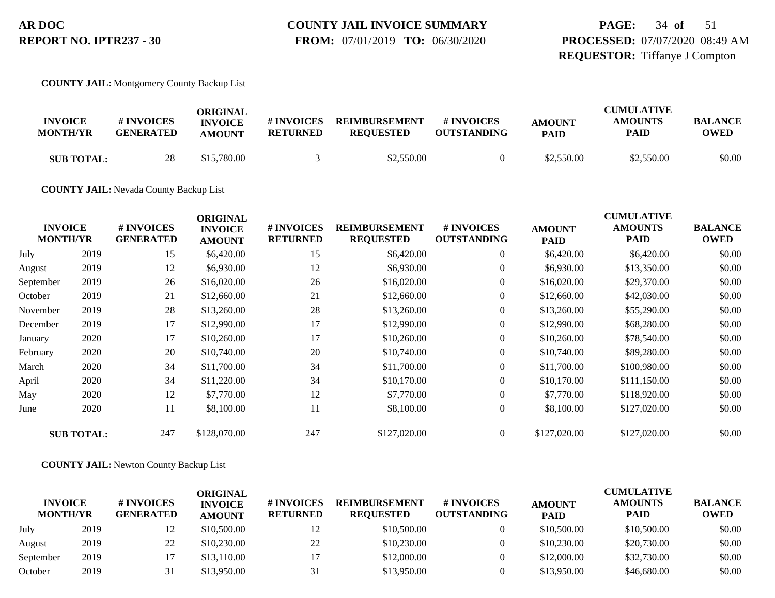# **COUNTY JAIL INVOICE SUMMARY**

 **FROM:** 07/01/2019 **TO:** 06/30/2020

## **PAGE:** 34 **of** 51 **PROCESSED:** 07/07/2020 08:49 AM **REQUESTOR:** Tiffanye J Compton

**COUNTY JAIL:** Montgomery County Backup List

| <b>INVOICE</b><br><b>MONTH/YR</b> | # INVOICES<br><b>GENERATED</b> | ORIGINAL<br><b>INVOICE</b><br><b>AMOUNT</b> | # INVOICES<br><b>RETURNED</b> | <b>REIMBURSEMENT</b><br><b>REQUESTED</b> | # INVOICES<br><b>OUTSTANDING</b> | <b>AMOUNT</b><br><b>PAID</b> | <b>CUMULATIVE</b><br><b>AMOUNTS</b><br><b>PAID</b> | <b>BALANCE</b><br><b>OWED</b> |
|-----------------------------------|--------------------------------|---------------------------------------------|-------------------------------|------------------------------------------|----------------------------------|------------------------------|----------------------------------------------------|-------------------------------|
| <b>SUB TOTAL:</b>                 | 28                             | \$15,780.00                                 |                               | \$2,550.00                               |                                  | \$2,550.00                   | \$2,550.00                                         | \$0.00                        |

**COUNTY JAIL:** Nevada County Backup List

|           | <b>INVOICE</b><br><b>MONTH/YR</b> | # INVOICES<br><b>GENERATED</b> | <b>ORIGINAL</b><br><b>INVOICE</b><br><b>AMOUNT</b> | # INVOICES<br><b>RETURNED</b> | <b>REIMBURSEMENT</b><br><b>REQUESTED</b> | # INVOICES<br><b>OUTSTANDING</b> | <b>AMOUNT</b><br><b>PAID</b> | <b>CUMULATIVE</b><br><b>AMOUNTS</b><br><b>PAID</b> | <b>BALANCE</b><br><b>OWED</b> |
|-----------|-----------------------------------|--------------------------------|----------------------------------------------------|-------------------------------|------------------------------------------|----------------------------------|------------------------------|----------------------------------------------------|-------------------------------|
| July      | 2019                              | 15                             | \$6,420.00                                         | 15                            | \$6,420.00                               | $\overline{0}$                   | \$6,420.00                   | \$6,420.00                                         | \$0.00                        |
| August    | 2019                              | 12                             | \$6,930.00                                         | 12                            | \$6,930.00                               | $\overline{0}$                   | \$6,930.00                   | \$13,350.00                                        | \$0.00                        |
| September | 2019                              | 26                             | \$16,020.00                                        | 26                            | \$16,020.00                              | $\overline{0}$                   | \$16,020.00                  | \$29,370.00                                        | \$0.00                        |
| October   | 2019                              | 21                             | \$12,660.00                                        | 21                            | \$12,660.00                              | $\overline{0}$                   | \$12,660.00                  | \$42,030.00                                        | \$0.00                        |
| November  | 2019                              | 28                             | \$13,260.00                                        | 28                            | \$13,260.00                              | $\overline{0}$                   | \$13,260.00                  | \$55,290.00                                        | \$0.00                        |
| December  | 2019                              | 17                             | \$12,990.00                                        | 17                            | \$12,990.00                              | $\overline{0}$                   | \$12,990.00                  | \$68,280.00                                        | \$0.00                        |
| January   | 2020                              | 17                             | \$10,260.00                                        | 17                            | \$10,260.00                              | $\overline{0}$                   | \$10,260.00                  | \$78,540.00                                        | \$0.00                        |
| February  | 2020                              | 20                             | \$10,740.00                                        | 20                            | \$10,740.00                              | $\overline{0}$                   | \$10,740.00                  | \$89,280.00                                        | \$0.00                        |
| March     | 2020                              | 34                             | \$11,700.00                                        | 34                            | \$11,700.00                              | $\overline{0}$                   | \$11,700.00                  | \$100,980.00                                       | \$0.00                        |
| April     | 2020                              | 34                             | \$11,220.00                                        | 34                            | \$10,170.00                              | $\overline{0}$                   | \$10,170.00                  | \$111,150.00                                       | \$0.00                        |
| May       | 2020                              | 12                             | \$7,770.00                                         | 12                            | \$7,770.00                               | $\overline{0}$                   | \$7,770.00                   | \$118,920.00                                       | \$0.00                        |
| June      | 2020                              | 11                             | \$8,100.00                                         | 11                            | \$8,100.00                               | $\overline{0}$                   | \$8,100.00                   | \$127,020.00                                       | \$0.00                        |
|           | <b>SUB TOTAL:</b>                 | 247                            | \$128,070.00                                       | 247                           | \$127,020.00                             | $\theta$                         | \$127,020.00                 | \$127,020.00                                       | \$0.00                        |

**COUNTY JAIL:** Newton County Backup List

| <b>INVOICE</b><br><b>MONTH/YR</b> |      | # INVOICES<br><b>GENERATED</b> | ORIGINAL<br><b>INVOICE</b><br><b>AMOUNT</b> | # INVOICES<br><b>RETURNED</b> | <b>REIMBURSEMENT</b><br><b>REQUESTED</b> | # INVOICES<br><b>OUTSTANDING</b> | <b>AMOUNT</b><br><b>PAID</b> | <b>CUMULATIVE</b><br><b>AMOUNTS</b><br><b>PAID</b> | <b>BALANCE</b><br><b>OWED</b> |
|-----------------------------------|------|--------------------------------|---------------------------------------------|-------------------------------|------------------------------------------|----------------------------------|------------------------------|----------------------------------------------------|-------------------------------|
| July                              | 2019 | 12                             | \$10,500.00                                 | 12                            | \$10,500.00                              |                                  | \$10,500.00                  | \$10,500.00                                        | \$0.00                        |
| August                            | 2019 | 22                             | \$10,230.00                                 | 22                            | \$10,230.00                              |                                  | \$10,230.00                  | \$20,730.00                                        | \$0.00                        |
| September                         | 2019 |                                | \$13,110.00                                 |                               | \$12,000.00                              |                                  | \$12,000.00                  | \$32,730.00                                        | \$0.00                        |
| October                           | 2019 | 31                             | \$13,950.00                                 | 31                            | \$13,950.00                              |                                  | \$13,950.00                  | \$46,680.00                                        | \$0.00                        |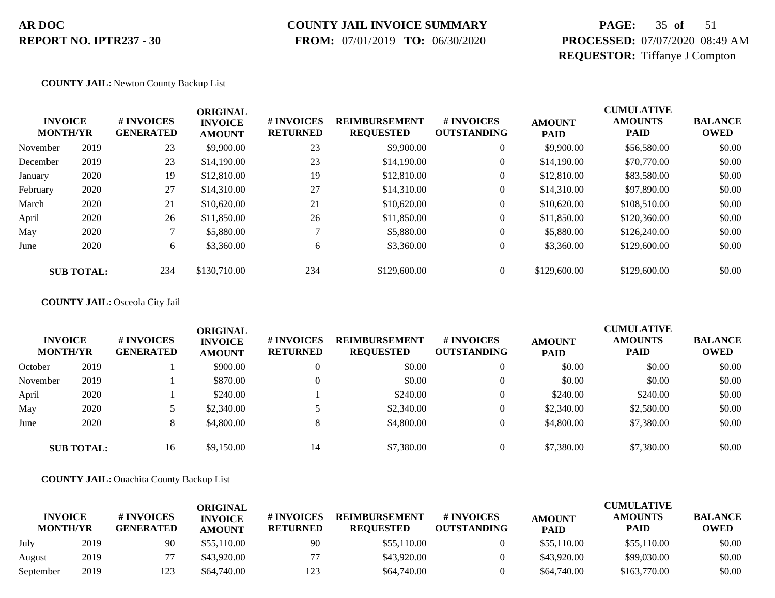## **COUNTY JAIL INVOICE SUMMARY**

 **FROM:** 07/01/2019 **TO:** 06/30/2020

## **PAGE:** 35 **of** 51 **PROCESSED:** 07/07/2020 08:49 AM **REQUESTOR:** Tiffanye J Compton

#### **COUNTY JAIL:** Newton County Backup List

|          | <b>INVOICE</b><br><b>MONTH/YR</b> | # INVOICES<br><b>GENERATED</b> | <b>ORIGINAL</b><br><b>INVOICE</b><br><b>AMOUNT</b> | # INVOICES<br><b>RETURNED</b> | <b>REIMBURSEMENT</b><br><b>REQUESTED</b> | # INVOICES<br><b>OUTSTANDING</b> | <b>AMOUNT</b><br><b>PAID</b> | <b>CUMULATIVE</b><br><b>AMOUNTS</b><br><b>PAID</b> | <b>BALANCE</b><br><b>OWED</b> |
|----------|-----------------------------------|--------------------------------|----------------------------------------------------|-------------------------------|------------------------------------------|----------------------------------|------------------------------|----------------------------------------------------|-------------------------------|
| November | 2019                              | 23                             | \$9,900.00                                         | 23                            | \$9,900.00                               | $\theta$                         | \$9,900.00                   | \$56,580.00                                        | \$0.00                        |
| December | 2019                              | 23                             | \$14,190.00                                        | 23                            | \$14,190.00                              | $\theta$                         | \$14,190.00                  | \$70,770.00                                        | \$0.00                        |
| January  | 2020                              | 19                             | \$12,810.00                                        | 19                            | \$12,810.00                              | $\boldsymbol{0}$                 | \$12,810.00                  | \$83,580.00                                        | \$0.00                        |
| February | 2020                              | 27                             | \$14,310.00                                        | 27                            | \$14,310.00                              | $\boldsymbol{0}$                 | \$14,310.00                  | \$97,890.00                                        | \$0.00                        |
| March    | 2020                              | 21                             | \$10,620.00                                        | 21                            | \$10,620.00                              | $\boldsymbol{0}$                 | \$10,620.00                  | \$108,510.00                                       | \$0.00                        |
| April    | 2020                              | 26                             | \$11,850.00                                        | 26                            | \$11,850.00                              | $\overline{0}$                   | \$11,850.00                  | \$120,360.00                                       | \$0.00                        |
| May      | 2020                              |                                | \$5,880.00                                         |                               | \$5,880.00                               | $\theta$                         | \$5,880.00                   | \$126,240.00                                       | \$0.00                        |
| June     | 2020                              | 6                              | \$3,360.00                                         | 6                             | \$3,360.00                               | $\overline{0}$                   | \$3,360.00                   | \$129,600.00                                       | \$0.00                        |
|          | <b>SUB TOTAL:</b>                 | 234                            | \$130,710.00                                       | 234                           | \$129,600.00                             |                                  | \$129,600.00                 | \$129,600.00                                       | \$0.00                        |

#### **COUNTY JAIL:** Osceola City Jail

| <b>INVOICE</b><br><b>MONTH/YR</b> |                   | # INVOICES<br><b>GENERATED</b> | ORIGINAL<br><b>INVOICE</b><br><b>AMOUNT</b> | # INVOICES<br><b>RETURNED</b> | <b>REIMBURSEMENT</b><br><b>REQUESTED</b> | <b># INVOICES</b><br><b>OUTSTANDING</b> | <b>AMOUNT</b><br><b>PAID</b> | <b>CUMULATIVE</b><br><b>AMOUNTS</b><br><b>PAID</b> | <b>BALANCE</b><br><b>OWED</b> |
|-----------------------------------|-------------------|--------------------------------|---------------------------------------------|-------------------------------|------------------------------------------|-----------------------------------------|------------------------------|----------------------------------------------------|-------------------------------|
| October                           | 2019              |                                | \$900.00                                    |                               | \$0.00                                   |                                         | \$0.00                       | \$0.00                                             | \$0.00                        |
| November                          | 2019              |                                | \$870.00                                    |                               | \$0.00                                   |                                         | \$0.00                       | \$0.00                                             | \$0.00                        |
| April                             | 2020              |                                | \$240.00                                    |                               | \$240.00                                 |                                         | \$240.00                     | \$240.00                                           | \$0.00                        |
| May                               | 2020              |                                | \$2,340.00                                  |                               | \$2,340.00                               |                                         | \$2,340.00                   | \$2,580.00                                         | \$0.00                        |
| June                              | 2020              | 8.                             | \$4,800.00                                  |                               | \$4,800.00                               |                                         | \$4,800.00                   | \$7,380.00                                         | \$0.00                        |
|                                   | <b>SUB TOTAL:</b> | 16                             | \$9,150.00                                  | 14                            | \$7,380.00                               |                                         | \$7,380.00                   | \$7,380.00                                         | \$0.00                        |

#### **COUNTY JAIL:** Ouachita County Backup List

|                                   |      |                                | <b>ORIGINAL</b>                 |                               |                                          |                                  |                              | <b>CUMULATIVE</b>      |                               |
|-----------------------------------|------|--------------------------------|---------------------------------|-------------------------------|------------------------------------------|----------------------------------|------------------------------|------------------------|-------------------------------|
| <b>INVOICE</b><br><b>MONTH/YR</b> |      | # INVOICES<br><b>GENERATED</b> | <b>INVOICE</b><br><b>AMOUNT</b> | # INVOICES<br><b>RETURNED</b> | <b>REIMBURSEMENT</b><br><b>REOUESTED</b> | # INVOICES<br><b>OUTSTANDING</b> | <b>AMOUNT</b><br><b>PAID</b> | <b>AMOUNTS</b><br>PAID | <b>BALANCE</b><br><b>OWED</b> |
| July                              | 2019 | 90                             | \$55,110.00                     | 90                            | \$55,110.00                              |                                  | \$55,110.00                  | \$55,110.00            | \$0.00                        |
| August                            | 2019 |                                | \$43,920.00                     | 77                            | \$43,920.00                              |                                  | \$43,920.00                  | \$99,030.00            | \$0.00                        |
| September                         | 2019 | 123                            | \$64,740.00                     | 123                           | \$64,740.00                              |                                  | \$64,740.00                  | \$163,770.00           | \$0.00                        |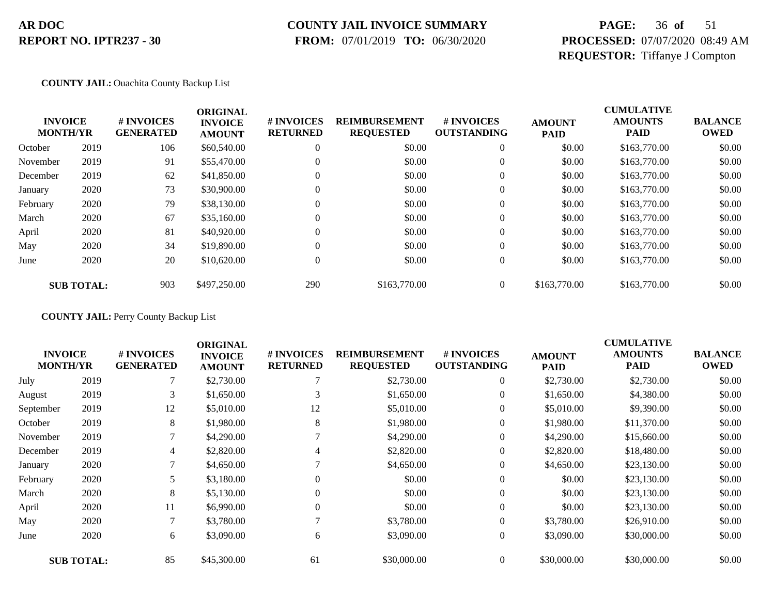### **COUNTY JAIL INVOICE SUMMARY**

 **FROM:** 07/01/2019 **TO:** 06/30/2020

## **PAGE:** 36 **of** 51 **PROCESSED:** 07/07/2020 08:49 AM **REQUESTOR:** Tiffanye J Compton

#### **COUNTY JAIL:** Ouachita County Backup List

|          | <b>INVOICE</b><br><b>MONTH/YR</b> | # INVOICES<br><b>GENERATED</b> | <b>ORIGINAL</b><br><b>INVOICE</b><br><b>AMOUNT</b> | # INVOICES<br><b>RETURNED</b> | <b>REIMBURSEMENT</b><br><b>REQUESTED</b> | <b>#INVOICES</b><br><b>OUTSTANDING</b> | <b>AMOUNT</b><br><b>PAID</b> | <b>CUMULATIVE</b><br><b>AMOUNTS</b><br><b>PAID</b> | <b>BALANCE</b><br><b>OWED</b> |
|----------|-----------------------------------|--------------------------------|----------------------------------------------------|-------------------------------|------------------------------------------|----------------------------------------|------------------------------|----------------------------------------------------|-------------------------------|
| October  | 2019                              | 106                            | \$60,540.00                                        | $\theta$                      | \$0.00                                   | $\theta$                               | \$0.00                       | \$163,770.00                                       | \$0.00                        |
| November | 2019                              | 91                             | \$55,470.00                                        | $\theta$                      | \$0.00                                   | $\overline{0}$                         | \$0.00                       | \$163,770.00                                       | \$0.00                        |
| December | 2019                              | 62                             | \$41,850.00                                        | $\Omega$                      | \$0.00                                   | $\overline{0}$                         | \$0.00                       | \$163,770.00                                       | \$0.00                        |
| January  | 2020                              | 73                             | \$30,900.00                                        | $\theta$                      | \$0.00                                   | $\theta$                               | \$0.00                       | \$163,770.00                                       | \$0.00                        |
| February | 2020                              | 79                             | \$38,130.00                                        | $\mathbf{0}$                  | \$0.00                                   | $\overline{0}$                         | \$0.00                       | \$163,770.00                                       | \$0.00                        |
| March    | 2020                              | 67                             | \$35,160.00                                        | $\Omega$                      | \$0.00                                   | $\theta$                               | \$0.00                       | \$163,770.00                                       | \$0.00                        |
| April    | 2020                              | 81                             | \$40,920.00                                        | $\Omega$                      | \$0.00                                   | $\overline{0}$                         | \$0.00                       | \$163,770.00                                       | \$0.00                        |
| May      | 2020                              | 34                             | \$19,890.00                                        | $\Omega$                      | \$0.00                                   | $\Omega$                               | \$0.00                       | \$163,770.00                                       | \$0.00                        |
| June     | 2020                              | 20                             | \$10,620.00                                        | $\mathbf{0}$                  | \$0.00                                   | $\overline{0}$                         | \$0.00                       | \$163,770.00                                       | \$0.00                        |
|          | <b>SUB TOTAL:</b>                 | 903                            | \$497,250.00                                       | 290                           | \$163,770.00                             | $\overline{0}$                         | \$163,770.00                 | \$163,770.00                                       | \$0.00                        |

**COUNTY JAIL:** Perry County Backup List

| <b>INVOICE</b><br><b>MONTH/YR</b> |                   | # INVOICES<br><b>GENERATED</b> | <b>ORIGINAL</b><br><b>INVOICE</b><br><b>AMOUNT</b> | # INVOICES<br><b>RETURNED</b> | <b>REIMBURSEMENT</b><br><b>REQUESTED</b> | # INVOICES<br><b>OUTSTANDING</b> | <b>AMOUNT</b><br><b>PAID</b> | <b>CUMULATIVE</b><br><b>AMOUNTS</b><br><b>PAID</b> | <b>BALANCE</b><br><b>OWED</b> |
|-----------------------------------|-------------------|--------------------------------|----------------------------------------------------|-------------------------------|------------------------------------------|----------------------------------|------------------------------|----------------------------------------------------|-------------------------------|
| July                              | 2019              |                                | \$2,730.00                                         |                               | \$2,730.00                               | $\overline{0}$                   | \$2,730.00                   | \$2,730.00                                         | \$0.00                        |
| August                            | 2019              | 3                              | \$1,650.00                                         | 3                             | \$1,650.00                               | 0                                | \$1,650.00                   | \$4,380.00                                         | \$0.00                        |
| September                         | 2019              | 12                             | \$5,010.00                                         | 12                            | \$5,010.00                               | $\overline{0}$                   | \$5,010.00                   | \$9,390.00                                         | \$0.00                        |
| October                           | 2019              | 8                              | \$1,980.00                                         | 8                             | \$1,980.00                               | 0                                | \$1,980.00                   | \$11,370.00                                        | \$0.00                        |
| November                          | 2019              | 7                              | \$4,290.00                                         |                               | \$4,290.00                               | $\overline{0}$                   | \$4,290.00                   | \$15,660.00                                        | \$0.00                        |
| December                          | 2019              | 4                              | \$2,820.00                                         | 4                             | \$2,820.00                               | $\theta$                         | \$2,820.00                   | \$18,480.00                                        | \$0.00                        |
| January                           | 2020              | 7                              | \$4,650.00                                         |                               | \$4,650.00                               | $\overline{0}$                   | \$4,650.00                   | \$23,130.00                                        | \$0.00                        |
| February                          | 2020              |                                | \$3,180.00                                         | $\overline{0}$                | \$0.00                                   | $\overline{0}$                   | \$0.00                       | \$23,130.00                                        | \$0.00                        |
| March                             | 2020              | 8                              | \$5,130.00                                         | $\Omega$                      | \$0.00                                   | $\overline{0}$                   | \$0.00                       | \$23,130.00                                        | \$0.00                        |
| April                             | 2020              | 11                             | \$6,990.00                                         | $\Omega$                      | \$0.00                                   | $\overline{0}$                   | \$0.00                       | \$23,130.00                                        | \$0.00                        |
| May                               | 2020              | 7                              | \$3,780.00                                         |                               | \$3,780.00                               | 0                                | \$3,780.00                   | \$26,910.00                                        | \$0.00                        |
| June                              | 2020              | 6                              | \$3,090.00                                         | 6                             | \$3,090.00                               | $\overline{0}$                   | \$3,090.00                   | \$30,000.00                                        | \$0.00                        |
|                                   | <b>SUB TOTAL:</b> | 85                             | \$45,300.00                                        | 61                            | \$30,000.00                              | $\overline{0}$                   | \$30,000.00                  | \$30,000.00                                        | \$0.00                        |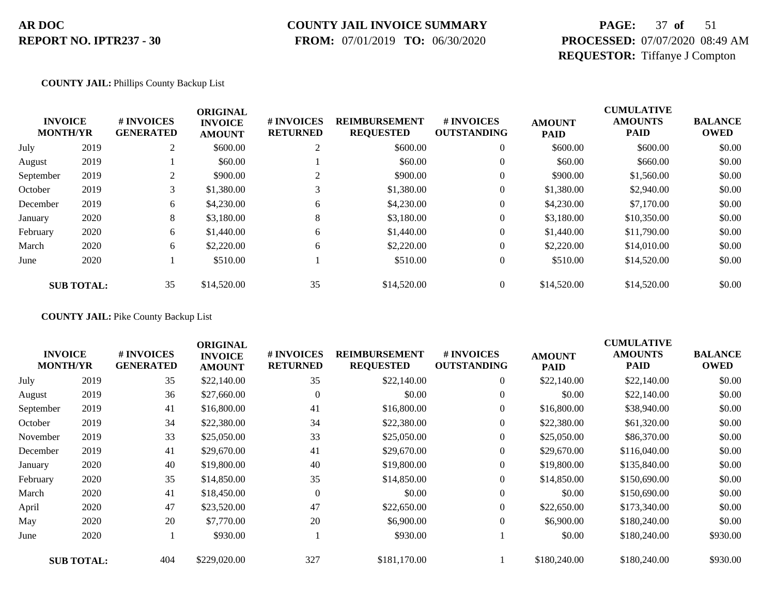### **COUNTY JAIL INVOICE SUMMARY**

 **FROM:** 07/01/2019 **TO:** 06/30/2020

## **PAGE:** 37 **of** 51 **PROCESSED:** 07/07/2020 08:49 AM **REQUESTOR:** Tiffanye J Compton

#### **COUNTY JAIL:** Phillips County Backup List

| <b>INVOICE</b><br><b>MONTH/YR</b> |                   | <b>#INVOICES</b><br><b>GENERATED</b> | <b>ORIGINAL</b><br><b>INVOICE</b><br><b>AMOUNT</b> | # INVOICES<br><b>RETURNED</b> | <b>REIMBURSEMENT</b><br><b>REQUESTED</b> | <b>#INVOICES</b><br><b>OUTSTANDING</b> | <b>AMOUNT</b><br><b>PAID</b> | <b>CUMULATIVE</b><br><b>AMOUNTS</b><br><b>PAID</b> | <b>BALANCE</b><br><b>OWED</b> |
|-----------------------------------|-------------------|--------------------------------------|----------------------------------------------------|-------------------------------|------------------------------------------|----------------------------------------|------------------------------|----------------------------------------------------|-------------------------------|
| July                              | 2019              | 2                                    | \$600.00                                           | ◠<br>∠                        | \$600.00                                 | $\theta$                               | \$600.00                     | \$600.00                                           | \$0.00                        |
| August                            | 2019              |                                      | \$60.00                                            |                               | \$60.00                                  | $\overline{0}$                         | \$60.00                      | \$660.00                                           | \$0.00                        |
| September                         | 2019              | 2                                    | \$900.00                                           |                               | \$900.00                                 | $\theta$                               | \$900.00                     | \$1,560.00                                         | \$0.00                        |
| October                           | 2019              | 3                                    | \$1,380.00                                         | 3                             | \$1,380.00                               | $\theta$                               | \$1,380.00                   | \$2,940.00                                         | \$0.00                        |
| December                          | 2019              | 6                                    | \$4,230.00                                         | 6                             | \$4,230.00                               | $\overline{0}$                         | \$4,230.00                   | \$7,170.00                                         | \$0.00                        |
| January                           | 2020              | 8                                    | \$3,180.00                                         | 8                             | \$3,180.00                               | $\overline{0}$                         | \$3,180.00                   | \$10,350.00                                        | \$0.00                        |
| February                          | 2020              | 6                                    | \$1,440.00                                         | 6                             | \$1,440.00                               | $\theta$                               | \$1,440.00                   | \$11,790.00                                        | \$0.00                        |
| March                             | 2020              | 6                                    | \$2,220.00                                         | 6                             | \$2,220.00                               | $\theta$                               | \$2,220.00                   | \$14,010.00                                        | \$0.00                        |
| June                              | 2020              |                                      | \$510.00                                           |                               | \$510.00                                 | $\overline{0}$                         | \$510.00                     | \$14,520.00                                        | \$0.00                        |
|                                   | <b>SUB TOTAL:</b> | 35                                   | \$14,520.00                                        | 35                            | \$14,520.00                              | $\overline{0}$                         | \$14,520.00                  | \$14,520.00                                        | \$0.00                        |

**COUNTY JAIL:** Pike County Backup List

| <b>INVOICE</b><br><b>MONTH/YR</b> |                   | # INVOICES<br><b>GENERATED</b> | <b>ORIGINAL</b><br><b>INVOICE</b><br><b>AMOUNT</b> | # INVOICES<br><b>RETURNED</b> | <b>REIMBURSEMENT</b><br><b>REQUESTED</b> | # INVOICES<br><b>OUTSTANDING</b> | <b>AMOUNT</b><br><b>PAID</b> | <b>CUMULATIVE</b><br><b>AMOUNTS</b><br><b>PAID</b> | <b>BALANCE</b><br><b>OWED</b> |
|-----------------------------------|-------------------|--------------------------------|----------------------------------------------------|-------------------------------|------------------------------------------|----------------------------------|------------------------------|----------------------------------------------------|-------------------------------|
| July                              | 2019              | 35                             | \$22,140.00                                        | 35                            | \$22,140.00                              | $\overline{0}$                   | \$22,140.00                  | \$22,140.00                                        | \$0.00                        |
| August                            | 2019              | 36                             | \$27,660.00                                        | $\overline{0}$                | \$0.00                                   | $\overline{0}$                   | \$0.00                       | \$22,140.00                                        | \$0.00                        |
| September                         | 2019              | 41                             | \$16,800.00                                        | 41                            | \$16,800.00                              | $\overline{0}$                   | \$16,800.00                  | \$38,940.00                                        | \$0.00                        |
| October                           | 2019              | 34                             | \$22,380.00                                        | 34                            | \$22,380.00                              | 0                                | \$22,380.00                  | \$61,320.00                                        | \$0.00                        |
| November                          | 2019              | 33                             | \$25,050.00                                        | 33                            | \$25,050.00                              | $\overline{0}$                   | \$25,050.00                  | \$86,370.00                                        | \$0.00                        |
| December                          | 2019              | 41                             | \$29,670.00                                        | 41                            | \$29,670.00                              | $\overline{0}$                   | \$29,670.00                  | \$116,040.00                                       | \$0.00                        |
| January                           | 2020              | 40                             | \$19,800.00                                        | 40                            | \$19,800.00                              | $\overline{0}$                   | \$19,800.00                  | \$135,840.00                                       | \$0.00                        |
| February                          | 2020              | 35                             | \$14,850.00                                        | 35                            | \$14,850.00                              | $\overline{0}$                   | \$14,850.00                  | \$150,690.00                                       | \$0.00                        |
| March                             | 2020              | 41                             | \$18,450.00                                        | $\Omega$                      | \$0.00                                   | $\overline{0}$                   | \$0.00                       | \$150,690.00                                       | \$0.00                        |
| April                             | 2020              | 47                             | \$23,520.00                                        | 47                            | \$22,650.00                              | $\overline{0}$                   | \$22,650.00                  | \$173,340.00                                       | \$0.00                        |
| May                               | 2020              | 20                             | \$7,770.00                                         | 20                            | \$6,900.00                               | $\overline{0}$                   | \$6,900.00                   | \$180,240.00                                       | \$0.00                        |
| June                              | 2020              |                                | \$930.00                                           |                               | \$930.00                                 |                                  | \$0.00                       | \$180,240.00                                       | \$930.00                      |
|                                   | <b>SUB TOTAL:</b> | 404                            | \$229,020.00                                       | 327                           | \$181,170.00                             |                                  | \$180,240.00                 | \$180,240.00                                       | \$930.00                      |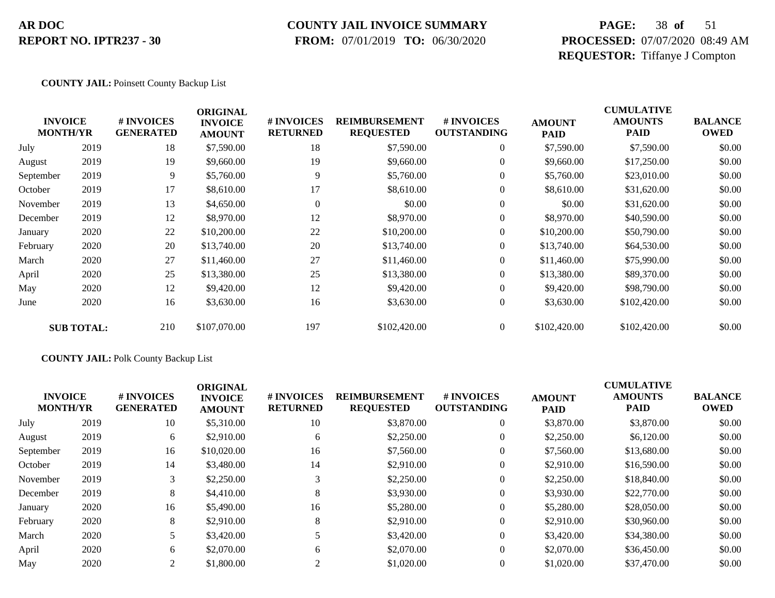### **COUNTY JAIL INVOICE SUMMARY**

 **FROM:** 07/01/2019 **TO:** 06/30/2020

## **PAGE:** 38 **of** 51 **PROCESSED:** 07/07/2020 08:49 AM **REQUESTOR:** Tiffanye J Compton

#### **COUNTY JAIL:** Poinsett County Backup List

|           | <b>INVOICE</b><br><b>MONTH/YR</b> | # INVOICES<br><b>GENERATED</b> | <b>ORIGINAL</b><br><b>INVOICE</b><br><b>AMOUNT</b> | # INVOICES<br><b>RETURNED</b> | <b>REIMBURSEMENT</b><br><b>REQUESTED</b> | # INVOICES<br><b>OUTSTANDING</b> | <b>AMOUNT</b><br><b>PAID</b> | <b>CUMULATIVE</b><br><b>AMOUNTS</b><br><b>PAID</b> | <b>BALANCE</b><br><b>OWED</b> |
|-----------|-----------------------------------|--------------------------------|----------------------------------------------------|-------------------------------|------------------------------------------|----------------------------------|------------------------------|----------------------------------------------------|-------------------------------|
| July      | 2019                              | 18                             | \$7,590.00                                         | 18                            | \$7,590.00                               | $\overline{0}$                   | \$7,590.00                   | \$7,590.00                                         | \$0.00                        |
| August    | 2019                              | 19                             | \$9,660.00                                         | 19                            | \$9,660.00                               | $\overline{0}$                   | \$9,660.00                   | \$17,250.00                                        | \$0.00                        |
| September | 2019                              | 9                              | \$5,760.00                                         | 9                             | \$5,760.00                               | $\boldsymbol{0}$                 | \$5,760.00                   | \$23,010.00                                        | \$0.00                        |
| October   | 2019                              | 17                             | \$8,610.00                                         | 17                            | \$8,610.00                               | $\boldsymbol{0}$                 | \$8,610.00                   | \$31,620.00                                        | \$0.00                        |
| November  | 2019                              | 13                             | \$4,650.00                                         | $\Omega$                      | \$0.00                                   | $\overline{0}$                   | \$0.00                       | \$31,620.00                                        | \$0.00                        |
| December  | 2019                              | 12                             | \$8,970.00                                         | 12                            | \$8,970.00                               | $\overline{0}$                   | \$8,970.00                   | \$40,590.00                                        | \$0.00                        |
| January   | 2020                              | 22                             | \$10,200.00                                        | 22                            | \$10,200.00                              | $\overline{0}$                   | \$10,200.00                  | \$50,790.00                                        | \$0.00                        |
| February  | 2020                              | 20                             | \$13,740.00                                        | 20                            | \$13,740.00                              | $\overline{0}$                   | \$13,740.00                  | \$64,530.00                                        | \$0.00                        |
| March     | 2020                              | 27                             | \$11,460.00                                        | 27                            | \$11,460.00                              | $\overline{0}$                   | \$11,460.00                  | \$75,990.00                                        | \$0.00                        |
| April     | 2020                              | 25                             | \$13,380.00                                        | 25                            | \$13,380.00                              | $\overline{0}$                   | \$13,380.00                  | \$89,370.00                                        | \$0.00                        |
| May       | 2020                              | 12                             | \$9,420.00                                         | 12                            | \$9,420.00                               | $\overline{0}$                   | \$9,420.00                   | \$98,790.00                                        | \$0.00                        |
| June      | 2020                              | 16                             | \$3,630.00                                         | 16                            | \$3,630.00                               | $\boldsymbol{0}$                 | \$3,630.00                   | \$102,420.00                                       | \$0.00                        |
|           | <b>SUB TOTAL:</b>                 | 210                            | \$107,070.00                                       | 197                           | \$102,420.00                             | $\overline{0}$                   | \$102,420.00                 | \$102,420.00                                       | \$0.00                        |

#### **COUNTY JAIL:** Polk County Backup List

|           | <b>INVOICE</b><br><b>MONTH/YR</b> | <b>#INVOICES</b><br><b>GENERATED</b> | <b>ORIGINAL</b><br><b>INVOICE</b><br><b>AMOUNT</b> | <b># INVOICES</b><br><b>RETURNED</b> | <b>REIMBURSEMENT</b><br><b>REQUESTED</b> | # INVOICES<br><b>OUTSTANDING</b> | <b>AMOUNT</b><br><b>PAID</b> | <b>CUMULATIVE</b><br><b>AMOUNTS</b><br><b>PAID</b> | <b>BALANCE</b><br><b>OWED</b> |
|-----------|-----------------------------------|--------------------------------------|----------------------------------------------------|--------------------------------------|------------------------------------------|----------------------------------|------------------------------|----------------------------------------------------|-------------------------------|
| July      | 2019                              | 10                                   | \$5,310.00                                         | 10                                   | \$3,870.00                               | $\theta$                         | \$3,870.00                   | \$3,870.00                                         | \$0.00                        |
| August    | 2019                              | 6                                    | \$2,910.00                                         | 6                                    | \$2,250.00                               | $\theta$                         | \$2,250.00                   | \$6,120.00                                         | \$0.00                        |
| September | 2019                              | 16                                   | \$10,020.00                                        | 16                                   | \$7,560.00                               | $\theta$                         | \$7,560.00                   | \$13,680.00                                        | \$0.00                        |
| October   | 2019                              | 14                                   | \$3,480.00                                         | 14                                   | \$2,910.00                               | $\theta$                         | \$2,910.00                   | \$16,590.00                                        | \$0.00                        |
| November  | 2019                              | 3                                    | \$2,250.00                                         |                                      | \$2,250.00                               | $\theta$                         | \$2,250.00                   | \$18,840.00                                        | \$0.00                        |
| December  | 2019                              | 8                                    | \$4,410.00                                         | 8                                    | \$3,930.00                               | $\theta$                         | \$3,930.00                   | \$22,770.00                                        | \$0.00                        |
| January   | 2020                              | 16                                   | \$5,490.00                                         | 16                                   | \$5,280.00                               | $\theta$                         | \$5,280.00                   | \$28,050.00                                        | \$0.00                        |
| February  | 2020                              | 8                                    | \$2,910.00                                         | 8                                    | \$2,910.00                               | $\theta$                         | \$2,910.00                   | \$30,960.00                                        | \$0.00                        |
| March     | 2020                              |                                      | \$3,420.00                                         |                                      | \$3,420.00                               | $\theta$                         | \$3,420.00                   | \$34,380.00                                        | \$0.00                        |
| April     | 2020                              | 6                                    | \$2,070.00                                         | 6                                    | \$2,070.00                               | $\Omega$                         | \$2,070.00                   | \$36,450.00                                        | \$0.00                        |
| May       | 2020                              | 2                                    | \$1,800.00                                         |                                      | \$1,020.00                               | $\Omega$                         | \$1,020.00                   | \$37,470.00                                        | \$0.00                        |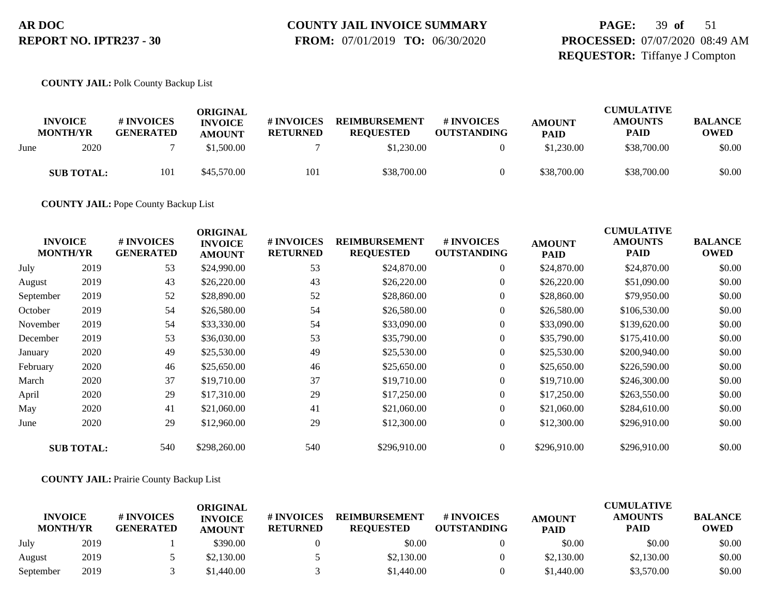## **COUNTY JAIL INVOICE SUMMARY**

 **FROM:** 07/01/2019 **TO:** 06/30/2020

## **PAGE:** 39 **of** 51 **PROCESSED:** 07/07/2020 08:49 AM **REQUESTOR:** Tiffanye J Compton

**COUNTY JAIL:** Polk County Backup List

|      | <b>INVOICE</b><br><b>MONTH/YR</b> | # INVOICES<br><b>GENERATED</b> | ORIGINAL<br><b>INVOICE</b><br><b>AMOUNT</b> | <b>#INVOICES</b><br><b>RETURNED</b> | <b>REIMBURSEMENT</b><br><b>REOUESTED</b> | <b># INVOICES</b><br><b>OUTSTANDING</b> | <b>AMOUNT</b><br><b>PAID</b> | <b>CUMULATIVE</b><br><b>AMOUNTS</b><br><b>PAID</b> | <b>BALANCE</b><br><b>OWED</b> |
|------|-----------------------------------|--------------------------------|---------------------------------------------|-------------------------------------|------------------------------------------|-----------------------------------------|------------------------------|----------------------------------------------------|-------------------------------|
| June | 2020                              |                                | \$1,500.00                                  |                                     | \$1,230.00                               |                                         | \$1,230.00                   | \$38,700.00                                        | \$0.00                        |
|      | <b>SUB TOTAL:</b>                 | 101                            | \$45,570.00                                 | 101                                 | \$38,700.00                              |                                         | \$38,700.00                  | \$38,700.00                                        | \$0.00                        |

**COUNTY JAIL:** Pope County Backup List

| <b>INVOICE</b><br><b>MONTH/YR</b> |                   | # INVOICES<br><b>GENERATED</b> | <b>ORIGINAL</b><br><b>INVOICE</b><br><b>AMOUNT</b> | # INVOICES<br><b>RETURNED</b> | <b>REIMBURSEMENT</b><br><b>REQUESTED</b> | # INVOICES<br><b>OUTSTANDING</b> | <b>AMOUNT</b><br><b>PAID</b> | <b>CUMULATIVE</b><br><b>AMOUNTS</b><br><b>PAID</b> | <b>BALANCE</b><br><b>OWED</b> |
|-----------------------------------|-------------------|--------------------------------|----------------------------------------------------|-------------------------------|------------------------------------------|----------------------------------|------------------------------|----------------------------------------------------|-------------------------------|
| July                              | 2019              | 53                             | \$24,990.00                                        | 53                            | \$24,870.00                              | $\overline{0}$                   | \$24,870.00                  | \$24,870.00                                        | \$0.00                        |
| August                            | 2019              | 43                             | \$26,220.00                                        | 43                            | \$26,220.00                              | $\boldsymbol{0}$                 | \$26,220.00                  | \$51,090.00                                        | \$0.00                        |
| September                         | 2019              | 52                             | \$28,890.00                                        | 52                            | \$28,860.00                              | $\overline{0}$                   | \$28,860.00                  | \$79,950.00                                        | \$0.00                        |
| October                           | 2019              | 54                             | \$26,580.00                                        | 54                            | \$26,580.00                              | $\boldsymbol{0}$                 | \$26,580.00                  | \$106,530.00                                       | \$0.00                        |
| November                          | 2019              | 54                             | \$33,330.00                                        | 54                            | \$33,090.00                              | $\overline{0}$                   | \$33,090.00                  | \$139,620.00                                       | \$0.00                        |
| December                          | 2019              | 53                             | \$36,030.00                                        | 53                            | \$35,790.00                              | $\overline{0}$                   | \$35,790.00                  | \$175,410.00                                       | \$0.00                        |
| January                           | 2020              | 49                             | \$25,530.00                                        | 49                            | \$25,530.00                              | $\boldsymbol{0}$                 | \$25,530.00                  | \$200,940.00                                       | \$0.00                        |
| February                          | 2020              | 46                             | \$25,650.00                                        | 46                            | \$25,650.00                              | $\overline{0}$                   | \$25,650.00                  | \$226,590.00                                       | \$0.00                        |
| March                             | 2020              | 37                             | \$19,710.00                                        | 37                            | \$19,710.00                              | $\overline{0}$                   | \$19,710.00                  | \$246,300.00                                       | \$0.00                        |
| April                             | 2020              | 29                             | \$17,310.00                                        | 29                            | \$17,250.00                              | 0                                | \$17,250.00                  | \$263,550.00                                       | \$0.00                        |
| May                               | 2020              | 41                             | \$21,060.00                                        | 41                            | \$21,060.00                              | $\overline{0}$                   | \$21,060.00                  | \$284,610.00                                       | \$0.00                        |
| June                              | 2020              | 29                             | \$12,960.00                                        | 29                            | \$12,300.00                              | $\overline{0}$                   | \$12,300.00                  | \$296,910.00                                       | \$0.00                        |
|                                   | <b>SUB TOTAL:</b> | 540                            | \$298,260.00                                       | 540                           | \$296,910.00                             | $\overline{0}$                   | \$296,910.00                 | \$296,910.00                                       | \$0.00                        |

#### **COUNTY JAIL:** Prairie County Backup List

|                                   |      |                                | ORIGINAL                        |                               |                                          |                                        |                              | <b>CUMULATIVE</b>             |                               |
|-----------------------------------|------|--------------------------------|---------------------------------|-------------------------------|------------------------------------------|----------------------------------------|------------------------------|-------------------------------|-------------------------------|
| <b>INVOICE</b><br><b>MONTH/YR</b> |      | # INVOICES<br><b>GENERATED</b> | <b>INVOICE</b><br><b>AMOUNT</b> | # INVOICES<br><b>RETURNED</b> | <b>REIMBURSEMENT</b><br><b>REOUESTED</b> | <b>#INVOICES</b><br><b>OUTSTANDING</b> | <b>AMOUNT</b><br><b>PAID</b> | <b>AMOUNTS</b><br><b>PAID</b> | <b>BALANCE</b><br><b>OWED</b> |
| July                              | 2019 |                                | \$390.00                        |                               | \$0.00                                   |                                        | \$0.00                       | \$0.00                        | \$0.00                        |
| August                            | 2019 |                                | \$2,130.00                      |                               | \$2,130.00                               |                                        | \$2,130.00                   | \$2,130.00                    | \$0.00                        |
| September                         | 2019 |                                | \$1.440.00                      |                               | \$1,440.00                               |                                        | \$1,440.00                   | \$3,570.00                    | \$0.00                        |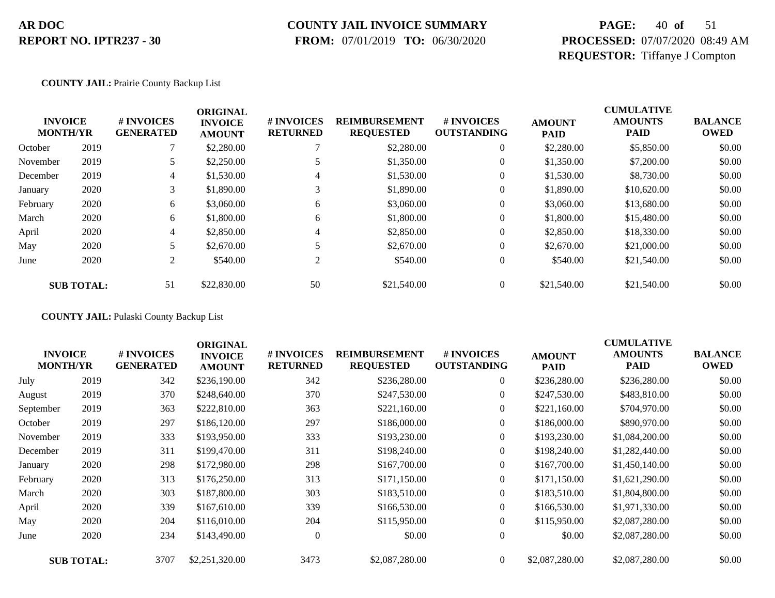### **COUNTY JAIL INVOICE SUMMARY**

 **FROM:** 07/01/2019 **TO:** 06/30/2020

## **PAGE:** 40 **of** 51 **PROCESSED:** 07/07/2020 08:49 AM **REQUESTOR:** Tiffanye J Compton

#### **COUNTY JAIL:** Prairie County Backup List

|          | <b>INVOICE</b><br><b>MONTH/YR</b> | # INVOICES<br><b>GENERATED</b> | <b>ORIGINAL</b><br><b>INVOICE</b><br><b>AMOUNT</b> | # INVOICES<br><b>RETURNED</b> | <b>REIMBURSEMENT</b><br><b>REQUESTED</b> | # INVOICES<br><b>OUTSTANDING</b> | <b>AMOUNT</b><br><b>PAID</b> | <b>CUMULATIVE</b><br><b>AMOUNTS</b><br><b>PAID</b> | <b>BALANCE</b><br><b>OWED</b> |
|----------|-----------------------------------|--------------------------------|----------------------------------------------------|-------------------------------|------------------------------------------|----------------------------------|------------------------------|----------------------------------------------------|-------------------------------|
| October  | 2019                              |                                | \$2,280.00                                         |                               | \$2,280.00                               | $\overline{0}$                   | \$2,280.00                   | \$5,850.00                                         | \$0.00                        |
| November | 2019                              |                                | \$2,250.00                                         |                               | \$1,350.00                               | 0                                | \$1,350.00                   | \$7,200.00                                         | \$0.00                        |
| December | 2019                              | 4                              | \$1,530.00                                         | 4                             | \$1,530.00                               | $\overline{0}$                   | \$1,530.00                   | \$8,730.00                                         | \$0.00                        |
| January  | 2020                              | 3                              | \$1,890.00                                         | 3                             | \$1,890.00                               | 0                                | \$1,890.00                   | \$10,620.00                                        | \$0.00                        |
| February | 2020                              | 6                              | \$3,060.00                                         | 6                             | \$3,060.00                               | $\overline{0}$                   | \$3,060.00                   | \$13,680.00                                        | \$0.00                        |
| March    | 2020                              | 6                              | \$1,800.00                                         | 6                             | \$1,800.00                               | 0                                | \$1,800.00                   | \$15,480.00                                        | \$0.00                        |
| April    | 2020                              | 4                              | \$2,850.00                                         | 4                             | \$2,850.00                               | 0                                | \$2,850.00                   | \$18,330.00                                        | \$0.00                        |
| May      | 2020                              |                                | \$2,670.00                                         |                               | \$2,670.00                               | $\overline{0}$                   | \$2,670.00                   | \$21,000.00                                        | \$0.00                        |
| June     | 2020                              | 2                              | \$540.00                                           | $\gamma$                      | \$540.00                                 | $\overline{0}$                   | \$540.00                     | \$21,540.00                                        | \$0.00                        |
|          | <b>SUB TOTAL:</b>                 | 51                             | \$22,830.00                                        | 50                            | \$21,540.00                              | $\overline{0}$                   | \$21,540.00                  | \$21,540.00                                        | \$0.00                        |

**COUNTY JAIL:** Pulaski County Backup List

| <b>INVOICE</b><br><b>MONTH/YR</b> |                   | # INVOICES<br><b>GENERATED</b> | <b>ORIGINAL</b><br><b>INVOICE</b><br><b>AMOUNT</b> | # INVOICES<br><b>RETURNED</b> | <b>REIMBURSEMENT</b><br><b>REQUESTED</b> | # INVOICES<br><b>OUTSTANDING</b> | <b>AMOUNT</b><br><b>PAID</b> | <b>CUMULATIVE</b><br><b>AMOUNTS</b><br><b>PAID</b> | <b>BALANCE</b><br><b>OWED</b> |
|-----------------------------------|-------------------|--------------------------------|----------------------------------------------------|-------------------------------|------------------------------------------|----------------------------------|------------------------------|----------------------------------------------------|-------------------------------|
| July                              | 2019              | 342                            | \$236,190.00                                       | 342                           | \$236,280.00                             | $\boldsymbol{0}$                 | \$236,280.00                 | \$236,280.00                                       | \$0.00                        |
| August                            | 2019              | 370                            | \$248,640.00                                       | 370                           | \$247,530.00                             | $\overline{0}$                   | \$247,530.00                 | \$483,810.00                                       | \$0.00                        |
| September                         | 2019              | 363                            | \$222,810.00                                       | 363                           | \$221,160.00                             | $\overline{0}$                   | \$221,160.00                 | \$704,970.00                                       | \$0.00                        |
| October                           | 2019              | 297                            | \$186,120.00                                       | 297                           | \$186,000.00                             | $\overline{0}$                   | \$186,000.00                 | \$890,970.00                                       | \$0.00                        |
| November                          | 2019              | 333                            | \$193,950.00                                       | 333                           | \$193,230.00                             | $\overline{0}$                   | \$193,230.00                 | \$1,084,200.00                                     | \$0.00                        |
| December                          | 2019              | 311                            | \$199,470.00                                       | 311                           | \$198,240.00                             | $\overline{0}$                   | \$198,240.00                 | \$1,282,440.00                                     | \$0.00                        |
| January                           | 2020              | 298                            | \$172,980.00                                       | 298                           | \$167,700.00                             | $\overline{0}$                   | \$167,700.00                 | \$1,450,140.00                                     | \$0.00                        |
| February                          | 2020              | 313                            | \$176,250.00                                       | 313                           | \$171,150.00                             | $\overline{0}$                   | \$171,150.00                 | \$1,621,290.00                                     | \$0.00                        |
| March                             | 2020              | 303                            | \$187,800.00                                       | 303                           | \$183,510.00                             | $\overline{0}$                   | \$183,510.00                 | \$1,804,800.00                                     | \$0.00                        |
| April                             | 2020              | 339                            | \$167,610.00                                       | 339                           | \$166,530.00                             | $\overline{0}$                   | \$166,530.00                 | \$1,971,330.00                                     | \$0.00                        |
| May                               | 2020              | 204                            | \$116,010.00                                       | 204                           | \$115,950.00                             | $\boldsymbol{0}$                 | \$115,950.00                 | \$2,087,280.00                                     | \$0.00                        |
| June                              | 2020              | 234                            | \$143,490.00                                       | $\overline{0}$                | \$0.00                                   | $\boldsymbol{0}$                 | \$0.00                       | \$2,087,280.00                                     | \$0.00                        |
|                                   | <b>SUB TOTAL:</b> | 3707                           | \$2,251,320.00                                     | 3473                          | \$2,087,280.00                           | $\Omega$                         | \$2,087,280.00               | \$2,087,280.00                                     | \$0.00                        |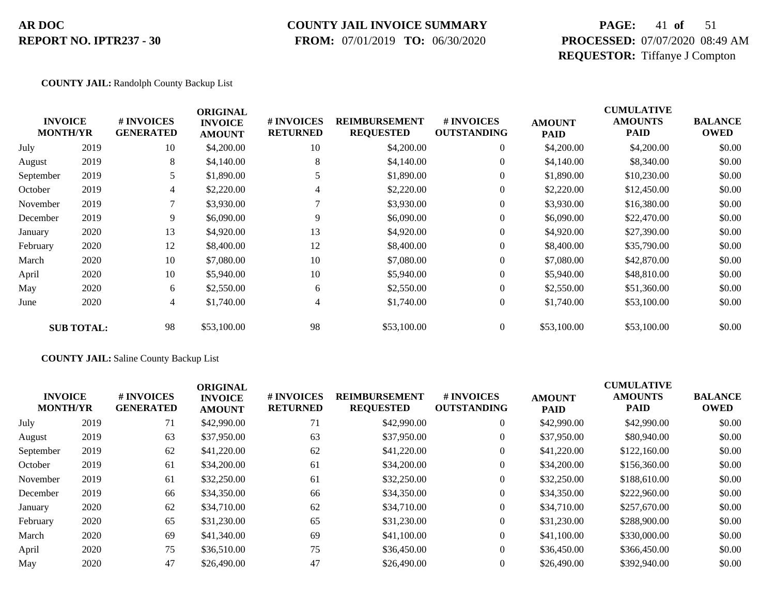#### **COUNTY JAIL INVOICE SUMMARY**

 **FROM:** 07/01/2019 **TO:** 06/30/2020

## **PAGE:** 41 **of** 51 **PROCESSED:** 07/07/2020 08:49 AM **REQUESTOR:** Tiffanye J Compton

#### **COUNTY JAIL:** Randolph County Backup List

|           | <b>INVOICE</b><br><b>MONTH/YR</b> | # INVOICES<br><b>GENERATED</b> | <b>ORIGINAL</b><br><b>INVOICE</b><br><b>AMOUNT</b> | # INVOICES<br><b>RETURNED</b> | <b>REIMBURSEMENT</b><br><b>REQUESTED</b> | # INVOICES<br><b>OUTSTANDING</b> | <b>AMOUNT</b><br><b>PAID</b> | <b>CUMULATIVE</b><br><b>AMOUNTS</b><br><b>PAID</b> | <b>BALANCE</b><br><b>OWED</b> |
|-----------|-----------------------------------|--------------------------------|----------------------------------------------------|-------------------------------|------------------------------------------|----------------------------------|------------------------------|----------------------------------------------------|-------------------------------|
| July      | 2019                              | 10                             | \$4,200.00                                         | 10                            | \$4,200.00                               | $\overline{0}$                   | \$4,200.00                   | \$4,200.00                                         | \$0.00                        |
| August    | 2019                              | 8                              | \$4,140.00                                         | 8                             | \$4,140.00                               | $\overline{0}$                   | \$4,140.00                   | \$8,340.00                                         | \$0.00                        |
| September | 2019                              | 5                              | \$1,890.00                                         |                               | \$1,890.00                               | $\overline{0}$                   | \$1,890.00                   | \$10,230.00                                        | \$0.00                        |
| October   | 2019                              | 4                              | \$2,220.00                                         | 4                             | \$2,220.00                               | $\boldsymbol{0}$                 | \$2,220.00                   | \$12,450.00                                        | \$0.00                        |
| November  | 2019                              |                                | \$3,930.00                                         |                               | \$3,930.00                               | $\overline{0}$                   | \$3,930.00                   | \$16,380.00                                        | \$0.00                        |
| December  | 2019                              | 9                              | \$6,090.00                                         | 9                             | \$6,090.00                               | $\overline{0}$                   | \$6,090.00                   | \$22,470.00                                        | \$0.00                        |
| January   | 2020                              | 13                             | \$4,920.00                                         | 13                            | \$4,920.00                               | $\overline{0}$                   | \$4,920.00                   | \$27,390.00                                        | \$0.00                        |
| February  | 2020                              | 12                             | \$8,400.00                                         | 12                            | \$8,400.00                               | $\overline{0}$                   | \$8,400.00                   | \$35,790.00                                        | \$0.00                        |
| March     | 2020                              | 10                             | \$7,080.00                                         | 10                            | \$7,080.00                               | $\overline{0}$                   | \$7,080.00                   | \$42,870.00                                        | \$0.00                        |
| April     | 2020                              | 10                             | \$5,940.00                                         | 10                            | \$5,940.00                               | $\overline{0}$                   | \$5,940.00                   | \$48,810.00                                        | \$0.00                        |
| May       | 2020                              | 6                              | \$2,550.00                                         | 6                             | \$2,550.00                               | $\overline{0}$                   | \$2,550.00                   | \$51,360.00                                        | \$0.00                        |
| June      | 2020                              | 4                              | \$1,740.00                                         | 4                             | \$1,740.00                               | $\boldsymbol{0}$                 | \$1,740.00                   | \$53,100.00                                        | \$0.00                        |
|           | <b>SUB TOTAL:</b>                 | 98                             | \$53,100.00                                        | 98                            | \$53,100.00                              | $\overline{0}$                   | \$53,100.00                  | \$53,100.00                                        | \$0.00                        |

#### **COUNTY JAIL:** Saline County Backup List

|                                   |      |                                      | <b>ORIGINAL</b>                 |                                      |                                          |                                  |                              | <b>CUMULATIVE</b>             |                               |
|-----------------------------------|------|--------------------------------------|---------------------------------|--------------------------------------|------------------------------------------|----------------------------------|------------------------------|-------------------------------|-------------------------------|
| <b>INVOICE</b><br><b>MONTH/YR</b> |      | <b>#INVOICES</b><br><b>GENERATED</b> | <b>INVOICE</b><br><b>AMOUNT</b> | <b># INVOICES</b><br><b>RETURNED</b> | <b>REIMBURSEMENT</b><br><b>REQUESTED</b> | # INVOICES<br><b>OUTSTANDING</b> | <b>AMOUNT</b><br><b>PAID</b> | <b>AMOUNTS</b><br><b>PAID</b> | <b>BALANCE</b><br><b>OWED</b> |
| July                              | 2019 | 71                                   | \$42,990.00                     | 71                                   | \$42,990.00                              | $\overline{0}$                   | \$42,990.00                  | \$42,990.00                   | \$0.00                        |
| August                            | 2019 | 63                                   | \$37,950.00                     | 63                                   | \$37,950.00                              | $\overline{0}$                   | \$37,950.00                  | \$80,940.00                   | \$0.00                        |
| September                         | 2019 | 62                                   | \$41,220.00                     | 62                                   | \$41,220.00                              | $\boldsymbol{0}$                 | \$41,220.00                  | \$122,160.00                  | \$0.00                        |
| October                           | 2019 | 61                                   | \$34,200.00                     | 61                                   | \$34,200.00                              | $\overline{0}$                   | \$34,200.00                  | \$156,360.00                  | \$0.00                        |
| November                          | 2019 | 61                                   | \$32,250.00                     | 61                                   | \$32,250.00                              | $\theta$                         | \$32,250.00                  | \$188,610.00                  | \$0.00                        |
| December                          | 2019 | 66                                   | \$34,350.00                     | 66                                   | \$34,350.00                              | $\overline{0}$                   | \$34,350.00                  | \$222,960.00                  | \$0.00                        |
| January                           | 2020 | 62                                   | \$34,710.00                     | 62                                   | \$34,710.00                              | $\boldsymbol{0}$                 | \$34,710.00                  | \$257,670.00                  | \$0.00                        |
| February                          | 2020 | 65                                   | \$31,230.00                     | 65                                   | \$31,230.00                              | $\mathbf{0}$                     | \$31,230.00                  | \$288,900.00                  | \$0.00                        |
| March                             | 2020 | 69                                   | \$41,340.00                     | 69                                   | \$41,100.00                              | $\overline{0}$                   | \$41,100.00                  | \$330,000.00                  | \$0.00                        |
| April                             | 2020 | 75                                   | \$36,510.00                     | 75                                   | \$36,450.00                              | $\overline{0}$                   | \$36,450.00                  | \$366,450.00                  | \$0.00                        |
| May                               | 2020 | 47                                   | \$26,490.00                     | 47                                   | \$26,490.00                              | $\boldsymbol{0}$                 | \$26,490.00                  | \$392,940.00                  | \$0.00                        |
|                                   |      |                                      |                                 |                                      |                                          |                                  |                              |                               |                               |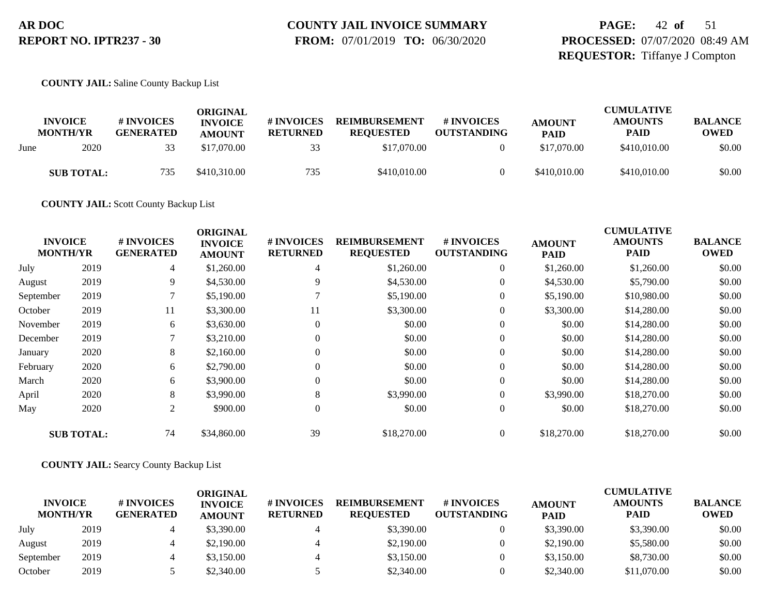# **COUNTY JAIL INVOICE SUMMARY**

 **FROM:** 07/01/2019 **TO:** 06/30/2020

## **PAGE:** 42 **of** 51 **PROCESSED:** 07/07/2020 08:49 AM **REQUESTOR:** Tiffanye J Compton

#### **COUNTY JAIL:** Saline County Backup List

|      | <b>INVOICE</b><br><b>MONTH/YR</b> | # INVOICES<br><b>GENERATED</b> | ORIGINAL<br><b>INVOICE</b><br><b>AMOUNT</b> | # INVOICES<br><b>RETURNED</b> | <b>REIMBURSEMENT</b><br><b>REOUESTED</b> | # INVOICES<br><b>OUTSTANDING</b> | <b>AMOUNT</b><br><b>PAID</b> | <b>CUMULATIVE</b><br><b>AMOUNTS</b><br><b>PAID</b> | <b>BALANCE</b><br><b>OWED</b> |
|------|-----------------------------------|--------------------------------|---------------------------------------------|-------------------------------|------------------------------------------|----------------------------------|------------------------------|----------------------------------------------------|-------------------------------|
| June | 2020                              | 33                             | \$17,070.00                                 | 33                            | \$17,070.00                              |                                  | \$17,070.00                  | \$410,010.00                                       | \$0.00                        |
|      | <b>SUB TOTAL:</b>                 | 735                            | \$410,310.00                                | 735                           | \$410,010.00                             |                                  | \$410,010.00                 | \$410,010.00                                       | \$0.00                        |

**COUNTY JAIL:** Scott County Backup List

|           |                                   |                                | <b>ORIGINAL</b>                 |                               |                                          |                                  |                              | <b>CUMULATIVE</b>             |                               |
|-----------|-----------------------------------|--------------------------------|---------------------------------|-------------------------------|------------------------------------------|----------------------------------|------------------------------|-------------------------------|-------------------------------|
|           | <b>INVOICE</b><br><b>MONTH/YR</b> | # INVOICES<br><b>GENERATED</b> | <b>INVOICE</b><br><b>AMOUNT</b> | # INVOICES<br><b>RETURNED</b> | <b>REIMBURSEMENT</b><br><b>REQUESTED</b> | # INVOICES<br><b>OUTSTANDING</b> | <b>AMOUNT</b><br><b>PAID</b> | <b>AMOUNTS</b><br><b>PAID</b> | <b>BALANCE</b><br><b>OWED</b> |
| July      | 2019                              | 4                              | \$1,260.00                      | 4                             | \$1,260.00                               | $\overline{0}$                   | \$1,260.00                   | \$1,260.00                    | \$0.00                        |
| August    | 2019                              | 9                              | \$4,530.00                      | 9                             | \$4,530.00                               | $\overline{0}$                   | \$4,530.00                   | \$5,790.00                    | \$0.00                        |
| September | 2019                              |                                | \$5,190.00                      |                               | \$5,190.00                               | $\overline{0}$                   | \$5,190.00                   | \$10,980.00                   | \$0.00                        |
| October   | 2019                              | 11                             | \$3,300.00                      | 11                            | \$3,300.00                               | $\overline{0}$                   | \$3,300.00                   | \$14,280.00                   | \$0.00                        |
| November  | 2019                              | 6                              | \$3,630.00                      | $\mathbf{0}$                  | \$0.00                                   | $\overline{0}$                   | \$0.00                       | \$14,280.00                   | \$0.00                        |
| December  | 2019                              | $\mathbf{r}$                   | \$3,210.00                      | $\theta$                      | \$0.00                                   | $\overline{0}$                   | \$0.00                       | \$14,280.00                   | \$0.00                        |
| January   | 2020                              | 8                              | \$2,160.00                      | $\Omega$                      | \$0.00                                   | $\overline{0}$                   | \$0.00                       | \$14,280.00                   | \$0.00                        |
| February  | 2020                              | 6                              | \$2,790.00                      | $\theta$                      | \$0.00                                   | $\overline{0}$                   | \$0.00                       | \$14,280.00                   | \$0.00                        |
| March     | 2020                              | 6                              | \$3,900.00                      | 0                             | \$0.00                                   | $\overline{0}$                   | \$0.00                       | \$14,280.00                   | \$0.00                        |
| April     | 2020                              | 8                              | \$3,990.00                      | 8                             | \$3,990.00                               | $\overline{0}$                   | \$3,990.00                   | \$18,270.00                   | \$0.00                        |
| May       | 2020                              | 2                              | \$900.00                        | 0                             | \$0.00                                   | $\boldsymbol{0}$                 | \$0.00                       | \$18,270.00                   | \$0.00                        |
|           | <b>SUB TOTAL:</b>                 | 74                             | \$34,860.00                     | 39                            | \$18,270.00                              | $\overline{0}$                   | \$18,270.00                  | \$18,270.00                   | \$0.00                        |

#### **COUNTY JAIL:** Searcy County Backup List

| <b>INVOICE</b><br><b>MONTH/YR</b> |      | # INVOICES<br><b>GENERATED</b> | ORIGINAL<br><b>INVOICE</b><br><b>AMOUNT</b> | # INVOICES<br><b>RETURNED</b> | <b>REIMBURSEMENT</b><br><b>REOUESTED</b> | # INVOICES<br><b>OUTSTANDING</b> | <b>AMOUNT</b><br><b>PAID</b> | <b>CUMULATIVE</b><br><b>AMOUNTS</b><br><b>PAID</b> | <b>BALANCE</b><br><b>OWED</b> |
|-----------------------------------|------|--------------------------------|---------------------------------------------|-------------------------------|------------------------------------------|----------------------------------|------------------------------|----------------------------------------------------|-------------------------------|
| July                              | 2019 |                                | \$3,390.00                                  |                               | \$3,390.00                               |                                  | \$3,390.00                   | \$3,390.00                                         | \$0.00                        |
| August                            | 2019 |                                | \$2,190.00                                  |                               | \$2,190.00                               |                                  | \$2,190.00                   | \$5,580.00                                         | \$0.00                        |
| September                         | 2019 |                                | \$3,150.00                                  |                               | \$3,150.00                               |                                  | \$3,150.00                   | \$8,730.00                                         | \$0.00                        |
| October                           | 2019 |                                | \$2,340.00                                  |                               | \$2,340.00                               |                                  | \$2,340.00                   | \$11,070.00                                        | \$0.00                        |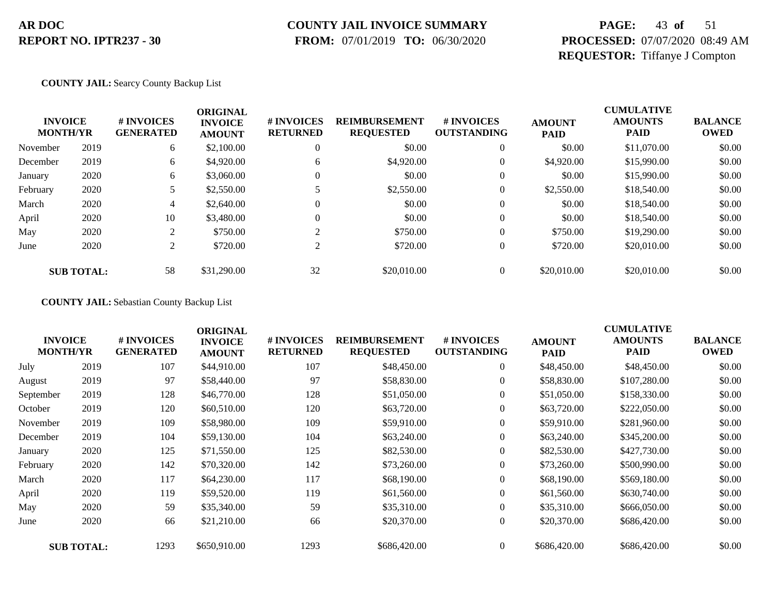### **COUNTY JAIL INVOICE SUMMARY**

 **FROM:** 07/01/2019 **TO:** 06/30/2020

## **PAGE:** 43 **of** 51 **PROCESSED:** 07/07/2020 08:49 AM **REQUESTOR:** Tiffanye J Compton

**COUNTY JAIL:** Searcy County Backup List

| <b>INVOICE</b><br><b>MONTH/YR</b> |                   | # INVOICES<br><b>GENERATED</b> | <b>ORIGINAL</b><br><b>INVOICE</b><br><b>AMOUNT</b> | # INVOICES<br><b>RETURNED</b> | <b>REIMBURSEMENT</b><br><b>REQUESTED</b> | # INVOICES<br><b>OUTSTANDING</b> | <b>AMOUNT</b><br><b>PAID</b> | <b>CUMULATIVE</b><br><b>AMOUNTS</b><br><b>PAID</b> | <b>BALANCE</b><br><b>OWED</b> |
|-----------------------------------|-------------------|--------------------------------|----------------------------------------------------|-------------------------------|------------------------------------------|----------------------------------|------------------------------|----------------------------------------------------|-------------------------------|
| November                          | 2019              | 6                              | \$2,100.00                                         | 0                             | \$0.00                                   | $\theta$                         | \$0.00                       | \$11,070.00                                        | \$0.00                        |
| December                          | 2019              | 6                              | \$4,920.00                                         | 6                             | \$4,920.00                               | 0                                | \$4,920.00                   | \$15,990.00                                        | \$0.00                        |
| January                           | 2020              | 6                              | \$3,060.00                                         |                               | \$0.00                                   | $\theta$                         | \$0.00                       | \$15,990.00                                        | \$0.00                        |
| February                          | 2020              |                                | \$2,550.00                                         |                               | \$2,550.00                               | 0                                | \$2,550.00                   | \$18,540.00                                        | \$0.00                        |
| March                             | 2020              | 4                              | \$2,640.00                                         |                               | \$0.00                                   | 0                                | \$0.00                       | \$18,540.00                                        | \$0.00                        |
| April                             | 2020              | 10                             | \$3,480.00                                         |                               | \$0.00                                   | 0                                | \$0.00                       | \$18,540.00                                        | \$0.00                        |
| May                               | 2020              | ◠                              | \$750.00                                           | $\sim$                        | \$750.00                                 | $\mathbf{0}$                     | \$750.00                     | \$19,290.00                                        | \$0.00                        |
| June                              | 2020              | $\overline{c}$                 | \$720.00                                           | $\sim$                        | \$720.00                                 | 0                                | \$720.00                     | \$20,010.00                                        | \$0.00                        |
|                                   | <b>SUB TOTAL:</b> | 58                             | \$31,290.00                                        | 32                            | \$20,010.00                              |                                  | \$20,010.00                  | \$20,010.00                                        | \$0.00                        |

**COUNTY JAIL:** Sebastian County Backup List

|           | <b>INVOICE</b><br><b>MONTH/YR</b> | # INVOICES<br><b>GENERATED</b> | <b>ORIGINAL</b><br><b>INVOICE</b><br><b>AMOUNT</b> | # INVOICES<br><b>RETURNED</b> | <b>REIMBURSEMENT</b><br><b>REQUESTED</b> | # INVOICES<br><b>OUTSTANDING</b> | <b>AMOUNT</b><br><b>PAID</b> | <b>CUMULATIVE</b><br><b>AMOUNTS</b><br><b>PAID</b> | <b>BALANCE</b><br><b>OWED</b> |
|-----------|-----------------------------------|--------------------------------|----------------------------------------------------|-------------------------------|------------------------------------------|----------------------------------|------------------------------|----------------------------------------------------|-------------------------------|
| July      | 2019                              | 107                            | \$44,910.00                                        | 107                           | \$48,450.00                              | $\boldsymbol{0}$                 | \$48,450.00                  | \$48,450.00                                        | \$0.00                        |
| August    | 2019                              | 97                             | \$58,440.00                                        | 97                            | \$58,830.00                              | $\overline{0}$                   | \$58,830.00                  | \$107,280.00                                       | \$0.00                        |
| September | 2019                              | 128                            | \$46,770.00                                        | 128                           | \$51,050.00                              | $\overline{0}$                   | \$51,050.00                  | \$158,330.00                                       | \$0.00                        |
| October   | 2019                              | 120                            | \$60,510.00                                        | 120                           | \$63,720.00                              | $\mathbf{0}$                     | \$63,720.00                  | \$222,050.00                                       | \$0.00                        |
| November  | 2019                              | 109                            | \$58,980.00                                        | 109                           | \$59,910.00                              | $\boldsymbol{0}$                 | \$59,910.00                  | \$281,960.00                                       | \$0.00                        |
| December  | 2019                              | 104                            | \$59,130.00                                        | 104                           | \$63,240.00                              | $\overline{0}$                   | \$63,240.00                  | \$345,200.00                                       | \$0.00                        |
| January   | 2020                              | 125                            | \$71,550.00                                        | 125                           | \$82,530.00                              | $\overline{0}$                   | \$82,530.00                  | \$427,730.00                                       | \$0.00                        |
| February  | 2020                              | 142                            | \$70,320.00                                        | 142                           | \$73,260.00                              | $\boldsymbol{0}$                 | \$73,260.00                  | \$500,990.00                                       | \$0.00                        |
| March     | 2020                              | 117                            | \$64,230.00                                        | 117                           | \$68,190.00                              | $\overline{0}$                   | \$68,190.00                  | \$569,180.00                                       | \$0.00                        |
| April     | 2020                              | 119                            | \$59,520.00                                        | 119                           | \$61,560.00                              | $\overline{0}$                   | \$61,560.00                  | \$630,740.00                                       | \$0.00                        |
| May       | 2020                              | 59                             | \$35,340.00                                        | 59                            | \$35,310.00                              | $\overline{0}$                   | \$35,310.00                  | \$666,050.00                                       | \$0.00                        |
| June      | 2020                              | 66                             | \$21,210.00                                        | 66                            | \$20,370.00                              | $\overline{0}$                   | \$20,370.00                  | \$686,420.00                                       | \$0.00                        |
|           | <b>SUB TOTAL:</b>                 | 1293                           | \$650,910.00                                       | 1293                          | \$686,420.00                             | $\overline{0}$                   | \$686,420.00                 | \$686,420.00                                       | \$0.00                        |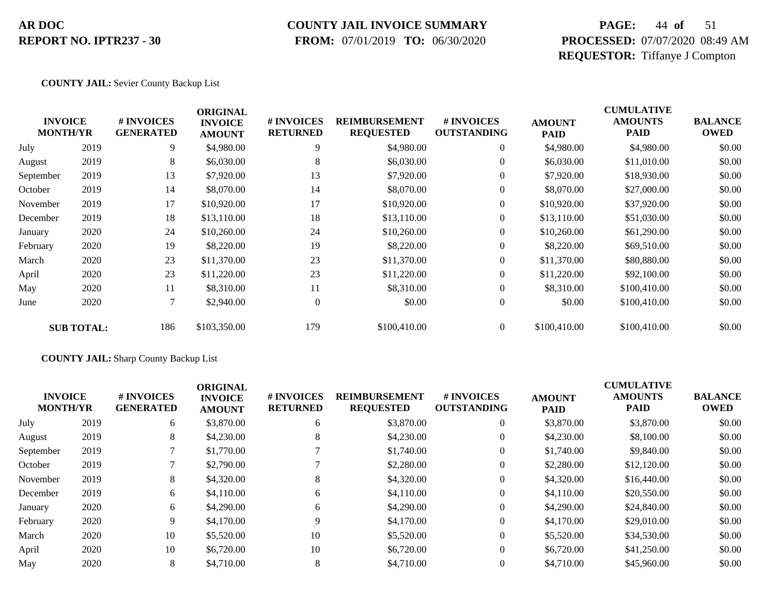### **COUNTY JAIL INVOICE SUMMARY**

 **FROM:** 07/01/2019 **TO:** 06/30/2020

## **PAGE:** 44 **of** 51 **PROCESSED:** 07/07/2020 08:49 AM **REQUESTOR:** Tiffanye J Compton

#### **COUNTY JAIL:** Sevier County Backup List

| <b>INVOICE</b>  |                   | # INVOICES       | <b>ORIGINAL</b>                 | # INVOICES       | <b>REIMBURSEMENT</b> | <b>#INVOICES</b>   |                              | <b>CUMULATIVE</b><br><b>AMOUNTS</b> | <b>BALANCE</b> |
|-----------------|-------------------|------------------|---------------------------------|------------------|----------------------|--------------------|------------------------------|-------------------------------------|----------------|
| <b>MONTH/YR</b> |                   | <b>GENERATED</b> | <b>INVOICE</b><br><b>AMOUNT</b> | <b>RETURNED</b>  | <b>REQUESTED</b>     | <b>OUTSTANDING</b> | <b>AMOUNT</b><br><b>PAID</b> | <b>PAID</b>                         | <b>OWED</b>    |
| July            | 2019              | 9                | \$4,980.00                      | 9                | \$4,980.00           | $\boldsymbol{0}$   | \$4,980.00                   | \$4,980.00                          | \$0.00         |
| August          | 2019              | 8                | \$6,030.00                      | 8                | \$6,030.00           | $\overline{0}$     | \$6,030.00                   | \$11,010.00                         | \$0.00         |
| September       | 2019              | 13               | \$7,920.00                      | 13               | \$7,920.00           | $\theta$           | \$7,920.00                   | \$18,930.00                         | \$0.00         |
| October         | 2019              | 14               | \$8,070.00                      | 14               | \$8,070.00           | $\theta$           | \$8,070.00                   | \$27,000.00                         | \$0.00         |
| November        | 2019              | 17               | \$10,920.00                     | 17               | \$10,920.00          | $\overline{0}$     | \$10,920.00                  | \$37,920.00                         | \$0.00         |
| December        | 2019              | 18               | \$13,110.00                     | 18               | \$13,110.00          | $\overline{0}$     | \$13,110.00                  | \$51,030.00                         | \$0.00         |
| January         | 2020              | 24               | \$10,260.00                     | 24               | \$10,260.00          | $\overline{0}$     | \$10,260.00                  | \$61,290.00                         | \$0.00         |
| February        | 2020              | 19               | \$8,220.00                      | 19               | \$8,220.00           | $\boldsymbol{0}$   | \$8,220.00                   | \$69,510.00                         | \$0.00         |
| March           | 2020              | 23               | \$11,370.00                     | 23               | \$11,370.00          | $\boldsymbol{0}$   | \$11,370.00                  | \$80,880.00                         | \$0.00         |
| April           | 2020              | 23               | \$11,220.00                     | 23               | \$11,220.00          | $\overline{0}$     | \$11,220.00                  | \$92,100.00                         | \$0.00         |
| May             | 2020              | 11               | \$8,310.00                      | 11               | \$8,310.00           | $\overline{0}$     | \$8,310.00                   | \$100,410.00                        | \$0.00         |
| June            | 2020              | $\tau$           | \$2,940.00                      | $\boldsymbol{0}$ | \$0.00               | $\boldsymbol{0}$   | \$0.00                       | \$100,410.00                        | \$0.00         |
|                 | <b>SUB TOTAL:</b> | 186              | \$103,350.00                    | 179              | \$100,410.00         | $\overline{0}$     | \$100,410.00                 | \$100,410.00                        | \$0.00         |

#### **COUNTY JAIL:** Sharp County Backup List

|           | <b>INVOICE</b><br><b>MONTH/YR</b> | <b>#INVOICES</b><br><b>GENERATED</b> | <b>ORIGINAL</b><br><b>INVOICE</b><br><b>AMOUNT</b> | <b># INVOICES</b><br><b>RETURNED</b> | <b>REIMBURSEMENT</b><br><b>REQUESTED</b> | # INVOICES<br><b>OUTSTANDING</b> | <b>AMOUNT</b><br><b>PAID</b> | <b>CUMULATIVE</b><br><b>AMOUNTS</b><br><b>PAID</b> | <b>BALANCE</b><br><b>OWED</b> |
|-----------|-----------------------------------|--------------------------------------|----------------------------------------------------|--------------------------------------|------------------------------------------|----------------------------------|------------------------------|----------------------------------------------------|-------------------------------|
| July      | 2019                              | 6                                    | \$3,870.00                                         | 6                                    | \$3,870.00                               | $\theta$                         | \$3,870.00                   | \$3,870.00                                         | \$0.00                        |
| August    | 2019                              | 8                                    | \$4,230.00                                         | 8                                    | \$4,230.00                               | $\theta$                         | \$4,230.00                   | \$8,100.00                                         | \$0.00                        |
| September | 2019                              |                                      | \$1,770.00                                         |                                      | \$1,740.00                               |                                  | \$1,740.00                   | \$9,840.00                                         | \$0.00                        |
| October   | 2019                              |                                      | \$2,790.00                                         |                                      | \$2,280.00                               | $\theta$                         | \$2,280.00                   | \$12,120.00                                        | \$0.00                        |
| November  | 2019                              | 8                                    | \$4,320.00                                         | 8                                    | \$4,320.00                               | $\theta$                         | \$4,320.00                   | \$16,440.00                                        | \$0.00                        |
| December  | 2019                              | 6                                    | \$4,110.00                                         | 6                                    | \$4,110.00                               | $\theta$                         | \$4,110.00                   | \$20,550.00                                        | \$0.00                        |
| January   | 2020                              | 6                                    | \$4,290.00                                         | 6                                    | \$4,290.00                               | $\theta$                         | \$4,290.00                   | \$24,840.00                                        | \$0.00                        |
| February  | 2020                              | 9                                    | \$4,170.00                                         | 9                                    | \$4,170.00                               | $\theta$                         | \$4,170.00                   | \$29,010.00                                        | \$0.00                        |
| March     | 2020                              | 10                                   | \$5,520.00                                         | 10                                   | \$5,520.00                               | $\theta$                         | \$5,520.00                   | \$34,530.00                                        | \$0.00                        |
| April     | 2020                              | 10                                   | \$6,720.00                                         | 10                                   | \$6,720.00                               | $\Omega$                         | \$6,720.00                   | \$41,250.00                                        | \$0.00                        |
| May       | 2020                              | 8                                    | \$4,710.00                                         | 8                                    | \$4,710.00                               | $\Omega$                         | \$4,710.00                   | \$45,960.00                                        | \$0.00                        |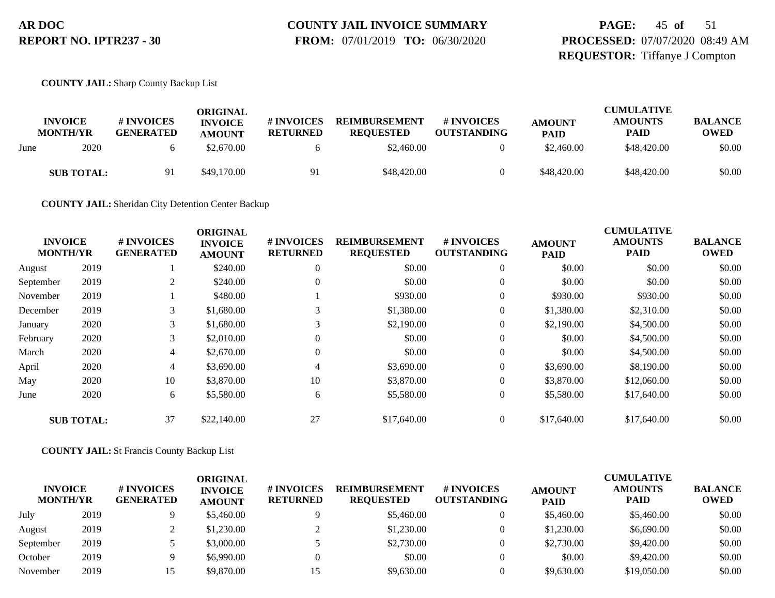# **COUNTY JAIL INVOICE SUMMARY**

 **FROM:** 07/01/2019 **TO:** 06/30/2020

## **PAGE:** 45 **of** 51 **PROCESSED:** 07/07/2020 08:49 AM **REQUESTOR:** Tiffanye J Compton

**COUNTY JAIL:** Sharp County Backup List

| <b>INVOICE</b><br><b>MONTH/YR</b> | # INVOICES<br><b>GENERATED</b> | ORIGINAL<br><b>INVOICE</b><br><b>AMOUNT</b> | # INVOICES<br><b>RETURNED</b> | <b>REIMBURSEMENT</b><br><b>REOUESTED</b> | # INVOICES<br><b>OUTSTANDING</b> | <b>AMOUNT</b><br><b>PAID</b> | <b>CUMULATIVE</b><br><b>AMOUNTS</b><br><b>PAID</b> | <b>BALANCE</b><br><b>OWED</b> |
|-----------------------------------|--------------------------------|---------------------------------------------|-------------------------------|------------------------------------------|----------------------------------|------------------------------|----------------------------------------------------|-------------------------------|
| 2020<br>June                      |                                | \$2,670.00                                  |                               | \$2,460.00                               |                                  | \$2,460.00                   | \$48,420.00                                        | \$0.00                        |
| <b>SUB TOTAL:</b>                 | Q.                             | \$49,170.00                                 | 91                            | \$48,420.00                              |                                  | \$48,420.00                  | \$48,420.00                                        | \$0.00                        |

**COUNTY JAIL:** Sheridan City Detention Center Backup

|           |                                   |                                | <b>ORIGINAL</b>                 |                               |                                          | <b>CUMULATIVE</b>                |                              |                               |                               |
|-----------|-----------------------------------|--------------------------------|---------------------------------|-------------------------------|------------------------------------------|----------------------------------|------------------------------|-------------------------------|-------------------------------|
|           | <b>INVOICE</b><br><b>MONTH/YR</b> | # INVOICES<br><b>GENERATED</b> | <b>INVOICE</b><br><b>AMOUNT</b> | # INVOICES<br><b>RETURNED</b> | <b>REIMBURSEMENT</b><br><b>REQUESTED</b> | # INVOICES<br><b>OUTSTANDING</b> | <b>AMOUNT</b><br><b>PAID</b> | <b>AMOUNTS</b><br><b>PAID</b> | <b>BALANCE</b><br><b>OWED</b> |
| August    | 2019                              |                                | \$240.00                        | $\theta$                      | \$0.00                                   | $\theta$                         | \$0.00                       | \$0.00                        | \$0.00                        |
| September | 2019                              | 2                              | \$240.00                        | $\Omega$                      | \$0.00                                   | $\overline{0}$                   | \$0.00                       | \$0.00                        | \$0.00                        |
| November  | 2019                              |                                | \$480.00                        |                               | \$930.00                                 | $\overline{0}$                   | \$930.00                     | \$930.00                      | \$0.00                        |
| December  | 2019                              | 3                              | \$1,680.00                      | 3                             | \$1,380.00                               | 0                                | \$1,380.00                   | \$2,310.00                    | \$0.00                        |
| January   | 2020                              | 3                              | \$1,680.00                      | 3                             | \$2,190.00                               | $\overline{0}$                   | \$2,190.00                   | \$4,500.00                    | \$0.00                        |
| February  | 2020                              | 3                              | \$2,010.00                      | $\Omega$                      | \$0.00                                   | $\overline{0}$                   | \$0.00                       | \$4,500.00                    | \$0.00                        |
| March     | 2020                              | 4                              | \$2,670.00                      | $\Omega$                      | \$0.00                                   | $\overline{0}$                   | \$0.00                       | \$4,500.00                    | \$0.00                        |
| April     | 2020                              | 4                              | \$3,690.00                      | 4                             | \$3,690.00                               | 0                                | \$3,690.00                   | \$8,190.00                    | \$0.00                        |
| May       | 2020                              | 10                             | \$3,870.00                      | 10                            | \$3,870.00                               | $\overline{0}$                   | \$3,870.00                   | \$12,060.00                   | \$0.00                        |
| June      | 2020                              | 6                              | \$5,580.00                      | 6                             | \$5,580.00                               | $\theta$                         | \$5,580.00                   | \$17,640.00                   | \$0.00                        |
|           | <b>SUB TOTAL:</b>                 | 37                             | \$22,140.00                     | 27                            | \$17,640.00                              | $\Omega$                         | \$17,640.00                  | \$17,640.00                   | \$0.00                        |

#### **COUNTY JAIL:** St Francis County Backup List

| <b>INVOICE</b><br><b>MONTH/YR</b> |      | # INVOICES<br><b>GENERATED</b> | ORIGINAL<br><b>INVOICE</b><br><b>AMOUNT</b> | # INVOICES<br><b>RETURNED</b> | <b>REIMBURSEMENT</b><br><b>REOUESTED</b> | # INVOICES<br><b>OUTSTANDING</b> | <b>AMOUNT</b><br><b>PAID</b> | <b>CUMULATIVE</b><br><b>AMOUNTS</b><br><b>PAID</b> | <b>BALANCE</b><br><b>OWED</b> |
|-----------------------------------|------|--------------------------------|---------------------------------------------|-------------------------------|------------------------------------------|----------------------------------|------------------------------|----------------------------------------------------|-------------------------------|
| July                              | 2019 |                                | \$5,460.00                                  |                               | \$5,460.00                               |                                  | \$5,460.00                   | \$5,460.00                                         | \$0.00                        |
| August                            | 2019 |                                | \$1,230.00                                  |                               | \$1,230.00                               |                                  | \$1,230.00                   | \$6,690.00                                         | \$0.00                        |
| September                         | 2019 |                                | \$3,000.00                                  |                               | \$2,730.00                               |                                  | \$2,730.00                   | \$9,420.00                                         | \$0.00                        |
| October                           | 2019 |                                | \$6,990.00                                  |                               | \$0.00                                   |                                  | \$0.00                       | \$9,420.00                                         | \$0.00                        |
| November                          | 2019 |                                | \$9,870.00                                  | 15                            | \$9,630.00                               |                                  | \$9,630.00                   | \$19,050.00                                        | \$0.00                        |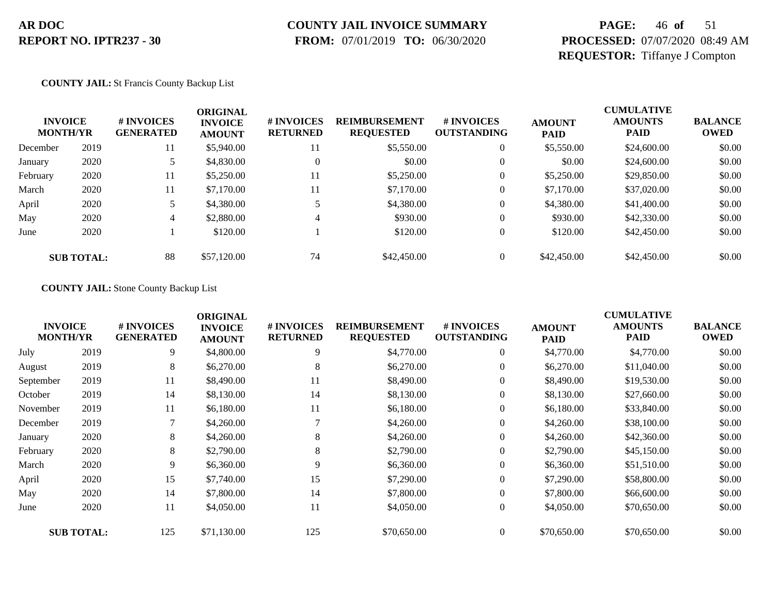## **COUNTY JAIL INVOICE SUMMARY**

 **FROM:** 07/01/2019 **TO:** 06/30/2020

## **PAGE:** 46 **of** 51 **PROCESSED:** 07/07/2020 08:49 AM **REQUESTOR:** Tiffanye J Compton

#### **COUNTY JAIL:** St Francis County Backup List

| <b>INVOICE</b><br><b>MONTH/YR</b> |                   | # INVOICES<br><b>GENERATED</b> | <b>ORIGINAL</b><br><b>INVOICE</b><br><b>AMOUNT</b> | # INVOICES<br><b>RETURNED</b> | <b>REIMBURSEMENT</b><br><b>REQUESTED</b> | # INVOICES<br><b>OUTSTANDING</b> | <b>AMOUNT</b><br><b>PAID</b> | <b>CUMULATIVE</b><br><b>AMOUNTS</b><br><b>PAID</b> | <b>BALANCE</b><br><b>OWED</b> |
|-----------------------------------|-------------------|--------------------------------|----------------------------------------------------|-------------------------------|------------------------------------------|----------------------------------|------------------------------|----------------------------------------------------|-------------------------------|
| December                          | 2019              | 11                             | \$5,940.00                                         | 11                            | \$5,550.00                               |                                  | \$5,550.00                   | \$24,600.00                                        | \$0.00                        |
| January                           | 2020              |                                | \$4,830.00                                         | $\Omega$                      | \$0.00                                   | $\theta$                         | \$0.00                       | \$24,600.00                                        | \$0.00                        |
| February                          | 2020              | 11                             | \$5,250.00                                         | -11                           | \$5,250.00                               |                                  | \$5,250.00                   | \$29,850.00                                        | \$0.00                        |
| March                             | 2020              | 11                             | \$7,170.00                                         | 11                            | \$7,170.00                               | $\overline{0}$                   | \$7,170.00                   | \$37,020.00                                        | \$0.00                        |
| April                             | 2020              |                                | \$4,380.00                                         |                               | \$4,380.00                               |                                  | \$4,380.00                   | \$41,400.00                                        | \$0.00                        |
| May                               | 2020              | 4                              | \$2,880.00                                         |                               | \$930.00                                 | $\overline{0}$                   | \$930.00                     | \$42,330.00                                        | \$0.00                        |
| June                              | 2020              |                                | \$120.00                                           |                               | \$120.00                                 |                                  | \$120.00                     | \$42,450.00                                        | \$0.00                        |
|                                   | <b>SUB TOTAL:</b> | 88                             | \$57,120.00                                        | 74                            | \$42,450.00                              |                                  | \$42,450.00                  | \$42,450.00                                        | \$0.00                        |

#### **COUNTY JAIL:** Stone County Backup List

|           |                                   |                                | <b>ORIGINAL</b>                 |                               |                                          |                                  |                              | <b>CUMULATIVE</b>             |                               |
|-----------|-----------------------------------|--------------------------------|---------------------------------|-------------------------------|------------------------------------------|----------------------------------|------------------------------|-------------------------------|-------------------------------|
|           | <b>INVOICE</b><br><b>MONTH/YR</b> | # INVOICES<br><b>GENERATED</b> | <b>INVOICE</b><br><b>AMOUNT</b> | # INVOICES<br><b>RETURNED</b> | <b>REIMBURSEMENT</b><br><b>REQUESTED</b> | # INVOICES<br><b>OUTSTANDING</b> | <b>AMOUNT</b><br><b>PAID</b> | <b>AMOUNTS</b><br><b>PAID</b> | <b>BALANCE</b><br><b>OWED</b> |
| July      | 2019                              | 9                              | \$4,800.00                      | 9                             | \$4,770.00                               | $\overline{0}$                   | \$4,770.00                   | \$4,770.00                    | \$0.00                        |
| August    | 2019                              | 8                              | \$6,270.00                      | 8                             | \$6,270.00                               | $\overline{0}$                   | \$6,270.00                   | \$11,040.00                   | \$0.00                        |
| September | 2019                              | 11                             | \$8,490.00                      | 11                            | \$8,490.00                               | $\overline{0}$                   | \$8,490.00                   | \$19,530.00                   | \$0.00                        |
| October   | 2019                              | 14                             | \$8,130.00                      | 14                            | \$8,130.00                               | $\theta$                         | \$8,130.00                   | \$27,660.00                   | \$0.00                        |
| November  | 2019                              | 11                             | \$6,180.00                      | 11                            | \$6,180.00                               | $\overline{0}$                   | \$6,180.00                   | \$33,840.00                   | \$0.00                        |
| December  | 2019                              | 7                              | \$4,260.00                      |                               | \$4,260.00                               | $\overline{0}$                   | \$4,260.00                   | \$38,100.00                   | \$0.00                        |
| January   | 2020                              | 8                              | \$4,260.00                      | 8                             | \$4,260.00                               | $\overline{0}$                   | \$4,260.00                   | \$42,360.00                   | \$0.00                        |
| February  | 2020                              | 8                              | \$2,790.00                      | 8                             | \$2,790.00                               | $\boldsymbol{0}$                 | \$2,790.00                   | \$45,150.00                   | \$0.00                        |
| March     | 2020                              | 9                              | \$6,360.00                      | 9                             | \$6,360.00                               | 0                                | \$6,360.00                   | \$51,510.00                   | \$0.00                        |
| April     | 2020                              | 15                             | \$7,740.00                      | 15                            | \$7,290.00                               | $\overline{0}$                   | \$7,290.00                   | \$58,800.00                   | \$0.00                        |
| May       | 2020                              | 14                             | \$7,800.00                      | 14                            | \$7,800.00                               | $\theta$                         | \$7,800.00                   | \$66,600.00                   | \$0.00                        |
| June      | 2020                              | 11                             | \$4,050.00                      | 11                            | \$4,050.00                               | $\overline{0}$                   | \$4,050.00                   | \$70,650.00                   | \$0.00                        |
|           | <b>SUB TOTAL:</b>                 | 125                            | \$71,130.00                     | 125                           | \$70,650.00                              | $\Omega$                         | \$70,650.00                  | \$70,650.00                   | \$0.00                        |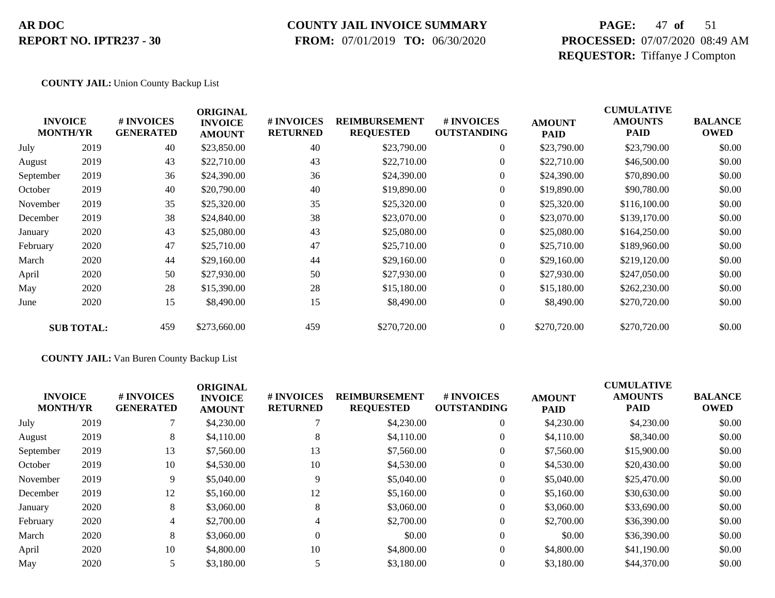### **COUNTY JAIL INVOICE SUMMARY**

 **FROM:** 07/01/2019 **TO:** 06/30/2020

## **PAGE:** 47 **of** 51 **PROCESSED:** 07/07/2020 08:49 AM **REQUESTOR:** Tiffanye J Compton

#### **COUNTY JAIL:** Union County Backup List

|           | <b>INVOICE</b><br><b>MONTH/YR</b> | # INVOICES<br><b>GENERATED</b> | <b>ORIGINAL</b><br><b>INVOICE</b><br><b>AMOUNT</b> | <b># INVOICES</b><br><b>RETURNED</b> | <b>REIMBURSEMENT</b><br><b>REQUESTED</b> | # INVOICES<br><b>OUTSTANDING</b> | <b>AMOUNT</b><br><b>PAID</b> | <b>CUMULATIVE</b><br><b>AMOUNTS</b><br>PAID | <b>BALANCE</b><br><b>OWED</b> |
|-----------|-----------------------------------|--------------------------------|----------------------------------------------------|--------------------------------------|------------------------------------------|----------------------------------|------------------------------|---------------------------------------------|-------------------------------|
| July      | 2019                              | 40                             | \$23,850.00                                        | 40                                   | \$23,790.00                              | $\overline{0}$                   | \$23,790.00                  | \$23,790.00                                 | \$0.00                        |
| August    | 2019                              | 43                             | \$22,710.00                                        | 43                                   | \$22,710.00                              | $\overline{0}$                   | \$22,710.00                  | \$46,500.00                                 | \$0.00                        |
| September | 2019                              | 36                             | \$24,390.00                                        | 36                                   | \$24,390.00                              | $\overline{0}$                   | \$24,390.00                  | \$70,890.00                                 | \$0.00                        |
| October   | 2019                              | 40                             | \$20,790.00                                        | 40                                   | \$19,890.00                              | $\overline{0}$                   | \$19,890.00                  | \$90,780.00                                 | \$0.00                        |
| November  | 2019                              | 35                             | \$25,320.00                                        | 35                                   | \$25,320.00                              | $\boldsymbol{0}$                 | \$25,320.00                  | \$116,100.00                                | \$0.00                        |
| December  | 2019                              | 38                             | \$24,840.00                                        | 38                                   | \$23,070.00                              | $\overline{0}$                   | \$23,070.00                  | \$139,170.00                                | \$0.00                        |
| January   | 2020                              | 43                             | \$25,080.00                                        | 43                                   | \$25,080.00                              | $\overline{0}$                   | \$25,080.00                  | \$164,250.00                                | \$0.00                        |
| February  | 2020                              | 47                             | \$25,710.00                                        | 47                                   | \$25,710.00                              | $\boldsymbol{0}$                 | \$25,710.00                  | \$189,960.00                                | \$0.00                        |
| March     | 2020                              | 44                             | \$29,160.00                                        | 44                                   | \$29,160.00                              | $\overline{0}$                   | \$29,160.00                  | \$219,120.00                                | \$0.00                        |
| April     | 2020                              | 50                             | \$27,930.00                                        | 50                                   | \$27,930.00                              | $\overline{0}$                   | \$27,930.00                  | \$247,050.00                                | \$0.00                        |
| May       | 2020                              | 28                             | \$15,390.00                                        | 28                                   | \$15,180.00                              | $\boldsymbol{0}$                 | \$15,180.00                  | \$262,230.00                                | \$0.00                        |
| June      | 2020                              | 15                             | \$8,490.00                                         | 15                                   | \$8,490.00                               | $\boldsymbol{0}$                 | \$8,490.00                   | \$270,720.00                                | \$0.00                        |
|           | <b>SUB TOTAL:</b>                 | 459                            | \$273,660.00                                       | 459                                  | \$270,720.00                             | $\overline{0}$                   | \$270,720.00                 | \$270,720.00                                | \$0.00                        |

#### **COUNTY JAIL:** Van Buren County Backup List

|           | <b>INVOICE</b><br><b>MONTH/YR</b> | # INVOICES<br><b>GENERATED</b> | <b>ORIGINAL</b><br><b>INVOICE</b><br><b>AMOUNT</b> | <b># INVOICES</b><br><b>RETURNED</b> | <b>REIMBURSEMENT</b><br><b>REQUESTED</b> | # INVOICES<br><b>OUTSTANDING</b> | <b>AMOUNT</b><br><b>PAID</b> | <b>CUMULATIVE</b><br><b>AMOUNTS</b><br><b>PAID</b> | <b>BALANCE</b><br><b>OWED</b> |
|-----------|-----------------------------------|--------------------------------|----------------------------------------------------|--------------------------------------|------------------------------------------|----------------------------------|------------------------------|----------------------------------------------------|-------------------------------|
| July      | 2019                              |                                | \$4,230.00                                         |                                      | \$4,230.00                               | $\theta$                         | \$4,230.00                   | \$4,230.00                                         | \$0.00                        |
| August    | 2019                              | 8                              | \$4,110.00                                         | 8                                    | \$4,110.00                               |                                  | \$4,110.00                   | \$8,340.00                                         | \$0.00                        |
| September | 2019                              | 13                             | \$7,560.00                                         | 13                                   | \$7,560.00                               |                                  | \$7,560.00                   | \$15,900.00                                        | \$0.00                        |
| October   | 2019                              | 10                             | \$4,530.00                                         | 10                                   | \$4,530.00                               |                                  | \$4,530.00                   | \$20,430.00                                        | \$0.00                        |
| November  | 2019                              | 9                              | \$5,040.00                                         | $\mathbf Q$                          | \$5,040.00                               |                                  | \$5,040.00                   | \$25,470.00                                        | \$0.00                        |
| December  | 2019                              | 12                             | \$5,160.00                                         | 12                                   | \$5,160.00                               |                                  | \$5,160.00                   | \$30,630.00                                        | \$0.00                        |
| January   | 2020                              | 8                              | \$3,060.00                                         | 8                                    | \$3,060.00                               |                                  | \$3,060.00                   | \$33,690.00                                        | \$0.00                        |
| February  | 2020                              | 4                              | \$2,700.00                                         |                                      | \$2,700.00                               |                                  | \$2,700.00                   | \$36,390.00                                        | \$0.00                        |
| March     | 2020                              | 8                              | \$3,060.00                                         | $\Omega$                             | \$0.00                                   | $\overline{0}$                   | \$0.00                       | \$36,390.00                                        | \$0.00                        |
| April     | 2020                              | 10                             | \$4,800.00                                         | 10                                   | \$4,800.00                               |                                  | \$4,800.00                   | \$41,190.00                                        | \$0.00                        |
| May       | 2020                              |                                | \$3,180.00                                         |                                      | \$3,180.00                               |                                  | \$3,180.00                   | \$44,370.00                                        | \$0.00                        |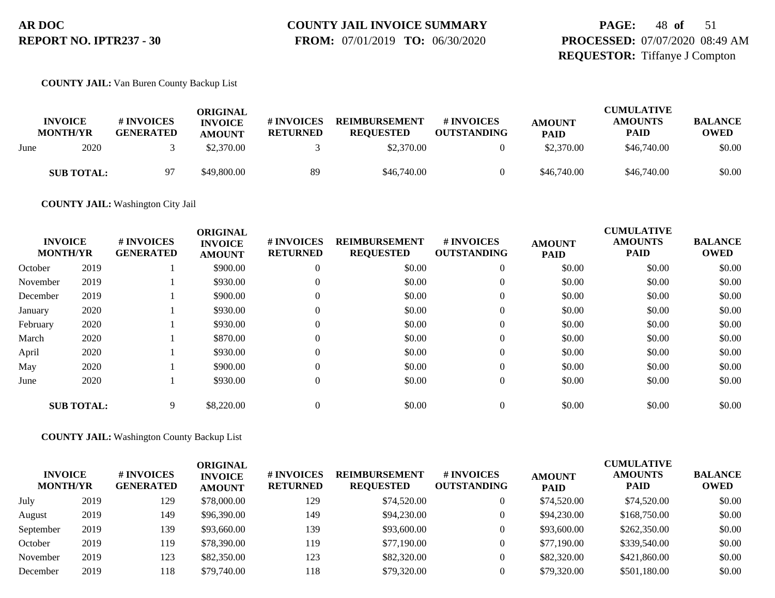# **COUNTY JAIL INVOICE SUMMARY**

 **FROM:** 07/01/2019 **TO:** 06/30/2020

## **PAGE:** 48 **of** 51 **PROCESSED:** 07/07/2020 08:49 AM **REQUESTOR:** Tiffanye J Compton

**COUNTY JAIL:** Van Buren County Backup List

|      |                                   |                                | ORIGINAL                        |                               |                                          |                                        |                              | <b>CUMULATIVE</b>             |                               |
|------|-----------------------------------|--------------------------------|---------------------------------|-------------------------------|------------------------------------------|----------------------------------------|------------------------------|-------------------------------|-------------------------------|
|      | <b>INVOICE</b><br><b>MONTH/YR</b> | # INVOICES<br><b>GENERATED</b> | <b>INVOICE</b><br><b>AMOUNT</b> | # INVOICES<br><b>RETURNED</b> | <b>REIMBURSEMENT</b><br><b>REOUESTED</b> | <b>#INVOICES</b><br><b>OUTSTANDING</b> | <b>AMOUNT</b><br><b>PAID</b> | <b>AMOUNTS</b><br><b>PAID</b> | <b>BALANCE</b><br><b>OWED</b> |
| June | 2020                              |                                | \$2,370.00                      |                               | \$2,370.00                               |                                        | \$2,370.00                   | \$46,740.00                   | \$0.00                        |
|      | <b>SUB TOTAL:</b>                 | 97                             | \$49,800.00                     | 89                            | \$46,740.00                              |                                        | \$46,740.00                  | \$46,740.00                   | \$0.00                        |

**COUNTY JAIL:** Washington City Jail

|          | <b>INVOICE</b><br><b>MONTH/YR</b> | # INVOICES<br><b>GENERATED</b> | <b>ORIGINAL</b><br><b>INVOICE</b><br><b>AMOUNT</b> | # INVOICES<br><b>RETURNED</b> | <b>REIMBURSEMENT</b><br><b>REQUESTED</b> | # INVOICES<br><b>OUTSTANDING</b> | <b>AMOUNT</b><br><b>PAID</b> | <b>CUMULATIVE</b><br><b>AMOUNTS</b><br><b>PAID</b> | <b>BALANCE</b><br><b>OWED</b> |
|----------|-----------------------------------|--------------------------------|----------------------------------------------------|-------------------------------|------------------------------------------|----------------------------------|------------------------------|----------------------------------------------------|-------------------------------|
| October  | 2019                              |                                | \$900.00                                           | 0                             | \$0.00                                   | $\theta$                         | \$0.00                       | \$0.00                                             | \$0.00                        |
| November | 2019                              |                                | \$930.00                                           | 0                             | \$0.00                                   | $\overline{0}$                   | \$0.00                       | \$0.00                                             | \$0.00                        |
| December | 2019                              |                                | \$900.00                                           | 0                             | \$0.00                                   | $\overline{0}$                   | \$0.00                       | \$0.00                                             | \$0.00                        |
| January  | 2020                              |                                | \$930.00                                           | 0                             | \$0.00                                   | $\overline{0}$                   | \$0.00                       | \$0.00                                             | \$0.00                        |
| February | 2020                              |                                | \$930.00                                           | 0                             | \$0.00                                   | $\overline{0}$                   | \$0.00                       | \$0.00                                             | \$0.00                        |
| March    | 2020                              |                                | \$870.00                                           | 0                             | \$0.00                                   | $\overline{0}$                   | \$0.00                       | \$0.00                                             | \$0.00                        |
| April    | 2020                              |                                | \$930.00                                           | $\Omega$                      | \$0.00                                   | $\overline{0}$                   | \$0.00                       | \$0.00                                             | \$0.00                        |
| May      | 2020                              |                                | \$900.00                                           | 0                             | \$0.00                                   | $\overline{0}$                   | \$0.00                       | \$0.00                                             | \$0.00                        |
| June     | 2020                              |                                | \$930.00                                           | 0                             | \$0.00                                   | $\overline{0}$                   | \$0.00                       | \$0.00                                             | \$0.00                        |
|          | <b>SUB TOTAL:</b>                 | 9                              | \$8,220.00                                         |                               | \$0.00                                   | $\Omega$                         | \$0.00                       | \$0.00                                             | \$0.00                        |

**COUNTY JAIL:** Washington County Backup List

| <b>INVOICE</b><br><b>MONTH/YR</b> |      | # INVOICES<br><b>GENERATED</b> | ORIGINAL<br><b>INVOICE</b><br><b>AMOUNT</b> | <b># INVOICES</b><br><b>RETURNED</b> | <b>REIMBURSEMENT</b><br><b>REQUESTED</b> | # INVOICES<br><b>OUTSTANDING</b> | <b>AMOUNT</b><br><b>PAID</b> | <b>CUMULATIVE</b><br><b>AMOUNTS</b><br><b>PAID</b> | <b>BALANCE</b><br><b>OWED</b> |
|-----------------------------------|------|--------------------------------|---------------------------------------------|--------------------------------------|------------------------------------------|----------------------------------|------------------------------|----------------------------------------------------|-------------------------------|
| July                              | 2019 | 129                            | \$78,000.00                                 | 129                                  | \$74,520.00                              |                                  | \$74,520.00                  | \$74,520.00                                        | \$0.00                        |
| August                            | 2019 | 149                            | \$96,390.00                                 | 149                                  | \$94,230.00                              |                                  | \$94,230.00                  | \$168,750.00                                       | \$0.00                        |
| September                         | 2019 | 139                            | \$93,660.00                                 | 139                                  | \$93,600.00                              |                                  | \$93,600.00                  | \$262,350.00                                       | \$0.00                        |
| October                           | 2019 | 119                            | \$78,390.00                                 | 119                                  | \$77,190.00                              | 0                                | \$77,190.00                  | \$339,540.00                                       | \$0.00                        |
| November                          | 2019 | 123                            | \$82,350.00                                 | 123                                  | \$82,320.00                              |                                  | \$82,320.00                  | \$421,860.00                                       | \$0.00                        |
| December                          | 2019 | 118                            | \$79,740.00                                 | 118                                  | \$79,320.00                              |                                  | \$79,320.00                  | \$501,180.00                                       | \$0.00                        |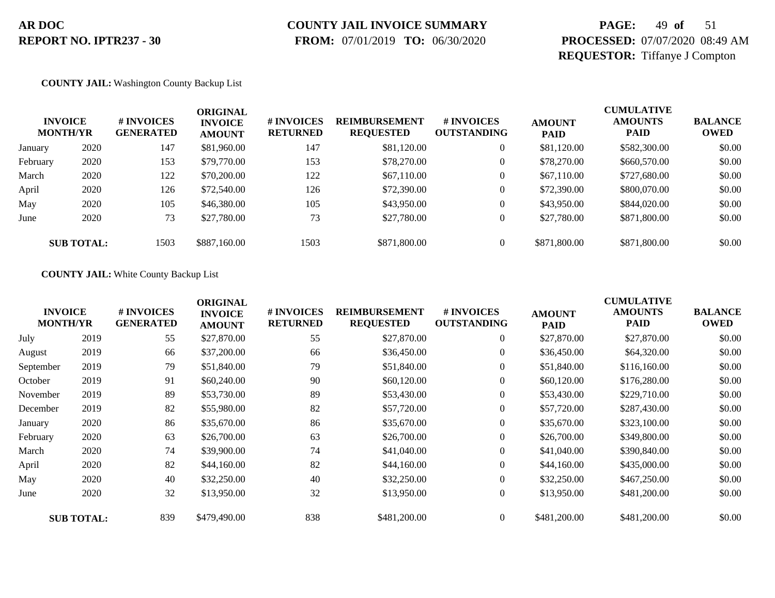## **COUNTY JAIL INVOICE SUMMARY**

 **FROM:** 07/01/2019 **TO:** 06/30/2020

## **PAGE:** 49 **of** 51 **PROCESSED:** 07/07/2020 08:49 AM **REQUESTOR:** Tiffanye J Compton

#### **COUNTY JAIL:** Washington County Backup List

|          | <b>INVOICE</b><br><b>MONTH/YR</b> | # INVOICES<br><b>GENERATED</b> | ORIGINAL<br><b>INVOICE</b><br><b>AMOUNT</b> | # INVOICES<br><b>RETURNED</b> | <b>REIMBURSEMENT</b><br><b>REQUESTED</b> | # INVOICES<br><b>OUTSTANDING</b> | <b>AMOUNT</b><br><b>PAID</b> | <b>CUMULATIVE</b><br><b>AMOUNTS</b><br><b>PAID</b> | <b>BALANCE</b><br><b>OWED</b> |
|----------|-----------------------------------|--------------------------------|---------------------------------------------|-------------------------------|------------------------------------------|----------------------------------|------------------------------|----------------------------------------------------|-------------------------------|
| January  | 2020                              | 147                            | \$81,960.00                                 | 147                           | \$81,120.00                              | $\overline{0}$                   | \$81,120.00                  | \$582,300.00                                       | \$0.00                        |
| February | 2020                              | 153                            | \$79,770.00                                 | 153                           | \$78,270.00                              | $\theta$                         | \$78,270.00                  | \$660,570.00                                       | \$0.00                        |
| March    | 2020                              | 122                            | \$70,200.00                                 | 122                           | \$67,110.00                              | $\overline{0}$                   | \$67,110.00                  | \$727,680.00                                       | \$0.00                        |
| April    | 2020                              | 126                            | \$72,540.00                                 | 126                           | \$72,390.00                              | $\overline{0}$                   | \$72,390.00                  | \$800,070.00                                       | \$0.00                        |
| May      | 2020                              | 105                            | \$46,380.00                                 | 105                           | \$43,950.00                              | $\overline{0}$                   | \$43,950.00                  | \$844,020.00                                       | \$0.00                        |
| June     | 2020                              | 73                             | \$27,780.00                                 | 73                            | \$27,780.00                              | $\overline{0}$                   | \$27,780.00                  | \$871,800.00                                       | \$0.00                        |
|          | <b>SUB TOTAL:</b>                 | 1503                           | \$887,160.00                                | 1503                          | \$871,800.00                             | $\Omega$                         | \$871,800.00                 | \$871,800.00                                       | \$0.00                        |

#### **COUNTY JAIL:** White County Backup List

|           | <b>INVOICE</b><br><b>MONTH/YR</b> | # INVOICES<br><b>GENERATED</b> | <b>ORIGINAL</b><br><b>INVOICE</b><br><b>AMOUNT</b> | # INVOICES<br><b>RETURNED</b> | <b>REIMBURSEMENT</b><br><b>REQUESTED</b> | # INVOICES<br><b>OUTSTANDING</b> | <b>AMOUNT</b><br><b>PAID</b> | <b>CUMULATIVE</b><br><b>AMOUNTS</b><br>PAID | <b>BALANCE</b><br><b>OWED</b> |
|-----------|-----------------------------------|--------------------------------|----------------------------------------------------|-------------------------------|------------------------------------------|----------------------------------|------------------------------|---------------------------------------------|-------------------------------|
| July      | 2019                              | 55                             | \$27,870.00                                        | 55                            | \$27,870.00                              | $\overline{0}$                   | \$27,870.00                  | \$27,870.00                                 | \$0.00                        |
| August    | 2019                              | 66                             | \$37,200.00                                        | 66                            | \$36,450.00                              | $\overline{0}$                   | \$36,450.00                  | \$64,320.00                                 | \$0.00                        |
| September | 2019                              | 79                             | \$51,840.00                                        | 79                            | \$51,840.00                              | $\overline{0}$                   | \$51,840.00                  | \$116,160.00                                | \$0.00                        |
| October   | 2019                              | 91                             | \$60,240.00                                        | 90                            | \$60,120.00                              | $\boldsymbol{0}$                 | \$60,120.00                  | \$176,280.00                                | \$0.00                        |
| November  | 2019                              | 89                             | \$53,730.00                                        | 89                            | \$53,430.00                              | $\overline{0}$                   | \$53,430.00                  | \$229,710.00                                | \$0.00                        |
| December  | 2019                              | 82                             | \$55,980.00                                        | 82                            | \$57,720.00                              | $\overline{0}$                   | \$57,720.00                  | \$287,430.00                                | \$0.00                        |
| January   | 2020                              | 86                             | \$35,670.00                                        | 86                            | \$35,670.00                              | $\boldsymbol{0}$                 | \$35,670.00                  | \$323,100.00                                | \$0.00                        |
| February  | 2020                              | 63                             | \$26,700.00                                        | 63                            | \$26,700.00                              | $\overline{0}$                   | \$26,700.00                  | \$349,800.00                                | \$0.00                        |
| March     | 2020                              | 74                             | \$39,900.00                                        | 74                            | \$41,040.00                              | $\overline{0}$                   | \$41,040.00                  | \$390,840.00                                | \$0.00                        |
| April     | 2020                              | 82                             | \$44,160.00                                        | 82                            | \$44,160.00                              | $\overline{0}$                   | \$44,160.00                  | \$435,000.00                                | \$0.00                        |
| May       | 2020                              | 40                             | \$32,250.00                                        | 40                            | \$32,250.00                              | $\overline{0}$                   | \$32,250.00                  | \$467,250.00                                | \$0.00                        |
| June      | 2020                              | 32                             | \$13,950.00                                        | 32                            | \$13,950.00                              | $\overline{0}$                   | \$13,950.00                  | \$481,200.00                                | \$0.00                        |
|           | <b>SUB TOTAL:</b>                 | 839                            | \$479,490.00                                       | 838                           | \$481,200.00                             | $\overline{0}$                   | \$481,200.00                 | \$481,200.00                                | \$0.00                        |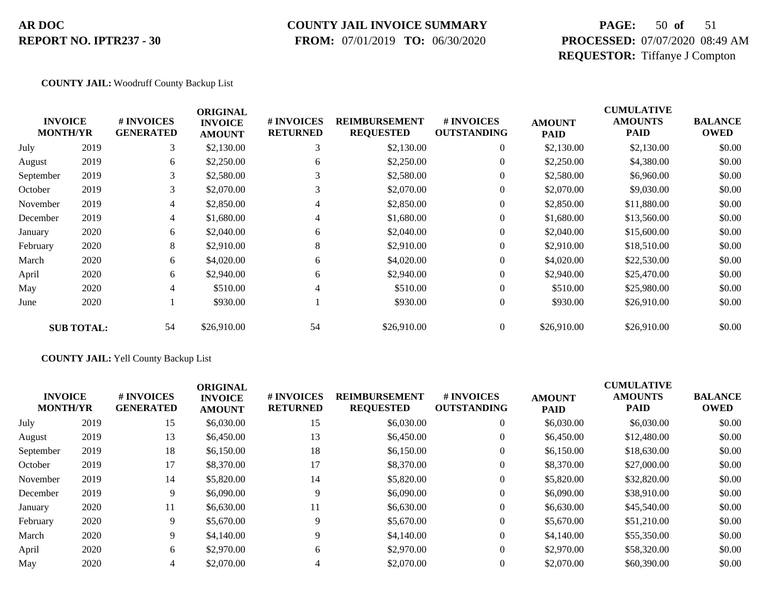#### **COUNTY JAIL INVOICE SUMMARY**

 **FROM:** 07/01/2019 **TO:** 06/30/2020

## **PAGE:** 50 **of** 51 **PROCESSED:** 07/07/2020 08:49 AM **REQUESTOR:** Tiffanye J Compton

#### **COUNTY JAIL:** Woodruff County Backup List

| <b>MONTH/YR</b> | <b>INVOICE</b>    | # INVOICES<br><b>GENERATED</b> | <b>ORIGINAL</b><br><b>INVOICE</b><br><b>AMOUNT</b> | # INVOICES<br><b>RETURNED</b> | <b>REIMBURSEMENT</b><br><b>REQUESTED</b> | # INVOICES<br><b>OUTSTANDING</b> | <b>AMOUNT</b><br><b>PAID</b> | <b>CUMULATIVE</b><br><b>AMOUNTS</b><br>PAID | <b>BALANCE</b><br><b>OWED</b> |
|-----------------|-------------------|--------------------------------|----------------------------------------------------|-------------------------------|------------------------------------------|----------------------------------|------------------------------|---------------------------------------------|-------------------------------|
| July            | 2019              | 3                              | \$2,130.00                                         | 3                             | \$2,130.00                               | $\overline{0}$                   | \$2,130.00                   | \$2,130.00                                  | \$0.00                        |
| August          | 2019              | 6                              | \$2,250.00                                         | 6                             | \$2,250.00                               | $\overline{0}$                   | \$2,250.00                   | \$4,380.00                                  | \$0.00                        |
| September       | 2019              | 3                              | \$2,580.00                                         |                               | \$2,580.00                               | $\mathbf{0}$                     | \$2,580.00                   | \$6,960.00                                  | \$0.00                        |
| October         | 2019              | 3                              | \$2,070.00                                         | 3                             | \$2,070.00                               | $\overline{0}$                   | \$2,070.00                   | \$9,030.00                                  | \$0.00                        |
| November        | 2019              | 4                              | \$2,850.00                                         | 4                             | \$2,850.00                               | $\mathbf{0}$                     | \$2,850.00                   | \$11,880.00                                 | \$0.00                        |
| December        | 2019              | $\overline{4}$                 | \$1,680.00                                         | $\overline{4}$                | \$1,680.00                               | $\mathbf{0}$                     | \$1,680.00                   | \$13,560.00                                 | \$0.00                        |
| January         | 2020              | 6                              | \$2,040.00                                         | 6                             | \$2,040.00                               | $\theta$                         | \$2,040.00                   | \$15,600.00                                 | \$0.00                        |
| February        | 2020              | 8                              | \$2,910.00                                         | 8                             | \$2,910.00                               | $\theta$                         | \$2,910.00                   | \$18,510.00                                 | \$0.00                        |
| March           | 2020              | 6                              | \$4,020.00                                         | 6                             | \$4,020.00                               | $\overline{0}$                   | \$4,020.00                   | \$22,530.00                                 | \$0.00                        |
| April           | 2020              | 6                              | \$2,940.00                                         | 6                             | \$2,940.00                               | $\theta$                         | \$2,940.00                   | \$25,470.00                                 | \$0.00                        |
| May             | 2020              | 4                              | \$510.00                                           | 4                             | \$510.00                                 | $\overline{0}$                   | \$510.00                     | \$25,980.00                                 | \$0.00                        |
| June            | 2020              |                                | \$930.00                                           |                               | \$930.00                                 | $\boldsymbol{0}$                 | \$930.00                     | \$26,910.00                                 | \$0.00                        |
|                 | <b>SUB TOTAL:</b> | 54                             | \$26,910.00                                        | 54                            | \$26,910.00                              | $\overline{0}$                   | \$26,910.00                  | \$26,910.00                                 | \$0.00                        |

#### **COUNTY JAIL:** Yell County Backup List

|      | <b>#INVOICES</b><br><b>GENERATED</b> | <b>ORIGINAL</b><br><b>INVOICE</b><br><b>AMOUNT</b> | # INVOICES<br><b>RETURNED</b> | <b>REIMBURSEMENT</b><br><b>REQUESTED</b> | # INVOICES<br><b>OUTSTANDING</b> | <b>AMOUNT</b><br><b>PAID</b> | <b>CUMULATIVE</b><br><b>AMOUNTS</b><br><b>PAID</b> | <b>BALANCE</b><br><b>OWED</b> |
|------|--------------------------------------|----------------------------------------------------|-------------------------------|------------------------------------------|----------------------------------|------------------------------|----------------------------------------------------|-------------------------------|
| 2019 | 15                                   | \$6,030.00                                         | 15                            | \$6,030.00                               | $\theta$                         | \$6,030.00                   | \$6,030.00                                         | \$0.00                        |
| 2019 | 13                                   | \$6,450.00                                         | 13                            | \$6,450.00                               | $\theta$                         | \$6,450.00                   | \$12,480.00                                        | \$0.00                        |
| 2019 | 18                                   | \$6,150.00                                         | 18                            | \$6,150.00                               | $\theta$                         | \$6,150.00                   | \$18,630.00                                        | \$0.00                        |
| 2019 | 17                                   | \$8,370.00                                         | 17                            | \$8,370.00                               | $\theta$                         | \$8,370.00                   | \$27,000.00                                        | \$0.00                        |
| 2019 | 14                                   | \$5,820.00                                         | 14                            | \$5,820.00                               | $\theta$                         | \$5,820.00                   | \$32,820.00                                        | \$0.00                        |
| 2019 | 9                                    | \$6,090.00                                         |                               | \$6,090.00                               | $\theta$                         | \$6,090.00                   | \$38,910.00                                        | \$0.00                        |
| 2020 | 11                                   | \$6,630.00                                         | 11                            | \$6,630.00                               | $\theta$                         | \$6,630.00                   | \$45,540.00                                        | \$0.00                        |
| 2020 | 9                                    | \$5,670.00                                         | 9                             | \$5,670.00                               | $\theta$                         | \$5,670.00                   | \$51,210.00                                        | \$0.00                        |
| 2020 | 9                                    | \$4,140.00                                         | 9                             | \$4,140.00                               | $\theta$                         | \$4,140.00                   | \$55,350.00                                        | \$0.00                        |
| 2020 | 6                                    | \$2,970.00                                         | 6                             | \$2,970.00                               | $\Omega$                         | \$2,970.00                   | \$58,320.00                                        | \$0.00                        |
| 2020 | 4                                    | \$2,070.00                                         | 4                             | \$2,070.00                               | $\theta$                         | \$2,070.00                   | \$60,390.00                                        | \$0.00                        |
|      | <b>INVOICE</b><br><b>MONTH/YR</b>    |                                                    |                               |                                          |                                  |                              |                                                    |                               |